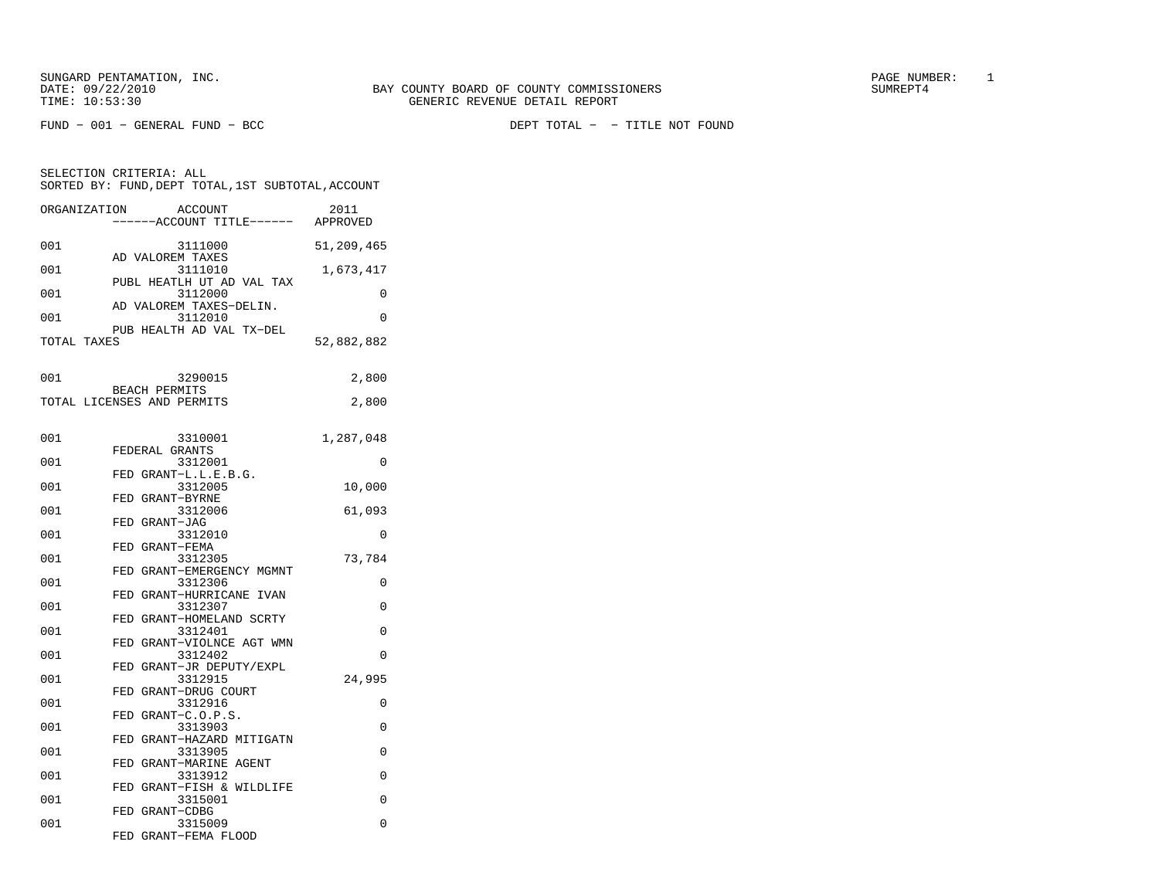SELECTION CRITERIA: ALL

SORTED BY: FUND, DEPT TOTAL, 1ST SUBTOTAL, ACCOUNT ORGANIZATION ACCOUNT 2011−−−−−−ACCOUNT TITLE−−−−−− APPROVED

FUND − 001 − GENERAL FUND − BCC DEPT TOTAL − − TITLE NOT FOUND

| 001         | 3111000                                            | 51,209,465  |
|-------------|----------------------------------------------------|-------------|
| 001         | AD VALOREM TAXES<br>3111010                        | 1,673,417   |
| 001         | PUBL HEATLH UT AD VAL TAX<br>3112000               | 0           |
|             | AD VALOREM TAXES-DELIN.                            |             |
| 001         | 3112010                                            | $\Omega$    |
| TOTAL TAXES | PUB HEALTH AD VAL TX-DEL                           | 52,882,882  |
| 001         | 3290015                                            | 2,800       |
|             | <b>BEACH PERMITS</b><br>TOTAL LICENSES AND PERMITS | 2,800       |
| 001         | 3310001                                            | 1,287,048   |
| 001         | FEDERAL GRANTS<br>3312001                          | $\mathbf 0$ |
| 001         | FED GRANT-L.L.E.B.G.<br>3312005                    | 10,000      |
| 001         | FED GRANT-BYRNE<br>3312006                         | 61,093      |
| 001         | FED GRANT-JAG<br>3312010                           | $\Omega$    |
| 001         | FED GRANT-FEMA<br>3312305                          | 73,784      |
| 001         | FED GRANT-EMERGENCY MGMNT<br>3312306               | $\Omega$    |
| 001         | FED GRANT-HURRICANE IVAN<br>3312307                | $\Omega$    |
| 001         | FED GRANT-HOMELAND SCRTY<br>3312401                | $\Omega$    |
| 001         | FED GRANT-VIOLNCE AGT WMN<br>3312402               | $\mathbf 0$ |

 FED GRANT−JR DEPUTY/EXPL 001 3312915 24,995

001 3313903 0

001 3313905 0 FED GRANT−MARINE AGENT001 3313912 0 FED GRANT−FISH & WILDLIFE001 3315001 0

001 3315009 0

FED GRANT−C.O.P.S.

FED GRANT−HAZARD MITIGATN

FED GRANT−CDBG

FED GRANT−FEMA FLOOD

 FED GRANT−DRUG COURT 001 3312916 0

 $\mathbb O$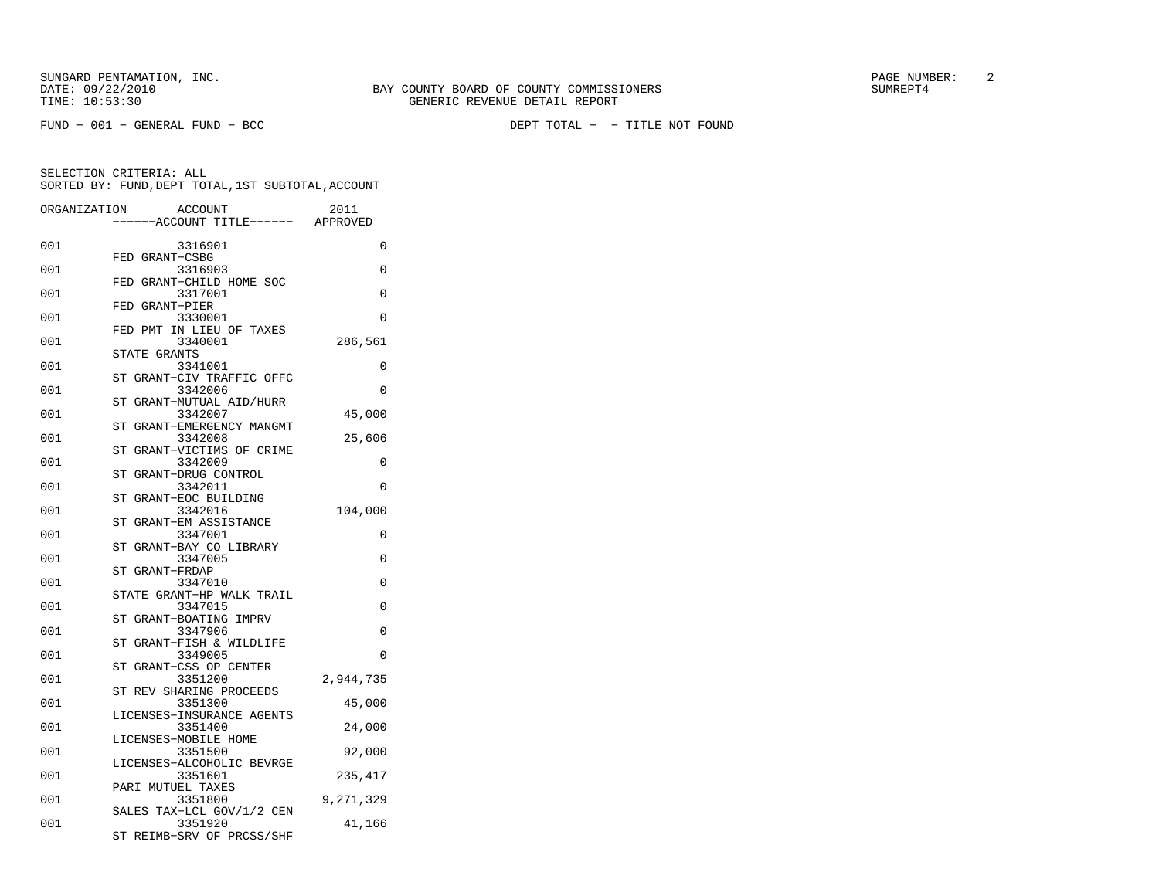FUND − 001 − GENERAL FUND − BCC DEPT TOTAL − − TITLE NOT FOUND

| poning of tong, pair roths, rol cobrolled, hooowi |                                                                   |           |  |
|---------------------------------------------------|-------------------------------------------------------------------|-----------|--|
| ORGANIZATION                                      | ACCOUNT<br>-----ACCOUNT TITLE------ APPROVED                      | 2011      |  |
| 001                                               | 3316901<br>FED GRANT-CSBG                                         | 0         |  |
| 001                                               | 3316903<br>FED GRANT-CHILD HOME SOC                               | 0         |  |
| 001                                               | 3317001<br>FED GRANT-PIER                                         | $\Omega$  |  |
| 001                                               | 3330001                                                           | 0         |  |
| 001                                               | FED PMT IN LIEU OF TAXES<br>3340001                               | 286,561   |  |
| 001                                               | STATE GRANTS<br>3341001                                           | 0         |  |
| 001                                               | ST GRANT-CIV TRAFFIC OFFC<br>3342006                              | 0         |  |
| 001                                               | ST GRANT-MUTUAL AID/HURR<br>3342007                               | 45,000    |  |
| 001                                               | ${\rm ST}$<br>GRANT-EMERGENCY MANGMT<br>3342008                   | 25,606    |  |
| 001                                               | ST GRANT-VICTIMS OF CRIME<br>3342009                              | 0         |  |
| 001                                               | ST GRANT-DRUG CONTROL<br>3342011                                  | $\Omega$  |  |
| 001                                               | ST GRANT-EOC BUILDING<br>3342016                                  | 104,000   |  |
| 001                                               | GRANT-EM ASSISTANCE<br>ST<br>3347001                              | 0         |  |
| 001                                               | GRANT-BAY CO LIBRARY<br>ST<br>3347005                             | $\Omega$  |  |
| 001                                               | ST GRANT-FRDAP<br>3347010                                         | 0         |  |
| 001                                               | STATE GRANT-HP WALK TRAIL<br>3347015                              | $\Omega$  |  |
| 001                                               | ST GRANT-BOATING IMPRV<br>3347906                                 | $\Omega$  |  |
| 001                                               | GRANT-FISH & WILDLIFE<br><b>ST</b><br>3349005                     | $\Omega$  |  |
| 001                                               | ST GRANT-CSS OP CENTER<br>3351200                                 | 2,944,735 |  |
| 001                                               | ST REV SHARING PROCEEDS<br>3351300                                | 45,000    |  |
| 001                                               | LICENSES-INSURANCE AGENTS<br>3351400                              | 24,000    |  |
| 001                                               | LICENSES-MOBILE HOME<br>3351500                                   | 92,000    |  |
| 001                                               | LICENSES-ALCOHOLIC BEVRGE<br>3351601                              | 235,417   |  |
| 001                                               | PARI MUTUEL TAXES<br>3351800                                      | 9,271,329 |  |
| 001                                               | SALES TAX-LCL GOV/1/2 CEN<br>3351920<br>ST REIMB-SRV OF PRCSS/SHF | 41,166    |  |
|                                                   |                                                                   |           |  |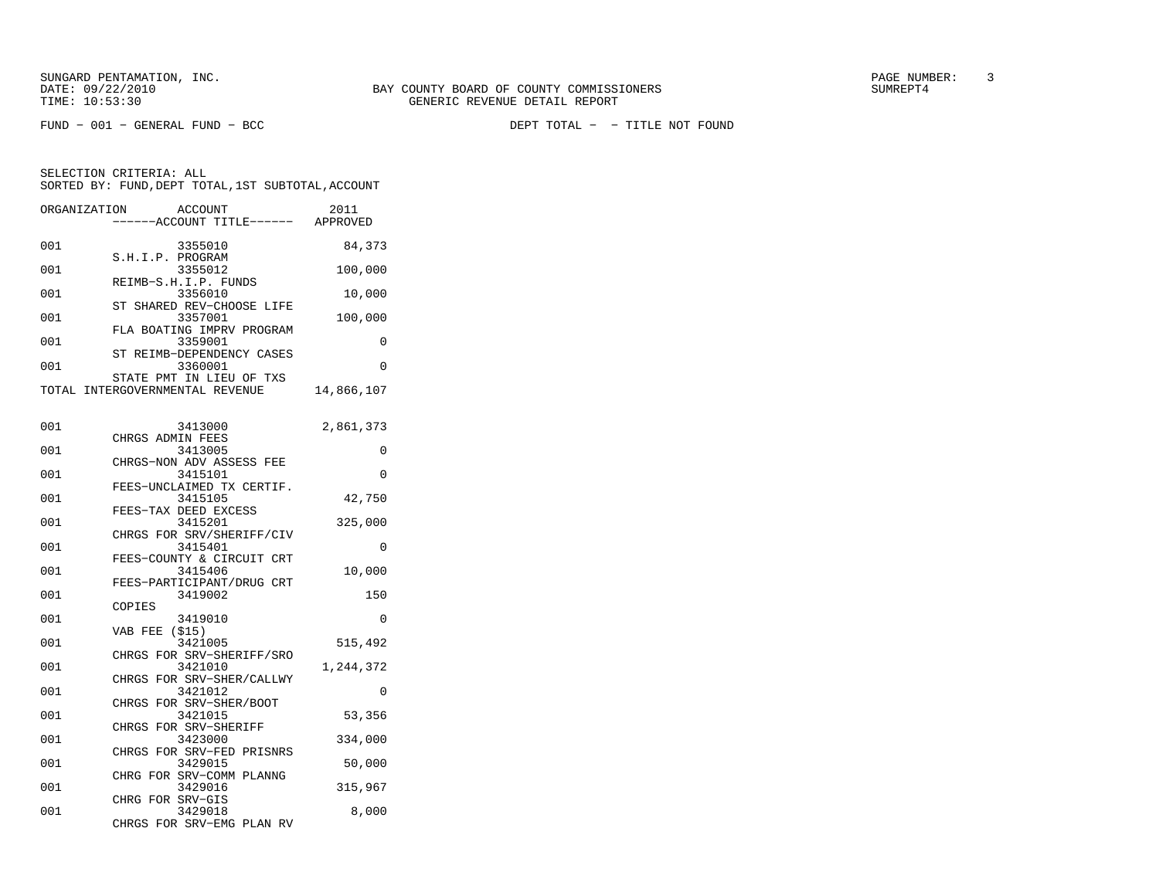FUND − 001 − GENERAL FUND − BCC DEPT TOTAL − − TITLE NOT FOUND

| ORGANIZATION | ACCOUNT<br>----ACCOUNT TITLE------ APPROVED                 | 2011       |
|--------------|-------------------------------------------------------------|------------|
| 001          | 3355010                                                     | 84,373     |
| 001          | S.H.I.P. PROGRAM<br>3355012                                 | 100,000    |
|              | REIMB-S.H.I.P. FUNDS                                        |            |
| 001          | 3356010<br>ST SHARED REV-CHOOSE LIFE                        | 10,000     |
| 001          | 3357001<br>FLA BOATING IMPRV PROGRAM                        | 100,000    |
| 001          | 3359001                                                     | $\Omega$   |
| 001          | ST REIMB-DEPENDENCY CASES<br>3360001                        | 0          |
|              | STATE PMT IN LIEU OF TXS<br>TOTAL INTERGOVERNMENTAL REVENUE | 14,866,107 |
|              |                                                             |            |
| 001          | 3413000                                                     | 2,861,373  |
| 001          | CHRGS ADMIN FEES<br>3413005                                 | 0          |
| 001          | CHRGS-NON ADV ASSESS FEE<br>3415101                         | $\Omega$   |
|              | FEES-UNCLAIMED TX CERTIF.                                   |            |
| 001          | 3415105<br>FEES-TAX DEED EXCESS                             | 42,750     |
| 001          | 3415201                                                     | 325,000    |
| 001          | CHRGS FOR SRV/SHERIFF/CIV<br>3415401                        | $\Omega$   |
| 001          | FEES-COUNTY & CIRCUIT CRT<br>3415406                        | 10,000     |
| 001          | FEES-PARTICIPANT/DRUG CRT<br>3419002                        |            |
|              | COPIES                                                      | 150        |
| 001          | 3419010<br>VAB FEE<br>(S15)                                 | 0          |
| 001          | 3421005<br>CHRGS FOR SRV-SHERIFF/SRO                        | 515,492    |
| 001          | 3421010                                                     | 1,244,372  |
| 001          | CHRGS FOR SRV-SHER/CALLWY<br>3421012                        | 0          |
| 001          | CHRGS FOR SRV-SHER/BOOT<br>3421015                          | 53,356     |
|              | CHRGS FOR SRV-SHERIFF                                       |            |
| 001          | 3423000<br>CHRGS FOR SRV-FED PRISNRS                        | 334,000    |
| 001          | 3429015<br>CHRG FOR SRV-COMM PLANNG                         | 50,000     |
| 001          | 3429016                                                     | 315,967    |
| 001          | CHRG FOR SRV-GIS<br>3429018                                 | 8,000      |
|              | CHRGS FOR SRV-EMG PLAN RV                                   |            |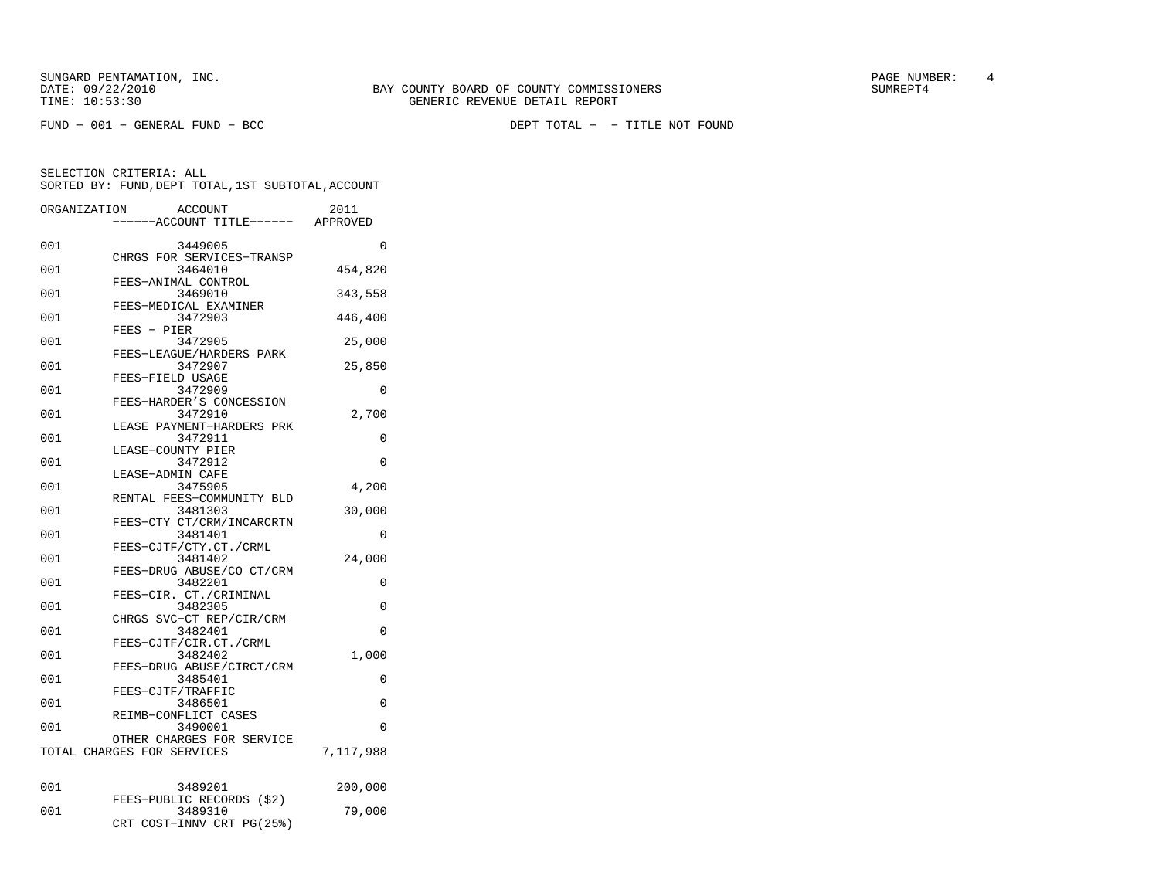SUNGARD PENTAMATION, INC.<br>
BAY COUNTY BOARD OF COUNTY COMMISSIONERS AND SUNREPT4 SUMREPT4

FUND − 001 − GENERAL FUND − BCC DEPT TOTAL − − TITLE NOT FOUND

| ORGANIZATION | <b>ACCOUNT</b><br>---ACCOUNT TITLE------ APPROVED                 | 2011      |
|--------------|-------------------------------------------------------------------|-----------|
| 001          | 3449005                                                           | 0         |
| 001          | CHRGS FOR SERVICES-TRANSP<br>3464010                              | 454,820   |
| 001          | FEES-ANIMAL CONTROL<br>3469010                                    | 343,558   |
| 001          | FEES-MEDICAL EXAMINER<br>3472903                                  | 446,400   |
| 001          | $FEES - PIER$<br>3472905                                          | 25,000    |
| 001          | FEES-LEAGUE/HARDERS PARK<br>3472907                               | 25,850    |
| 001          | FEES-FIELD USAGE<br>3472909                                       | 0         |
| 001          | FEES-HARDER'S CONCESSION<br>3472910                               | 2,700     |
| 001          | LEASE PAYMENT-HARDERS PRK<br>3472911                              | $\Omega$  |
| 001          | LEASE-COUNTY PIER<br>3472912                                      | $\Omega$  |
| 001          | LEASE-ADMIN CAFE<br>3475905                                       | 4,200     |
| 001          | RENTAL FEES-COMMUNITY BLD<br>3481303                              | 30,000    |
| 001          | FEES-CTY CT/CRM/INCARCRTN<br>3481401                              | 0         |
| 001          | FEES-CJTF/CTY.CT./CRML<br>3481402<br>FEES-DRUG ABUSE/CO CT/CRM    | 24,000    |
| 001          | 3482201<br>FEES-CIR. CT./CRIMINAL                                 | $\Omega$  |
| 001          | 3482305<br>CHRGS SVC-CT REP/CIR/CRM                               | 0         |
| 001          | 3482401<br>FEES-CJTF/CIR.CT./CRML                                 | 0         |
| 001          | 3482402<br>FEES-DRUG ABUSE/CIRCT/CRM                              | 1,000     |
| 001          | 3485401<br>FEES-CJTF/TRAFFIC                                      | $\Omega$  |
| 001          | 3486501<br>REIMB-CONFLICT CASES                                   | 0         |
| 001          | 3490001<br>OTHER CHARGES FOR SERVICE                              | $\Omega$  |
|              | TOTAL CHARGES FOR SERVICES                                        | 7,117,988 |
| 001          | 3489201                                                           | 200,000   |
| 001          | FEES-PUBLIC RECORDS (\$2)<br>3489310<br>CRT COST-INNV CRT PG(25%) | 79,000    |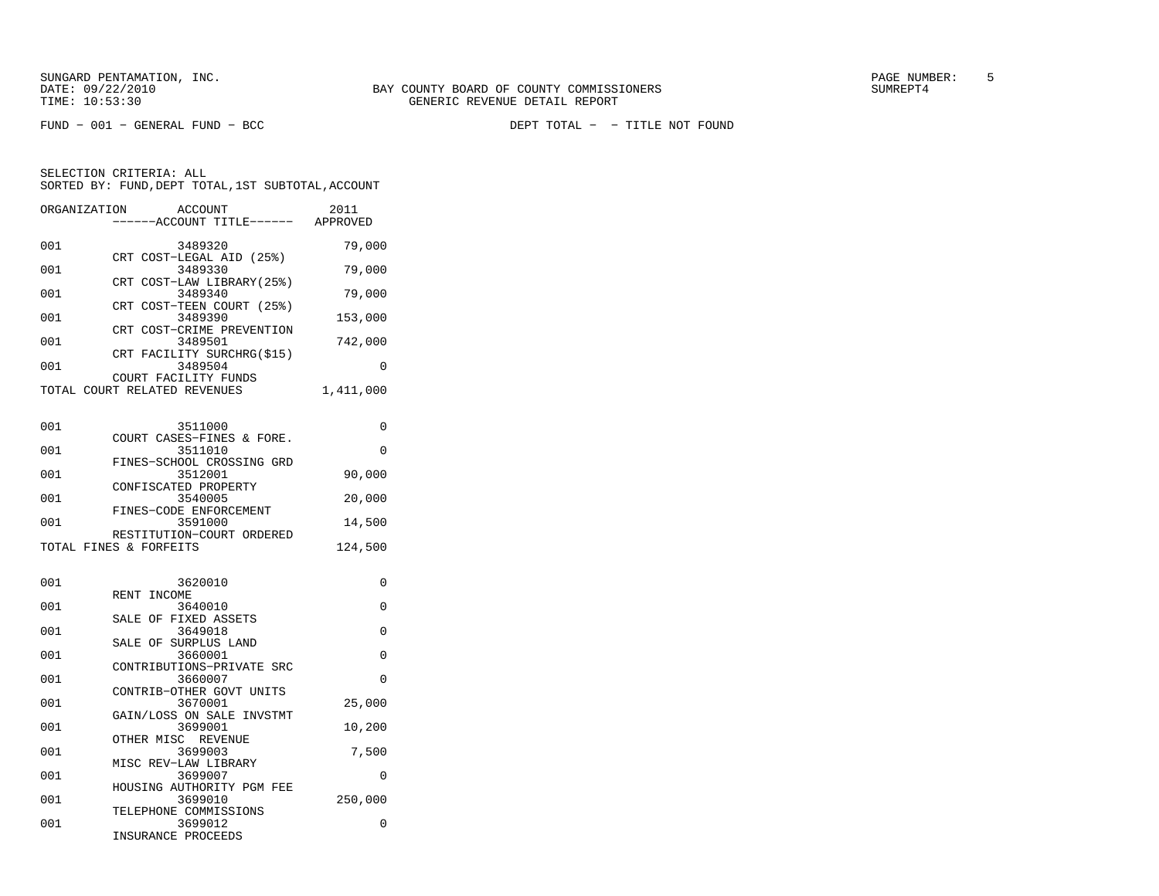FUND − 001 − GENERAL FUND − BCC DEPT TOTAL − − TITLE NOT FOUND

| ORGANIZATION | <b>ACCOUNT</b><br>----ACCOUNT TITLE------ APPROVED     | 2011      |
|--------------|--------------------------------------------------------|-----------|
| 001          | 3489320                                                | 79,000    |
| 001          | CRT COST-LEGAL AID (25%)<br>3489330                    | 79,000    |
| 001          | CRT COST-LAW LIBRARY (25%)<br>3489340                  | 79,000    |
| 001          | CRT COST-TEEN COURT (25%)<br>3489390                   | 153,000   |
| 001          | CRT COST-CRIME PREVENTION<br>3489501                   | 742,000   |
| 001          | FACILITY SURCHRG(\$15)<br>CRT<br>3489504               | 0         |
|              | COURT FACILITY FUNDS<br>TOTAL COURT RELATED REVENUES   | 1,411,000 |
| 001          | 3511000                                                | 0         |
| 001          | COURT CASES-FINES & FORE.<br>3511010                   | 0         |
| 001          | FINES-SCHOOL CROSSING GRD<br>3512001                   | 90,000    |
| 001          | CONFISCATED PROPERTY<br>3540005                        | 20,000    |
| 001          | FINES-CODE ENFORCEMENT<br>3591000                      | 14,500    |
|              | RESTITUTION-COURT ORDERED<br>TOTAL FINES & FORFEITS    | 124,500   |
| 001          | 3620010                                                |           |
|              |                                                        | 0         |
| 001          | INCOME<br>RENT<br>3640010                              | 0         |
| 001          | SALE OF FIXED ASSETS<br>3649018                        | 0         |
| 001          | SALE OF SURPLUS LAND<br>3660001                        | 0         |
| 001          | CONTRIBUTIONS-PRIVATE SRC<br>3660007                   | $\Omega$  |
| 001          | CONTRIB-OTHER GOVT UNITS<br>3670001                    | 25,000    |
| 001          | GAIN/LOSS ON SALE INVSTMT<br>3699001                   | 10,200    |
| 001          | OTHER MISC REVENUE<br>3699003                          | 7,500     |
| 001          | MISC REV-LAW LIBRARY<br>3699007                        | 0         |
| 001          | HOUSING AUTHORITY PGM FEE<br>3699010                   | 250,000   |
| 001          | TELEPHONE COMMISSIONS<br>3699012<br>INSURANCE PROCEEDS | 0         |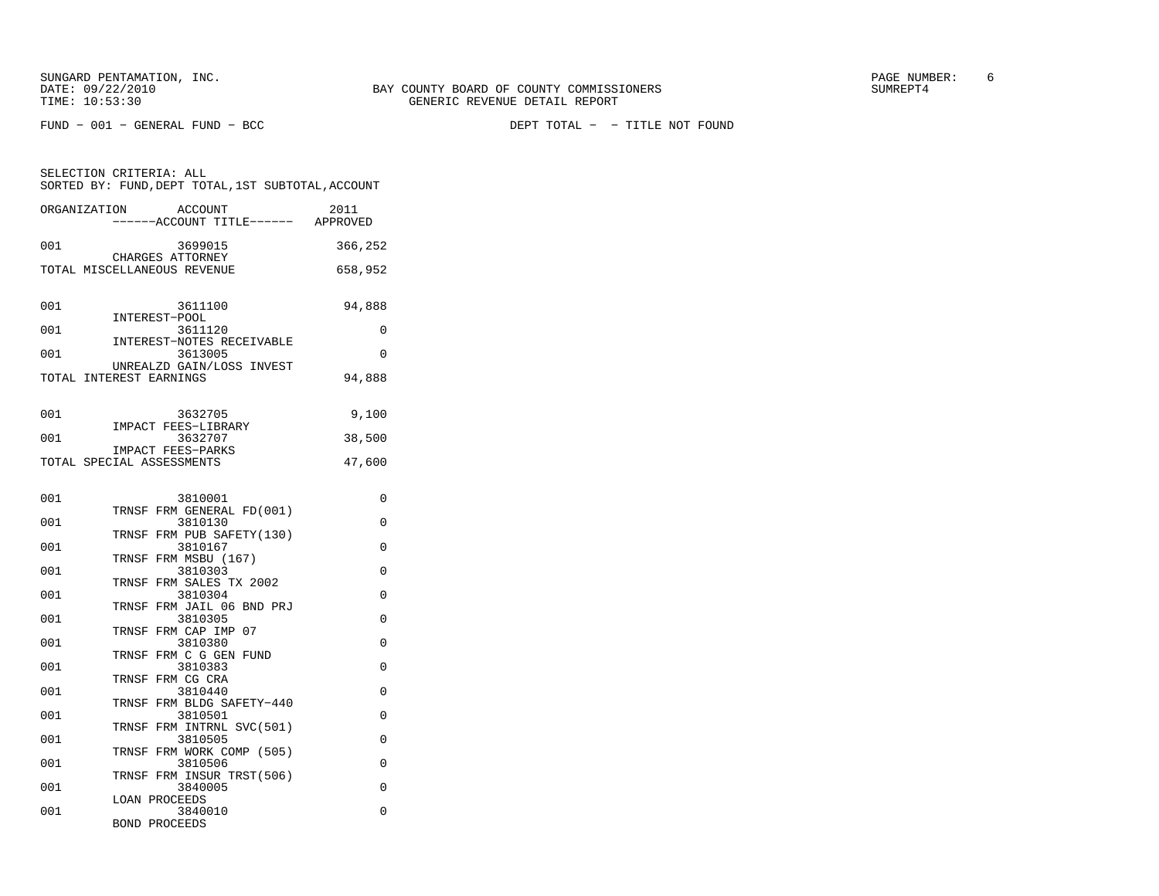SELECTION CRITERIA: ALL

| SORTED BY: FUND, DEPT TOTAL, 1ST SUBTOTAL, ACCOUNT |                  |                                      |                  |
|----------------------------------------------------|------------------|--------------------------------------|------------------|
| ORGANIZATION                                       |                  | ACCOUNT<br>------ACCOUNT TITLE------ | 2011<br>APPROVED |
| 001                                                | CHARGES ATTORNEY | 3699015                              | 366,252          |

| 001 | 3611100                                              | 94,888 |
|-----|------------------------------------------------------|--------|
| 001 | INTEREST-POOL<br>3611120                             |        |
| 001 | INTEREST-NOTES RECEIVABLE<br>3613005                 | O      |
|     | UNREALZD GAIN/LOSS INVEST<br>TOTAL INTEREST EARNINGS | 94,888 |
|     |                                                      |        |
| 001 | 3632705                                              | 9,100  |

TOTAL MISCELLANEOUS REVENUE 658,952

| $\cup$ $\cup$ $\bot$ | <u>JUJZIUJ</u>            | 7.100  |
|----------------------|---------------------------|--------|
|                      | IMPACT FEES-LIBRARY       |        |
| 001                  | 3632707                   | 38,500 |
|                      | IMPACT FEES-PARKS         |        |
|                      | TOTAL SPECIAL ASSESSMENTS | 47,600 |

| 001 | 3810001                            | 0        |
|-----|------------------------------------|----------|
|     | TRNSF FRM GENERAL FD(001)          |          |
| 001 | 3810130                            | $\Omega$ |
|     | TRNSF FRM PUB SAFETY(130)          |          |
| 001 | 3810167                            | $\Omega$ |
|     | TRNSF FRM MSBU (167)               |          |
| 001 | 3810303                            | $\Omega$ |
| 001 | TRNSF FRM SALES TX 2002<br>3810304 | $\Omega$ |
|     | TRNSF FRM JAIL 06 BND PRJ          |          |
| 001 | 3810305                            | $\Omega$ |
|     | TRNSF FRM CAP IMP 07               |          |
| 001 | 3810380                            | $\Omega$ |
|     | TRNSF FRM C G GEN FUND             |          |
| 001 | 3810383                            | $\Omega$ |
|     | TRNSF FRM CG CRA                   |          |
| 001 | 3810440                            | $\Omega$ |
|     | TRNSF FRM BLDG SAFETY-440          |          |
| 001 | 3810501                            | $\Omega$ |
|     | TRNSF FRM INTRNL SVC(501)          |          |
| 001 | 3810505                            | $\Omega$ |
|     | TRNSF FRM WORK COMP (505)          |          |
| 001 | 3810506                            | $\Omega$ |
|     | TRNSF FRM INSUR TRST(506)          |          |
| 001 | 3840005                            | $\Omega$ |
|     | LOAN PROCEEDS                      |          |
| 001 | 3840010<br><b>BOND PROCEEDS</b>    | $\Omega$ |
|     |                                    |          |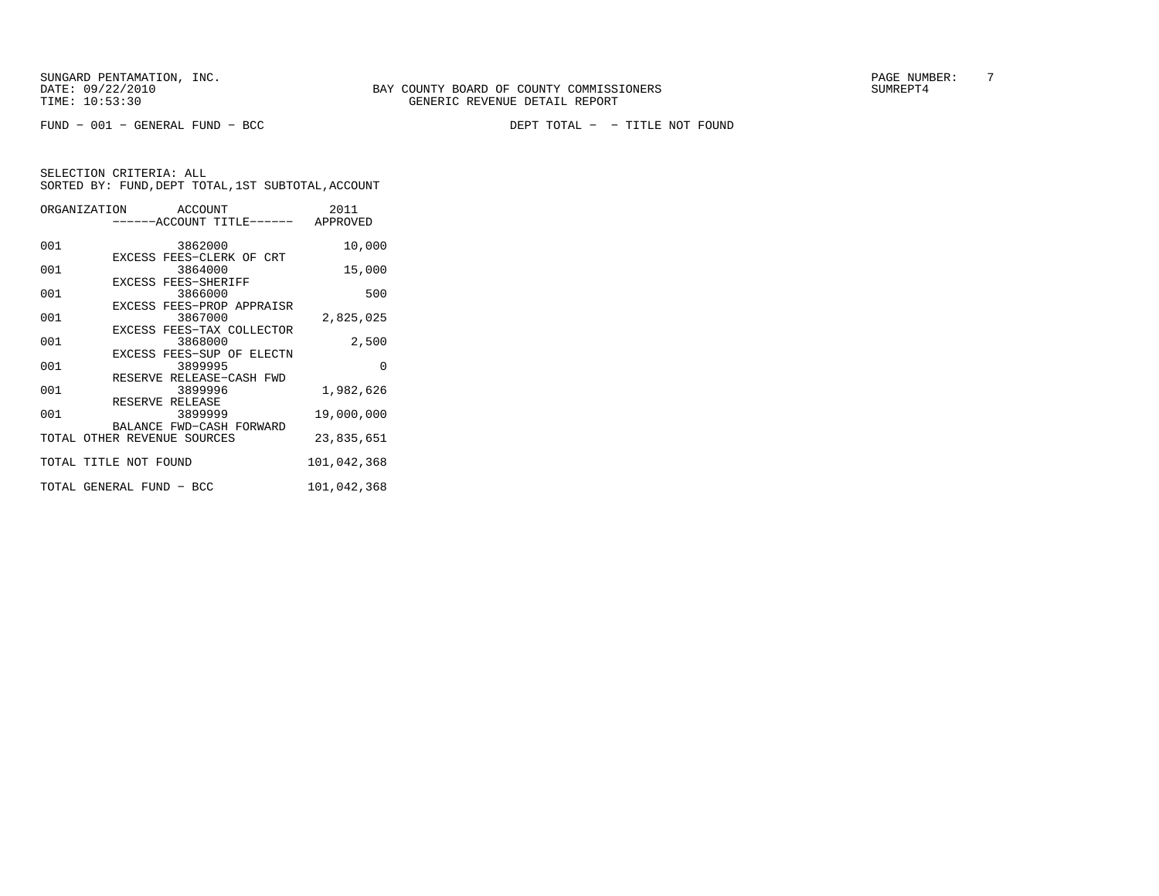FUND − 001 − GENERAL FUND − BCC DEPT TOTAL − − TITLE NOT FOUND

|     | ORGANIZATION ACCOUNT<br>------ACCOUNT TITLE------ APPROVED | 2011        |
|-----|------------------------------------------------------------|-------------|
| 001 | 3862000                                                    | 10,000      |
| 001 | EXCESS FEES-CLERK OF CRT<br>3864000                        | 15,000      |
|     | EXCESS FEES-SHERIFF                                        |             |
| 001 | 3866000<br>EXCESS FEES-PROP APPRAISR                       | 500         |
| 001 | 3867000                                                    | 2,825,025   |
| 001 | EXCESS FEES-TAX COLLECTOR<br>3868000                       | 2,500       |
| 001 | EXCESS FEES-SUP OF ELECTN<br>3899995                       | $\Omega$    |
| 001 | RESERVE RELEASE-CASH FWD<br>3899996                        | 1,982,626   |
|     | RESERVE RELEASE                                            |             |
| 001 | 3899999                                                    | 19,000,000  |
|     | BALANCE FWD-CASH FORWARD<br>TOTAL OTHER REVENUE SOURCES    | 23,835,651  |
|     | TOTAL TITLE NOT FOUND                                      | 101,042,368 |
|     | TOTAL GENERAL FUND - BCC                                   | 101,042,368 |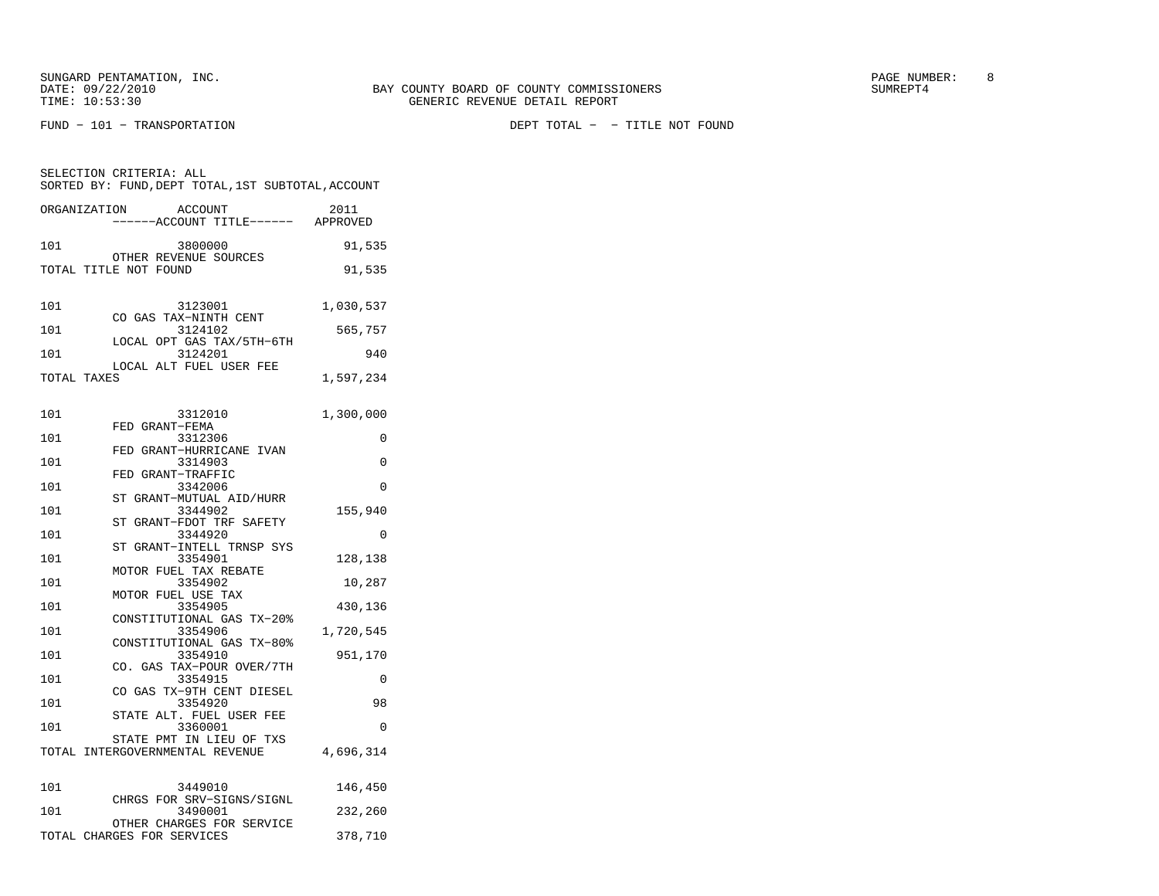FUND − 101 − TRANSPORTATION DEPT TOTAL − − TITLE NOT FOUND

| SELECTION CRITERIA: ALL<br>SORTED BY: FUND, DEPT TOTAL, 1ST SUBTOTAL, ACCOUNT |                                                         |           |  |
|-------------------------------------------------------------------------------|---------------------------------------------------------|-----------|--|
| ORGANIZATION                                                                  | ACCOUNT<br>-----ACCOUNT TITLE------ APPROVED            | 2011      |  |
| 101                                                                           | 3800000                                                 | 91,535    |  |
|                                                                               | OTHER REVENUE SOURCES<br>TOTAL TITLE NOT FOUND          | 91,535    |  |
| 101                                                                           | 3123001<br>CO GAS TAX-NINTH CENT                        | 1,030,537 |  |
| 101                                                                           | 3124102                                                 | 565,757   |  |
| 101                                                                           | LOCAL OPT GAS TAX/5TH-6TH<br>3124201                    | 940       |  |
| TOTAL TAXES                                                                   | LOCAL ALT FUEL USER FEE                                 | 1,597,234 |  |
| 101                                                                           | 3312010                                                 | 1,300,000 |  |
| 101                                                                           | FED GRANT-FEMA<br>3312306                               | 0         |  |
| 101                                                                           | FED GRANT-HURRICANE IVAN<br>3314903                     | 0         |  |
| 101                                                                           | FED GRANT-TRAFFIC<br>3342006                            | 0         |  |
| 101                                                                           | ST GRANT-MUTUAL AID/HURR<br>3344902                     | 155,940   |  |
| 101                                                                           | ST GRANT-FDOT TRF SAFETY<br>3344920                     | 0         |  |
| 101                                                                           | ST GRANT-INTELL TRNSP SYS<br>3354901                    | 128,138   |  |
| 101                                                                           | MOTOR FUEL TAX REBATE<br>3354902                        | 10,287    |  |
| 101                                                                           | MOTOR FUEL USE TAX<br>3354905                           | 430,136   |  |
| 101                                                                           | CONSTITUTIONAL GAS TX-20%<br>3354906                    | 1,720,545 |  |
| 101                                                                           | CONSTITUTIONAL GAS TX-80%<br>3354910                    | 951,170   |  |
| 101                                                                           | CO. GAS TAX-POUR OVER/7TH<br>3354915                    | 0         |  |
|                                                                               | CO GAS TX-9TH CENT DIESEL                               |           |  |
| 101                                                                           | 3354920<br>STATE ALT. FUEL USER FEE                     | 98        |  |
| 101                                                                           | 3360001<br>STATE PMT IN LIEU OF TXS                     | $\Omega$  |  |
|                                                                               | TOTAL INTERGOVERNMENTAL REVENUE                         | 4,696,314 |  |
| 101                                                                           | 3449010<br>CHRGS FOR SRV-SIGNS/SIGNL                    | 146,450   |  |
| 101                                                                           | 3490001                                                 | 232,260   |  |
|                                                                               | OTHER CHARGES FOR SERVICE<br>TOTAL CHARGES FOR SERVICES | 378,710   |  |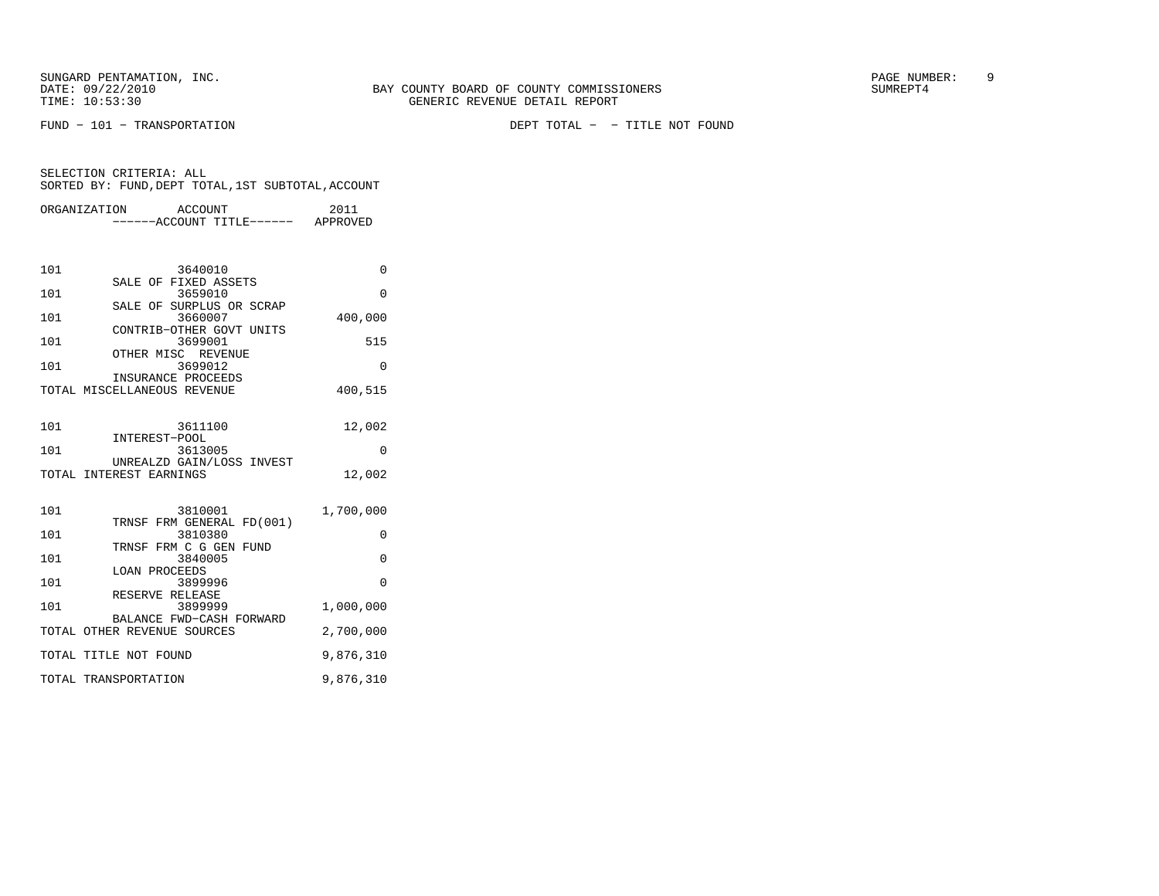FUND − 101 − TRANSPORTATION DEPT TOTAL − − TITLE NOT FOUND

|                                 | ORGANIZATION ACCOUNT<br>-----ACCOUNT TITLE------ APPROVED                                                                                                                                                        | 2011                                                             |
|---------------------------------|------------------------------------------------------------------------------------------------------------------------------------------------------------------------------------------------------------------|------------------------------------------------------------------|
| 101<br>101<br>101<br>101<br>101 | 3640010<br>SALE OF FIXED ASSETS<br>3659010<br>SALE OF SURPLUS OR SCRAP<br>3660007<br>CONTRIB-OTHER GOVT UNITS<br>3699001<br>OTHER MISC REVENUE<br>3699012<br>INSURANCE PROCEEDS<br>TOTAL MISCELLANEOUS REVENUE   | 0<br>$\Omega$<br>400,000<br>515<br>$\Omega$<br>400,515           |
| 101<br>101                      | 3611100<br>INTEREST-POOL<br>3613005<br>UNREALZD GAIN/LOSS INVEST<br>TOTAL INTEREST EARNINGS                                                                                                                      | 12,002<br>0<br>12,002                                            |
| 101<br>101<br>101<br>101<br>101 | 3810001<br>TRNSF FRM GENERAL FD(001)<br>3810380<br>TRNSF FRM C G GEN FUND<br>3840005<br><b>LOAN PROCEEDS</b><br>3899996<br>RESERVE RELEASE<br>3899999<br>BALANCE FWD-CASH FORWARD<br>TOTAL OTHER REVENUE SOURCES | 1,700,000<br>0<br>$\Omega$<br>$\Omega$<br>1,000,000<br>2,700,000 |
|                                 | TOTAL TITLE NOT FOUND<br>TOTAL TRANSPORTATION                                                                                                                                                                    | 9,876,310<br>9,876,310                                           |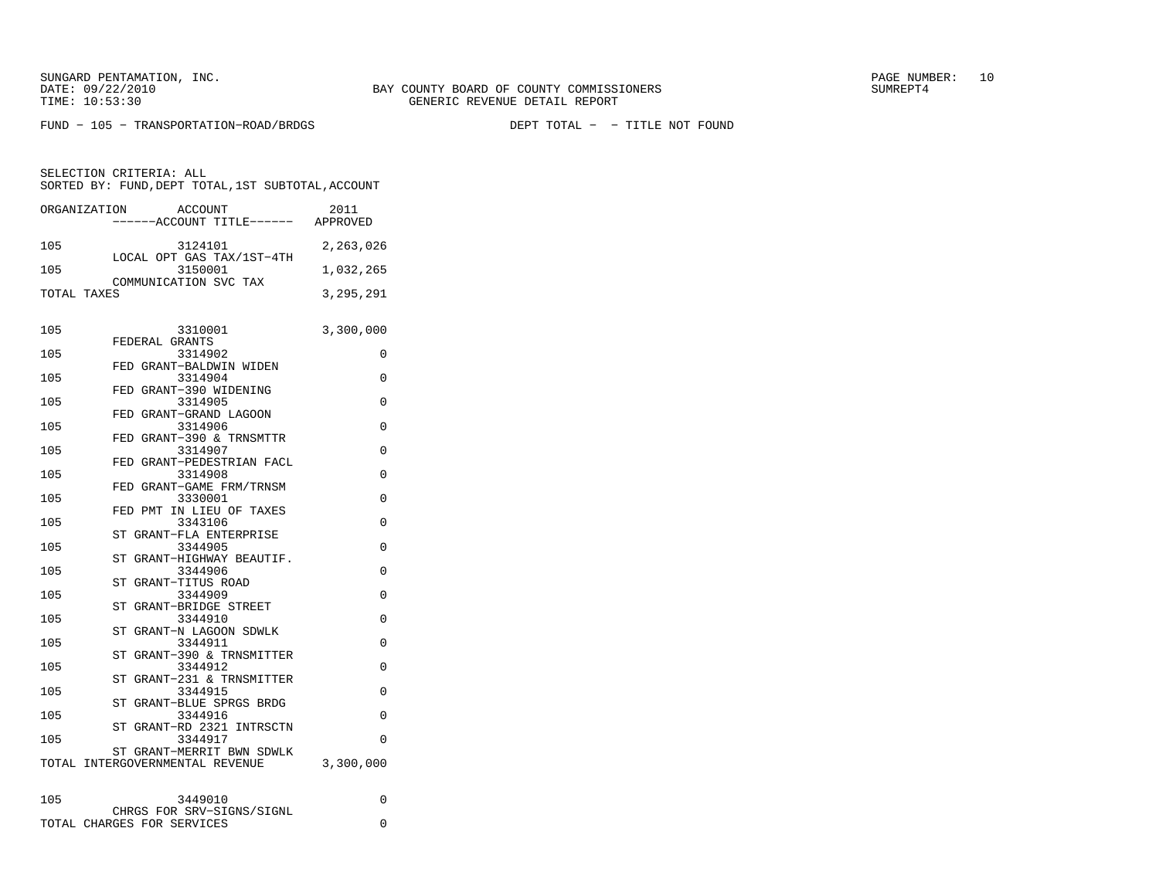FUND − 105 − TRANSPORTATION−ROAD/BRDGS DEPT TOTAL − − TITLE NOT FOUND

SELECTION CRITERIA: ALLSORTED BY: FUND, DEPT TOTAL, 1ST SUBTOTAL, ACCOUNT

| ORGANIZATION | ACCOUNT                                 | 2011      |
|--------------|-----------------------------------------|-----------|
|              | ----ACCOUNT TITLE------ APPROVED        |           |
| 105          | 3124101<br>LOCAL OPT GAS TAX/1ST-4TH    | 2,263,026 |
| 105          | 3150001<br>COMMUNICATION SVC TAX        | 1,032,265 |
| TOTAL TAXES  |                                         | 3,295,291 |
|              |                                         |           |
| 105          | 3310001<br>FEDERAL GRANTS               | 3,300,000 |
| 105          | 3314902<br>FED GRANT-BALDWIN WIDEN      | 0         |
| 105          | 3314904                                 | 0         |
| 105          | FED GRANT-390 WIDENING<br>3314905       | 0         |
| 105          | FED GRANT-GRAND LAGOON<br>3314906       | 0         |
| 105          | FED GRANT-390 & TRNSMTTR<br>3314907     | 0         |
| 105          | FED GRANT-PEDESTRIAN FACL<br>3314908    | 0         |
| 105          | FED GRANT-GAME FRM/TRNSM<br>3330001     | $\Omega$  |
|              | FED PMT IN LIEU OF TAXES                |           |
| 105          | 3343106<br>ST GRANT-FLA ENTERPRISE      | 0         |
| 105          | 3344905<br>GRANT-HIGHWAY BEAUTIF.<br>ST | 0         |
| 105          | 3344906<br>GRANT-TITUS ROAD<br>ST       | 0         |
| 105          | 3344909<br>GRANT-BRIDGE STREET<br>ST    | $\Omega$  |
| 105          | 3344910                                 | 0         |
| 105          | ST<br>GRANT-N LAGOON SDWLK<br>3344911   | 0         |
| 105          | GRANT-390 & TRNSMITTER<br>ST<br>3344912 | 0         |
| 105          | ST GRANT-231 & TRNSMITTER<br>3344915    | 0         |
| 105          | ST GRANT-BLUE SPRGS BRDG<br>3344916     | $\Omega$  |
| 105          | ST GRANT-RD 2321 INTRSCTN<br>3344917    | $\Omega$  |
|              | ST GRANT-MERRIT BWN SDWLK               |           |
|              | TOTAL INTERGOVERNMENTAL REVENUE         | 3,300,000 |
| 105          | 3449010                                 | 0         |
|              | CHRGS FOR SRV-SIGNS/SIGNL               |           |

TOTAL CHARGES FOR SERVICES 0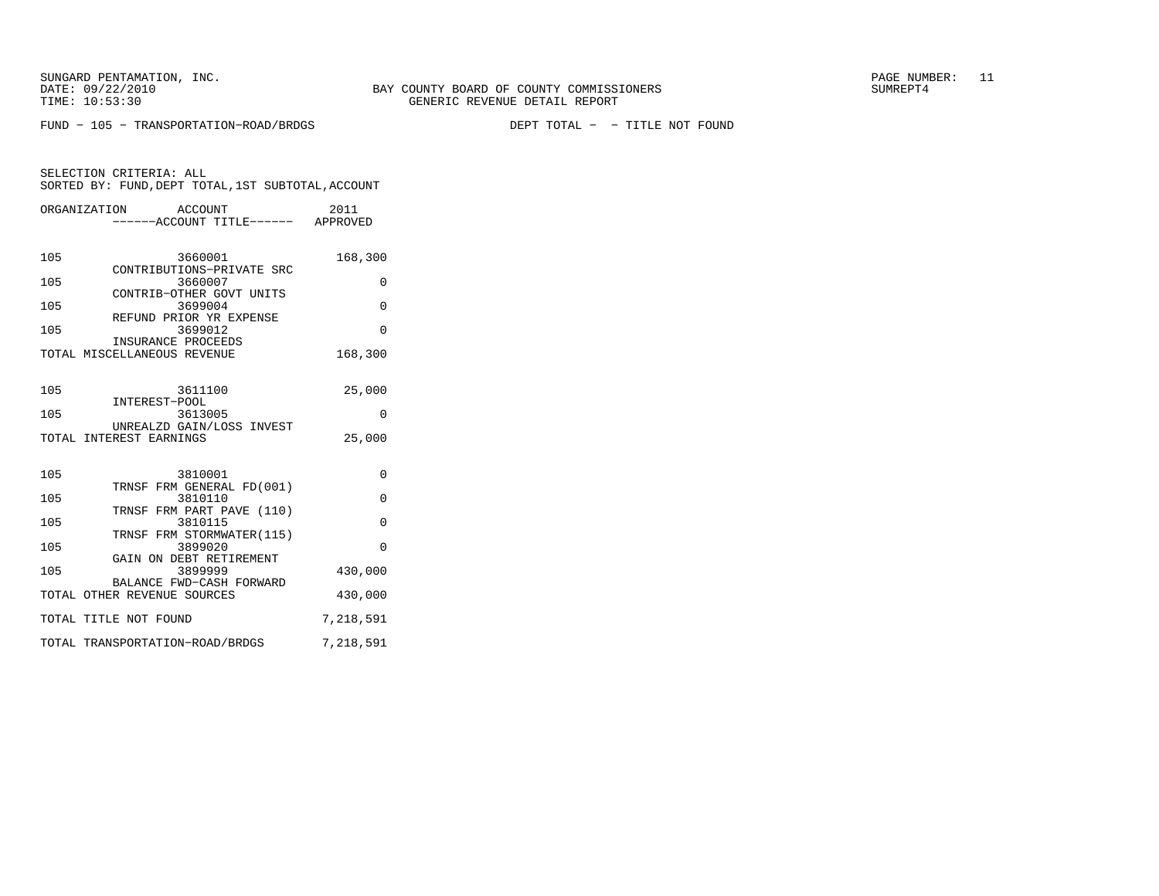FUND − 105 − TRANSPORTATION−ROAD/BRDGS DEPT TOTAL − − TITLE NOT FOUND

|     | ORGANIZATION<br>ACCOUNT                              | 2011      |
|-----|------------------------------------------------------|-----------|
|     | ------ACCOUNT TITLE------ APPROVED                   |           |
|     |                                                      |           |
| 105 | 3660001<br>CONTRIBUTIONS-PRIVATE SRC                 | 168,300   |
| 105 | 3660007                                              | $\Omega$  |
| 105 | CONTRIB-OTHER GOVT UNITS<br>3699004                  | $\Omega$  |
|     | REFUND PRIOR YR EXPENSE                              | $\Omega$  |
| 105 | 3699012<br>INSURANCE PROCEEDS                        |           |
|     | TOTAL MISCELLANEOUS REVENUE                          | 168,300   |
|     |                                                      |           |
| 105 | 3611100<br>INTEREST-POOL                             | 25,000    |
| 105 | 3613005                                              | $\Omega$  |
|     | UNREALZD GAIN/LOSS INVEST<br>TOTAL INTEREST EARNINGS | 25,000    |
|     |                                                      |           |
| 105 | 3810001                                              | 0         |
|     | TRNSF FRM GENERAL FD(001)                            |           |
| 105 | 3810110<br>TRNSF FRM PART PAVE (110)                 | $\Omega$  |
| 105 | 3810115<br>TRNSF FRM STORMWATER(115)                 | $\Omega$  |
| 105 | 3899020                                              | $\Omega$  |
| 105 | GAIN ON DEBT RETIREMENT<br>3899999                   | 430,000   |
|     | BALANCE FWD-CASH FORWARD                             |           |
|     | TOTAL OTHER REVENUE SOURCES                          | 430,000   |
|     | TOTAL TITLE NOT FOUND                                | 7,218,591 |
|     | TOTAL TRANSPORTATION-ROAD/BRDGS                      | 7,218,591 |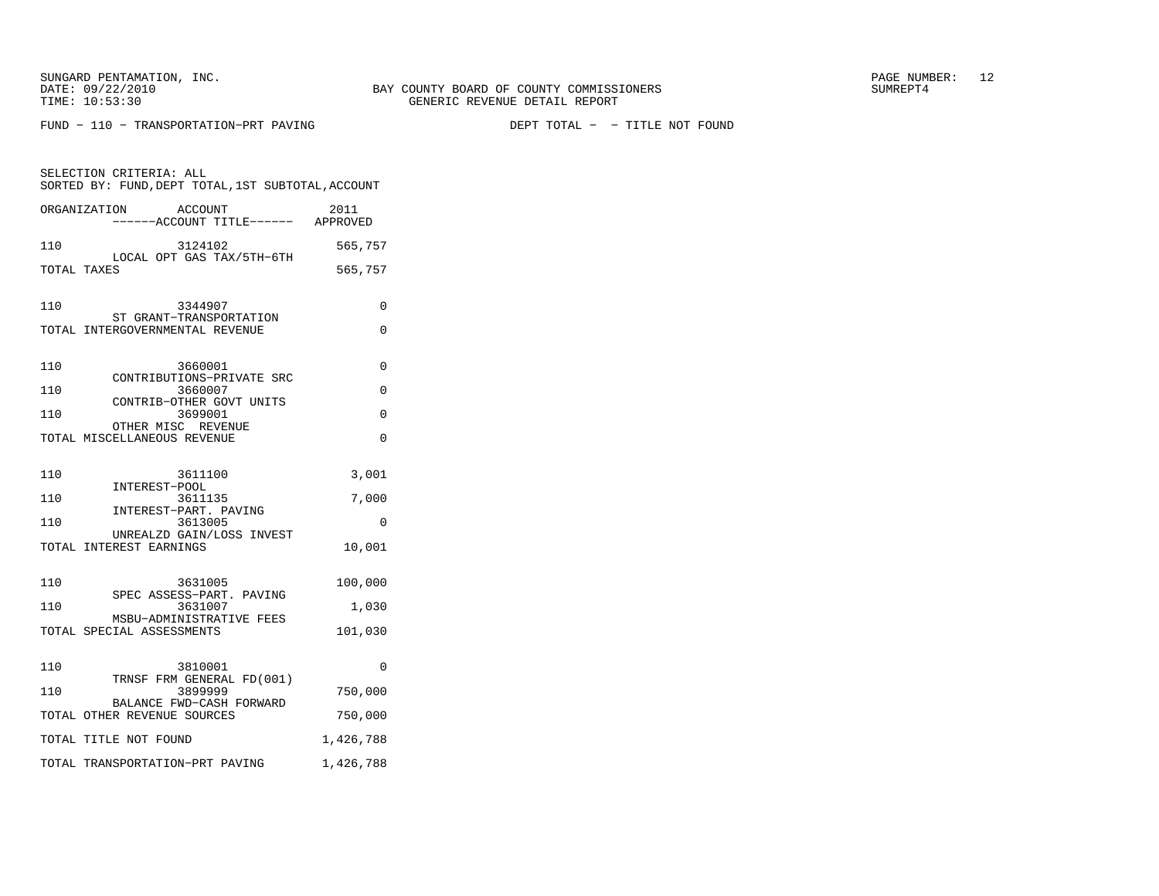SELECTION CRITERIA: ALL

FUND - 110 - TRANSPORTATION-PRT PAVING

SORTED BY: FUND, DEPT TOTAL, 1ST SUBTOTAL, ACCOUNT

| ORGANIZATION                | ACCOUNT<br>.<br>-----ACCOUNT TITLE------ APPROVED | 2011      |
|-----------------------------|---------------------------------------------------|-----------|
| 110                         | 3124102                                           | 565,757   |
| TOTAL TAXES                 | LOCAL OPT GAS TAX/5TH-6TH                         | 565,757   |
| 110                         | 3344907<br>ST GRANT-TRANSPORTATION                | 0         |
|                             | TOTAL INTERGOVERNMENTAL REVENUE                   | 0         |
| 110                         | 3660001<br>CONTRIBUTIONS-PRIVATE SRC              | $\Omega$  |
| 110                         | 3660007<br>CONTRIB-OTHER GOVT UNITS               | 0         |
| 110                         | 3699001                                           | 0         |
| TOTAL MISCELLANEOUS REVENUE | OTHER MISC REVENUE                                | 0         |
| 110                         | 3611100<br>INTEREST-POOL                          | 3,001     |
| 110                         | 3611135                                           | 7,000     |
| 110                         | INTEREST-PART. PAVING<br>3613005                  | 0         |
| TOTAL INTEREST EARNINGS     | UNREALZD GAIN/LOSS INVEST                         | 10,001    |
| 110                         | 3631005<br>SPEC ASSESS-PART. PAVING               | 100,000   |
| 110                         | 3631007                                           | 1,030     |
| TOTAL SPECIAL ASSESSMENTS   | MSBU-ADMINISTRATIVE FEES                          | 101,030   |
| 110                         | 3810001<br>TRNSF FRM GENERAL FD(001)              | $\Omega$  |
| 110                         | 3899999                                           | 750,000   |
| TOTAL OTHER REVENUE SOURCES | BALANCE FWD-CASH FORWARD                          | 750,000   |
| TOTAL TITLE NOT FOUND       |                                                   | 1,426,788 |
|                             | TOTAL TRANSPORTATION-PRT PAVING                   | 1,426,788 |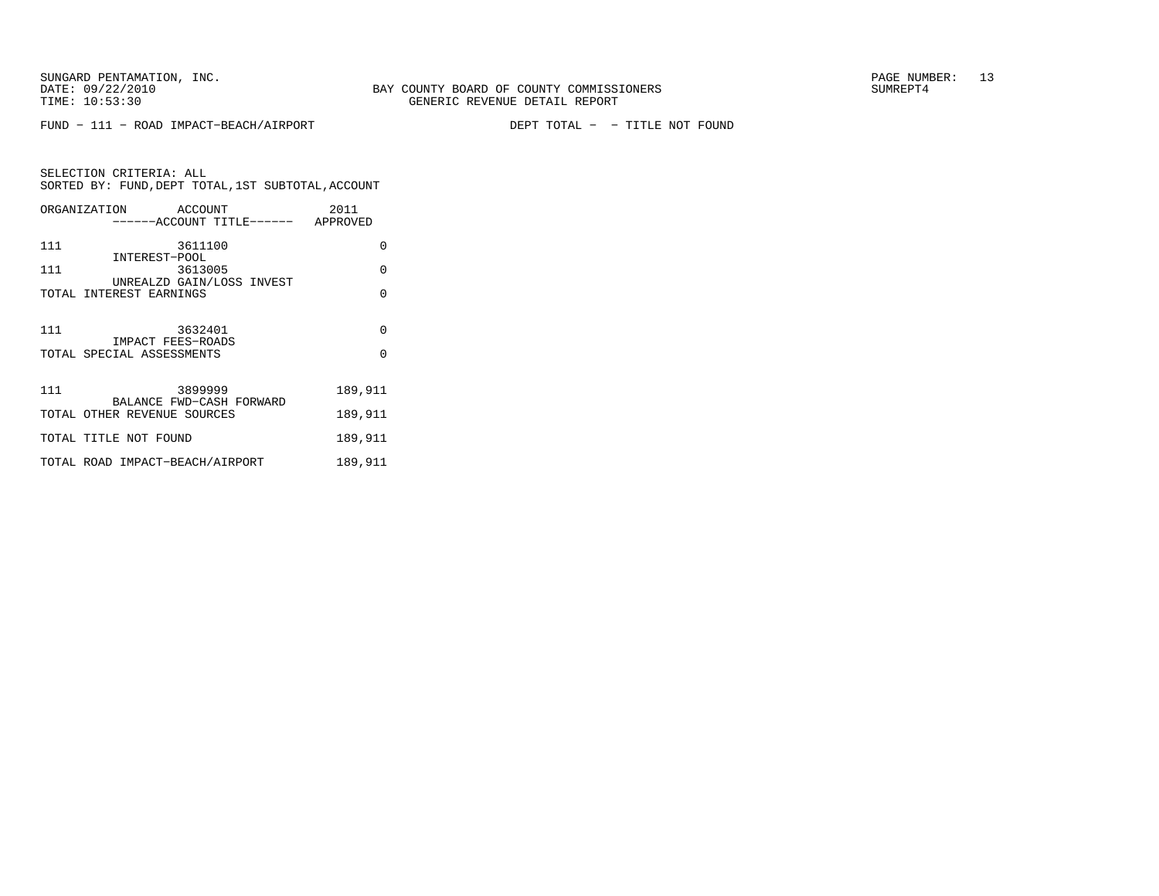FUND − 111 − ROAD IMPACT−BEACH/AIRPORT DEPT TOTAL − − TITLE NOT FOUND

SELECTION CRITERIA: ALLSORTED BY: FUND, DEPT TOTAL, 1ST SUBTOTAL, ACCOUNT ORGANIZATION ACCOUNT 2011−−−−−−ACCOUNT TITLE−−−−−− APPROVED

| 111 | 3611100<br>INTEREST-POOL                                | O        |
|-----|---------------------------------------------------------|----------|
| 111 | 3613005                                                 | $\Omega$ |
|     | UNREALZD GAIN/LOSS INVEST<br>TOTAL INTEREST EARNINGS    | O        |
| 111 | 3632401                                                 | $\Omega$ |
|     | IMPACT FEES-ROADS<br>TOTAL SPECIAL ASSESSMENTS          | $\Omega$ |
| 111 | 3899999                                                 | 189,911  |
|     | BALANCE FWD-CASH FORWARD<br>TOTAL OTHER REVENUE SOURCES | 189,911  |
|     | TOTAL TITLE NOT FOUND                                   | 189,911  |
|     | TOTAL ROAD IMPACT-BEACH/AIRPORT                         | 189,911  |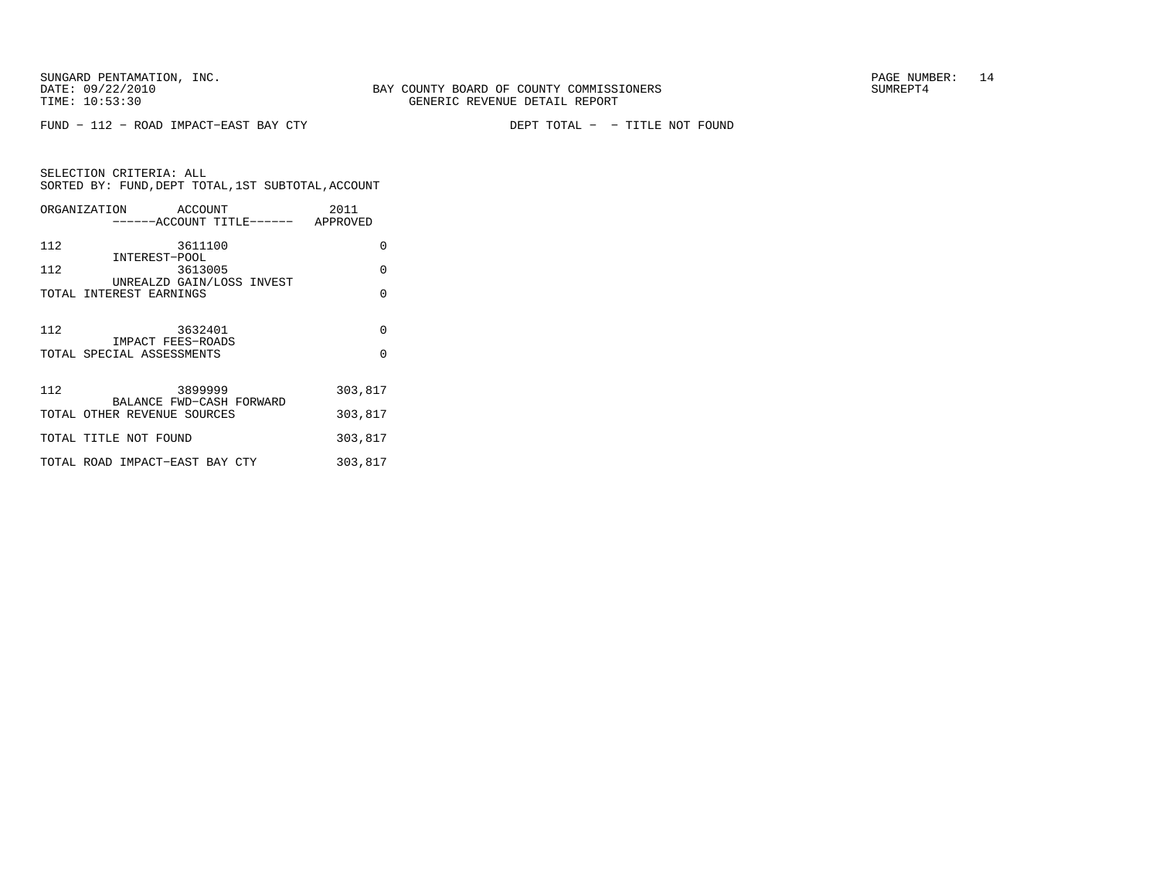FUND − 112 − ROAD IMPACT−EAST BAY CTY DEPT TOTAL − − TITLE NOT FOUND

SELECTION CRITERIA: ALLSORTED BY: FUND, DEPT TOTAL, 1ST SUBTOTAL, ACCOUNT ORGANIZATION ACCOUNT 2011−−−−−−ACCOUNT TITLE−−−−−− APPROVED

| 112 | 3611100                                                 | O        |
|-----|---------------------------------------------------------|----------|
| 112 | INTEREST-POOL<br>3613005                                | O        |
|     | UNREALZD GAIN/LOSS INVEST<br>TOTAL INTEREST EARNINGS    | O        |
|     |                                                         |          |
| 112 | 3632401<br>IMPACT FEES-ROADS                            | $\Omega$ |
|     | TOTAL SPECIAL ASSESSMENTS                               | U        |
| 112 | 3899999                                                 | 303,817  |
|     | BALANCE FWD-CASH FORWARD<br>TOTAL OTHER REVENUE SOURCES | 303,817  |
|     | TOTAL TITLE NOT FOUND                                   | 303,817  |
|     | TOTAL ROAD IMPACT-EAST BAY CTY                          | 303,817  |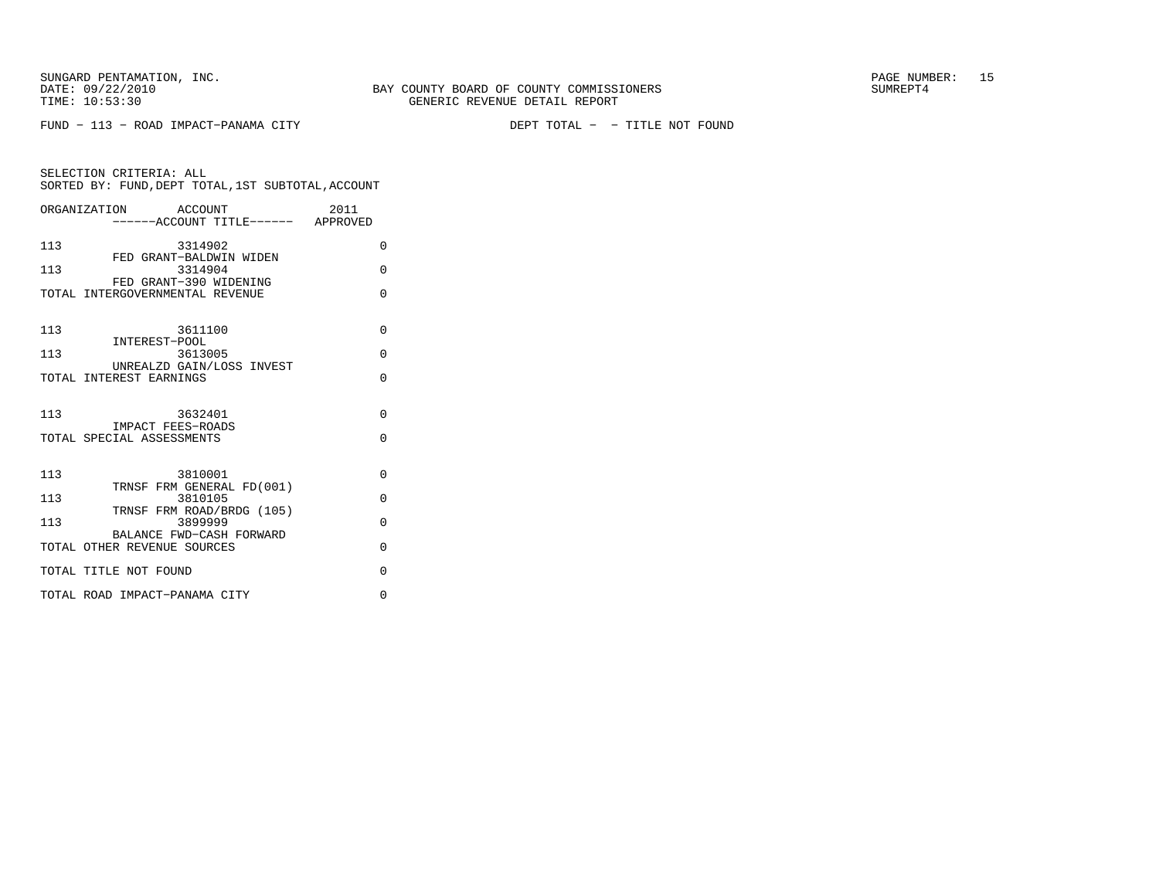DEPT TOTAL - - TITLE NOT FOUND

| SELECTION CRITERIA: ALL                            |  |
|----------------------------------------------------|--|
| SORTED BY: FUND, DEPT TOTAL, 1ST SUBTOTAL, ACCOUNT |  |

|     | ORGANIZATION ACCOUNT                                      | 2011     |
|-----|-----------------------------------------------------------|----------|
|     | ------ACCOUNT TITLE------ APPROVED                        |          |
| 113 | 3314902                                                   | 0        |
| 113 | FED GRANT-BALDWIN WIDEN<br>3314904                        | $\Omega$ |
|     | FED GRANT-390 WIDENING<br>TOTAL INTERGOVERNMENTAL REVENUE | $\Omega$ |
| 113 | 3611100                                                   | $\Omega$ |
| 113 | INTEREST-POOL<br>3613005                                  | $\Omega$ |
|     | UNREALZD GAIN/LOSS INVEST<br>TOTAL INTEREST EARNINGS      | $\Omega$ |
|     |                                                           |          |
| 113 | 3632401<br>IMPACT FEES-ROADS                              | $\Omega$ |
|     | TOTAL SPECIAL ASSESSMENTS                                 | 0        |
| 113 | 3810001                                                   | $\Omega$ |
| 113 | TRNSF FRM GENERAL FD(001)<br>3810105                      | $\Omega$ |
| 113 | TRNSF FRM ROAD/BRDG (105)<br>3899999                      | $\Omega$ |
|     | BALANCE FWD-CASH FORWARD<br>TOTAL OTHER REVENUE SOURCES   | $\Omega$ |
|     | TOTAL TITLE NOT FOUND                                     | 0        |
|     | TOTAL ROAD IMPACT-PANAMA CITY                             | 0        |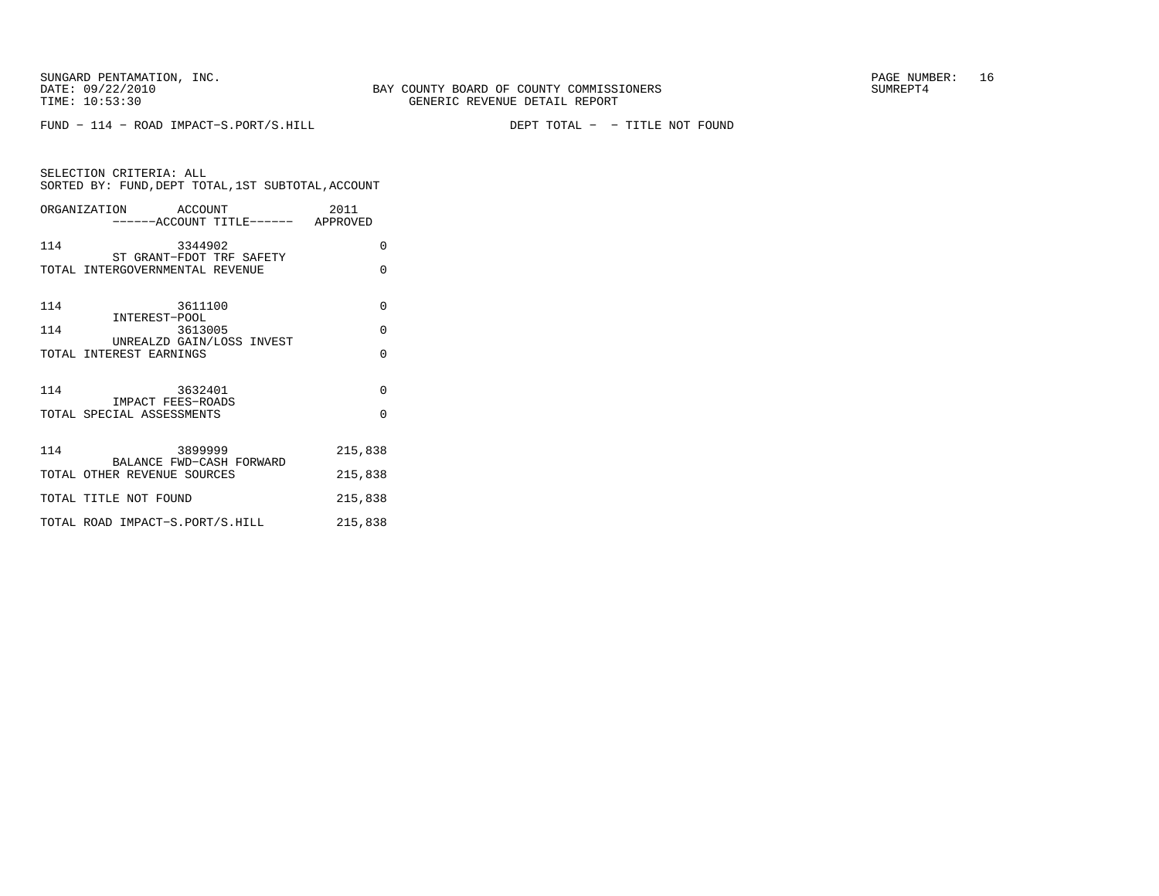FUND − 114 − ROAD IMPACT−S.PORT/S.HILL DEPT TOTAL − − TITLE NOT FOUND

SELECTION CRITERIA: ALLSORTED BY: FUND, DEPT TOTAL, 1ST SUBTOTAL, ACCOUNT ORGANIZATION ACCOUNT 2011 −−−−−−ACCOUNT TITLE−−−−−− APPROVED

|     | ACCOUNT TITHE                                           | AF FINU V BIL |
|-----|---------------------------------------------------------|---------------|
| 114 | 3344902<br>ST GRANT-FDOT TRF SAFETY                     | $\Omega$      |
|     | TOTAL INTERGOVERNMENTAL REVENUE                         | $\Omega$      |
|     |                                                         |               |
| 114 | 3611100                                                 | $\Omega$      |
| 114 | INTEREST-POOL<br>3613005                                | $\Omega$      |
|     | UNREALZD GAIN/LOSS INVEST                               |               |
|     | TOTAL INTEREST EARNINGS                                 | $\Omega$      |
|     |                                                         |               |
| 114 | 3632401<br>IMPACT FEES-ROADS                            | $\Omega$      |
|     | TOTAL SPECIAL ASSESSMENTS                               | $\Omega$      |
|     |                                                         |               |
| 114 | 3899999                                                 | 215,838       |
|     | BALANCE FWD-CASH FORWARD<br>TOTAL OTHER REVENUE SOURCES | 215,838       |
|     |                                                         |               |
|     | TOTAL TITLE NOT FOUND                                   | 215,838       |
|     | TOTAL ROAD IMPACT-S.PORT/S.HILL                         | 215,838       |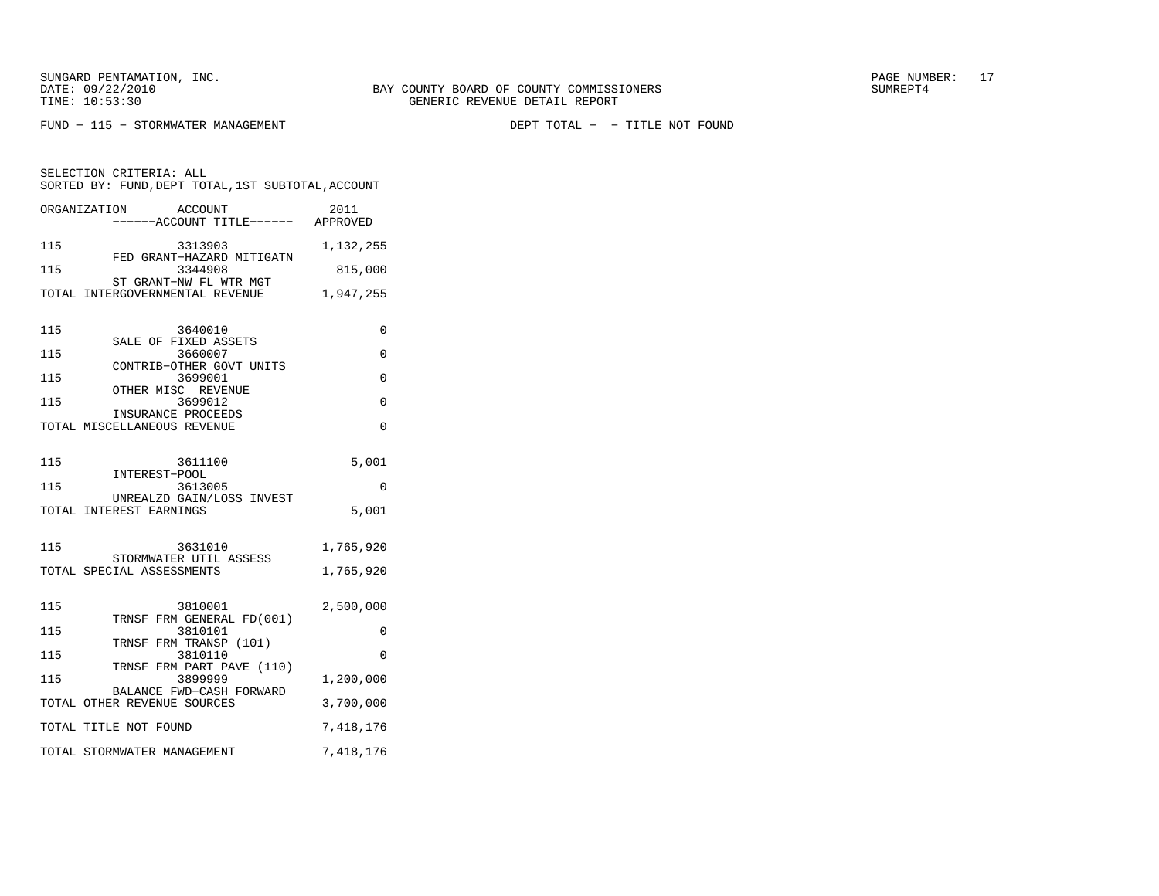SELECTION CRITERIA: ALL

 $FUND - 115 - STORMWATER MANAGEMENT$ 

SORTED BY: FUND, DEPT TOTAL, 1ST SUBTOTAL, ACCOUNT ORGANIZATION ACCOUNT 2011−−−−−−ACCOUNT TITLE−−−−−− APPROVED

DEPT TOTAL - - TITLE NOT FOUND

| 115<br>115               | 3313903<br>FED GRANT-HAZARD MITIGATN<br>3344908<br>ST GRANT-NW FL WTR MGT<br>TOTAL INTERGOVERNMENTAL REVENUE                                                            | 1,132,255<br>815,000<br>1,947,255          |
|--------------------------|-------------------------------------------------------------------------------------------------------------------------------------------------------------------------|--------------------------------------------|
| 115<br>115<br>115<br>115 | 3640010<br>SALE OF FIXED ASSETS<br>3660007<br>CONTRIB-OTHER GOVT UNITS<br>3699001<br>OTHER MISC REVENUE<br>3699012<br>INSURANCE PROCEEDS<br>TOTAL MISCELLANEOUS REVENUE | $\Omega$<br>0<br>$\Omega$<br>0<br>$\Omega$ |
| 115<br>115<br>115        | 3611100<br>INTEREST-POOL<br>3613005<br>UNREALZD GAIN/LOSS INVEST<br>TOTAL INTEREST EARNINGS<br>3631010                                                                  | 5,001<br>$\Omega$<br>5,001<br>1,765,920    |
|                          | STORMWATER UTIL ASSESS<br>TOTAL SPECIAL ASSESSMENTS                                                                                                                     | 1,765,920                                  |
| 115<br>115               | 3810001<br>TRNSF FRM GENERAL FD(001)<br>3810101<br>TRNSF FRM TRANSP (101)                                                                                               | 2,500,000<br>$\Omega$                      |
| 115<br>115               | 3810110<br>TRNSF FRM PART PAVE (110)<br>3899999<br>BALANCE FWD-CASH FORWARD<br>TOTAL OTHER REVENUE SOURCES                                                              | $\Omega$<br>1,200,000<br>3,700,000         |
|                          | TOTAL TITLE NOT FOUND<br>TOTAL STORMWATER MANAGEMENT                                                                                                                    | 7,418,176<br>7,418,176                     |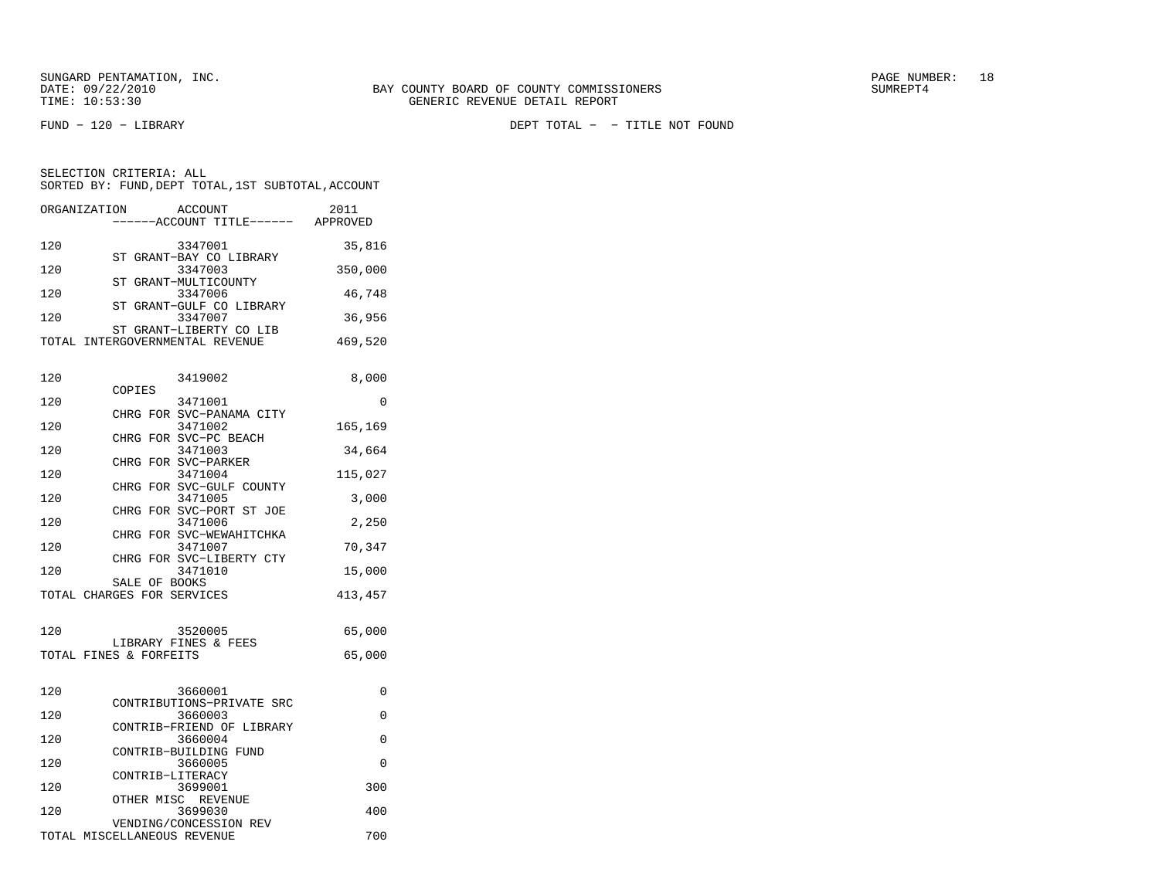SELECTION CRITERIA: ALL

FUND − 120 − LIBRARY DEPT TOTAL − − TITLE NOT FOUND

|       | ORGANIZATION | ACCOUNT                            | ------ACCOUNT TITLE------ | 2011<br>APPROVED |
|-------|--------------|------------------------------------|---------------------------|------------------|
| 120   |              | 3347001                            |                           | 35,816           |
| 120   |              | ST GRANT-BAY CO LIBRARY<br>3347003 |                           | 350,000          |
| 120   |              | ST GRANT-MULTICOUNTY<br>3347006    |                           | 46,748           |
|       |              |                                    | ST GRANT-GULF CO LIBRARY  |                  |
| 120   |              | 3347007                            |                           | 36,956           |
|       |              | ST GRANT-LIBERTY CO LIB            |                           |                  |
| TOTAL |              | INTERGOVERNMENTAL REVENUE          |                           | 469,520          |

SORTED BY: FUND, DEPT TOTAL, 1ST SUBTOTAL, ACCOUNT

| 120 |                             | 3419002                              | 8,000    |
|-----|-----------------------------|--------------------------------------|----------|
| 120 | COPIES                      | 3471001                              | $\Omega$ |
| 120 |                             | CHRG FOR SVC-PANAMA CITY<br>3471002  | 165,169  |
| 120 |                             | CHRG FOR SVC-PC BEACH<br>3471003     | 34,664   |
|     |                             | CHRG FOR SVC-PARKER                  |          |
| 120 |                             | 3471004<br>CHRG FOR SVC-GULF COUNTY  | 115,027  |
| 120 |                             | 3471005                              | 3,000    |
| 120 |                             | CHRG FOR SVC-PORT ST JOE<br>3471006  | 2,250    |
| 120 |                             | CHRG FOR SVC-WEWAHITCHKA<br>3471007  | 70,347   |
|     |                             | CHRG FOR SVC-LIBERTY CTY             |          |
| 120 | SALE OF BOOKS               | 3471010                              | 15,000   |
|     | TOTAL CHARGES FOR SERVICES  |                                      | 413, 457 |
|     |                             |                                      |          |
| 120 |                             | 3520005<br>LIBRARY FINES & FEES      | 65,000   |
|     | TOTAL FINES & FORFEITS      |                                      | 65,000   |
|     |                             |                                      |          |
| 120 |                             | 3660001<br>CONTRIBUTIONS-PRIVATE SRC | $\Omega$ |
| 120 |                             | 3660003                              | $\Omega$ |
| 120 |                             | CONTRIB-FRIEND OF LIBRARY<br>3660004 | $\Omega$ |
|     |                             | CONTRIB-BUILDING FUND                |          |
| 120 | CONTRIB-LITERACY            | 3660005                              | $\Omega$ |
| 120 |                             | 3699001<br>OTHER MISC REVENUE        | 300      |
| 120 |                             | 3699030                              | 400      |
|     | TOTAL MISCELLANEOUS REVENUE | VENDING/CONCESSION REV               | 700      |
|     |                             |                                      |          |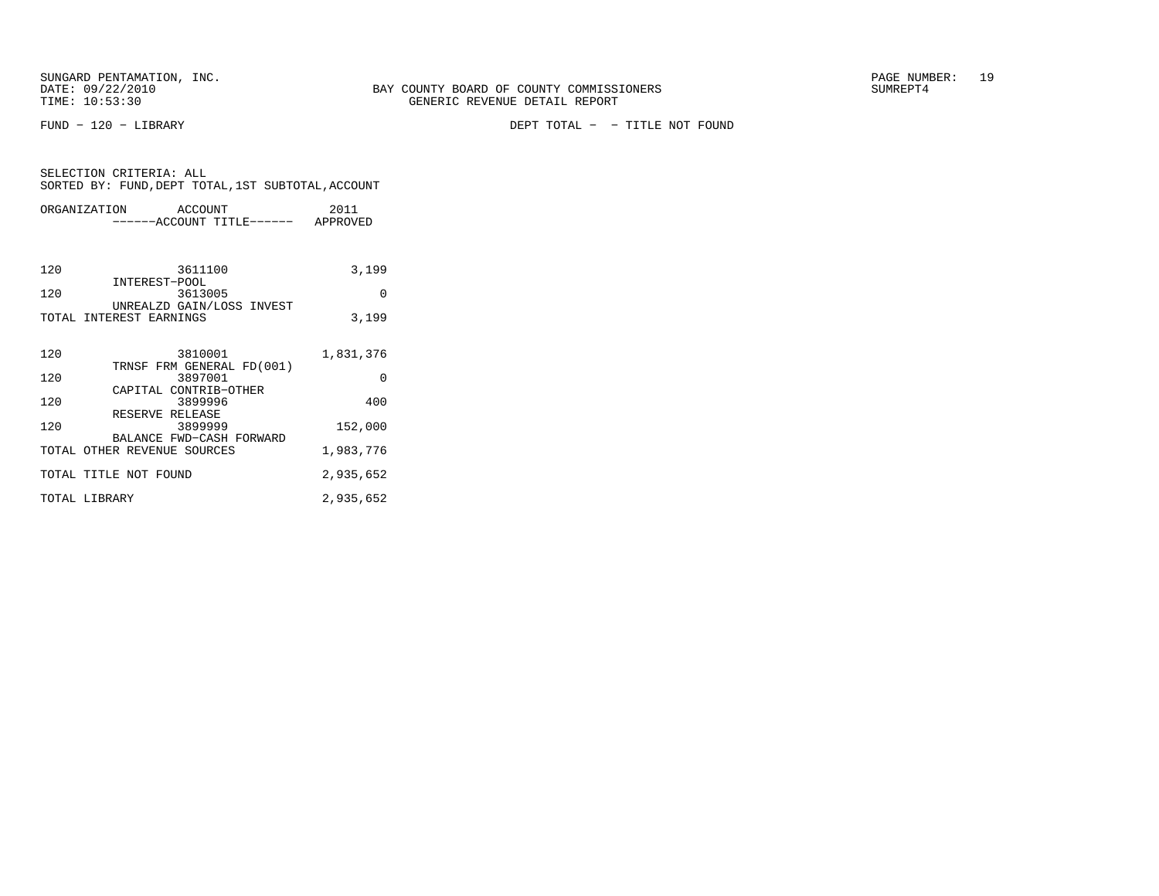FUND − 120 − LIBRARY DEPT TOTAL − − TITLE NOT FOUND

|                             | ORGANIZATION ACCOUNT<br>------ACCOUNT TITLE------ APPROVED | 2011      |
|-----------------------------|------------------------------------------------------------|-----------|
|                             |                                                            |           |
| 120                         | 3611100                                                    | 3,199     |
| 120                         | INTEREST-POOL<br>3613005<br>UNREALZD GAIN/LOSS INVEST      | $\Omega$  |
| TOTAL INTEREST EARNINGS     |                                                            | 3,199     |
| 120                         | 3810001                                                    | 1,831,376 |
| 120                         | TRNSF FRM GENERAL FD(001)<br>3897001                       | $\Omega$  |
| 120                         | CAPITAL CONTRIB-OTHER<br>3899996                           | 400       |
| 120                         | RESERVE RELEASE<br>3899999<br>BALANCE FWD-CASH FORWARD     | 152,000   |
| TOTAL OTHER REVENUE SOURCES |                                                            | 1,983,776 |
| TOTAL TITLE NOT FOUND       |                                                            | 2,935,652 |
| TOTAL LIBRARY               |                                                            | 2,935,652 |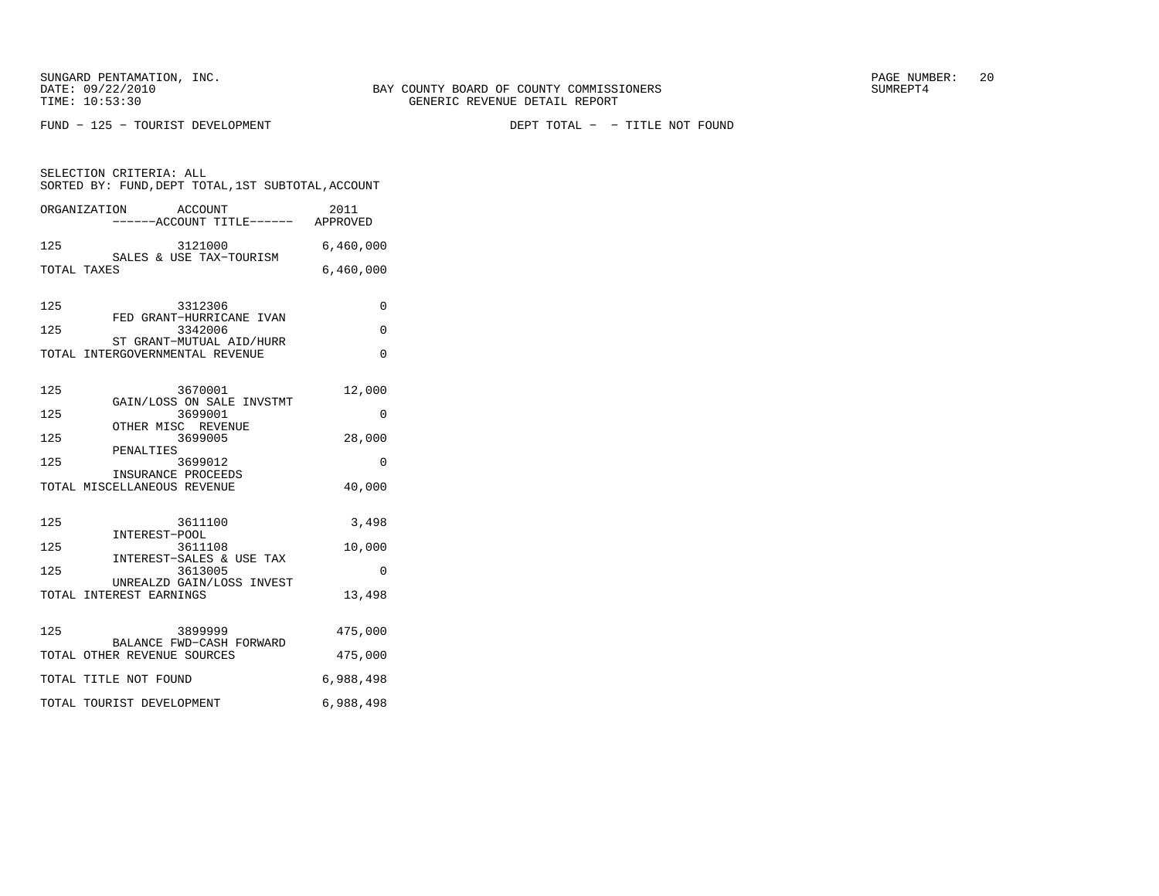SUNGARD PENTAMATION, INC.  $20$ 

SELECTION CRITERIA: ALL

FUND − 125 − TOURIST DEVELOPMENT DEPT TOTAL − − TITLE NOT FOUND

 −−−−−−ACCOUNT TITLE−−−−−− APPROVED 125 3121000 6,460,000 SALES & USE TAX−TOURISM TOTAL TAXES 6,460,000 125 3312306 0 FED GRANT−HURRICANE IVAN125 3342006 0 ST GRANT−MUTUAL AID/HURR TOTAL INTERGOVERNMENTAL REVENUE 0 125 3670001 12,000 GAIN/LOSS ON SALE INVSTMT 125 3699001 0 OTHER MISC REVENUE125 3699005 28,000 PENALTIES125 3699012 0 INSURANCE PROCEEDS TOTAL MISCELLANEOUS REVENUE 40,000 125 3611100 3,498 INTEREST−POOL125 3611108 10,000 INTEREST−SALES & USE TAX 125 3613005 0 UNREALZD GAIN/LOSS INVEST TOTAL INTEREST EARNINGS 13,498 125 3899999 475,000 BALANCE FWD−CASH FORWARD TOTAL OTHER REVENUE SOURCES 475,000 TOTAL TITLE NOT FOUND 6,988,498 TOTAL TOURIST DEVELOPMENT 6,988,498

SORTED BY: FUND, DEPT TOTAL, 1ST SUBTOTAL, ACCOUNT ORGANIZATION ACCOUNT 2011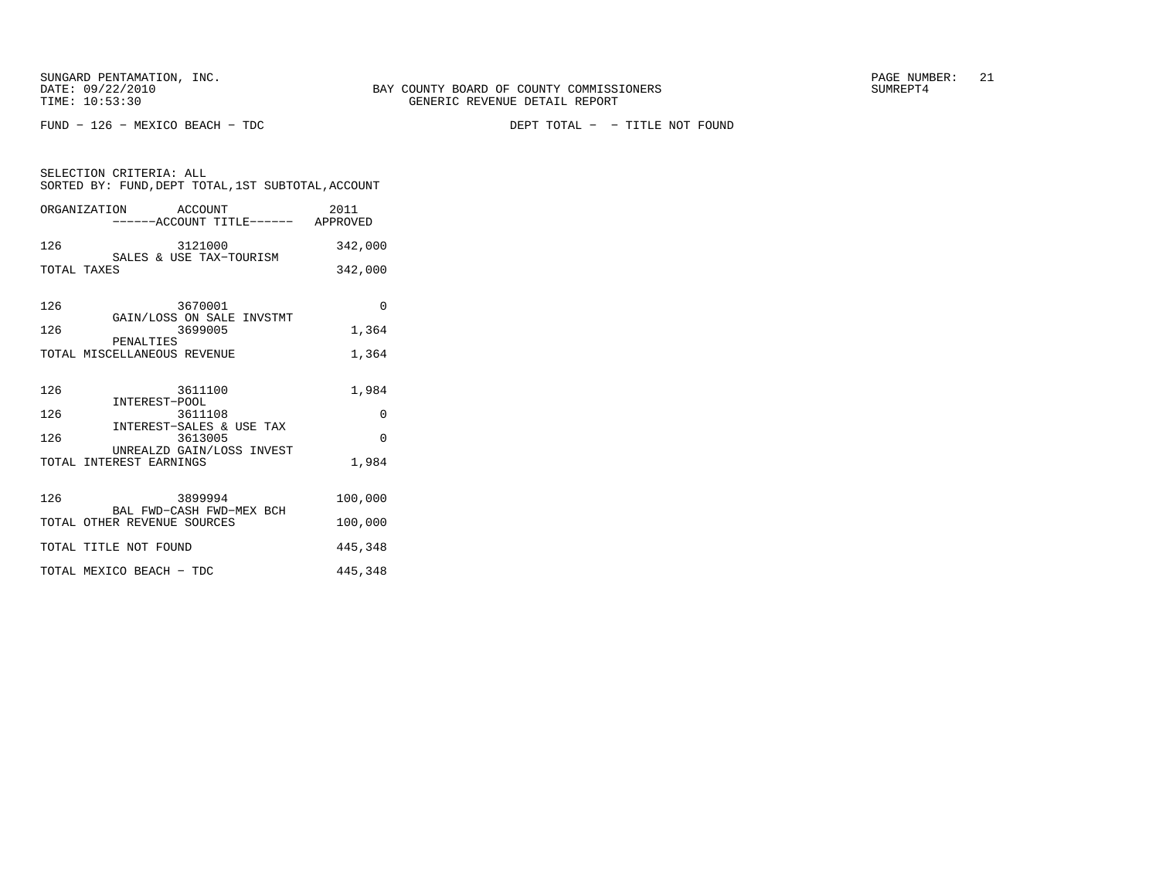SELECTION CRITERIA: ALL

FUND − 126 − MEXICO BEACH − TDC DEPT TOTAL − − TITLE NOT FOUND

| SORTED BY: FUND, DEPT TOTAL, 1ST SUBTOTAL, ACCOUNT |                       |         |                  |
|----------------------------------------------------|-----------------------|---------|------------------|
| ORGANIZATION                                       | $---ACCOINT TITLE---$ | ACCOUNT | 2011<br>APPROVED |
|                                                    |                       |         |                  |

| 126         |  | 3121000                 | 342,000 |
|-------------|--|-------------------------|---------|
|             |  | SALES & USE TAX-TOURISM |         |
| TOTAL TAXES |  |                         | 342,000 |

| 126 | 3670001                                                          | U        |
|-----|------------------------------------------------------------------|----------|
| 126 | GAIN/LOSS ON SALE INVSTMT<br>3699005<br>PENALTIES                | 1,364    |
|     | TOTAL MISCELLANEOUS REVENUE                                      | 1,364    |
| 126 | 3611100<br>INTEREST-POOL                                         | 1,984    |
| 126 | 3611108                                                          | $\Omega$ |
| 126 | INTEREST-SALES & USE TAX<br>3613005<br>UNREALZD GAIN/LOSS INVEST | $\Omega$ |
|     | TOTAL INTEREST EARNINGS                                          | 1,984    |
| 126 | 3899994<br>BAL FWD-CASH FWD-MEX BCH                              | 100,000  |
|     | TOTAL OTHER REVENUE SOURCES                                      | 100,000  |
|     | TOTAL TITLE NOT FOUND                                            | 445,348  |
|     | TOTAL MEXICO BEACH - TDC                                         | 445,348  |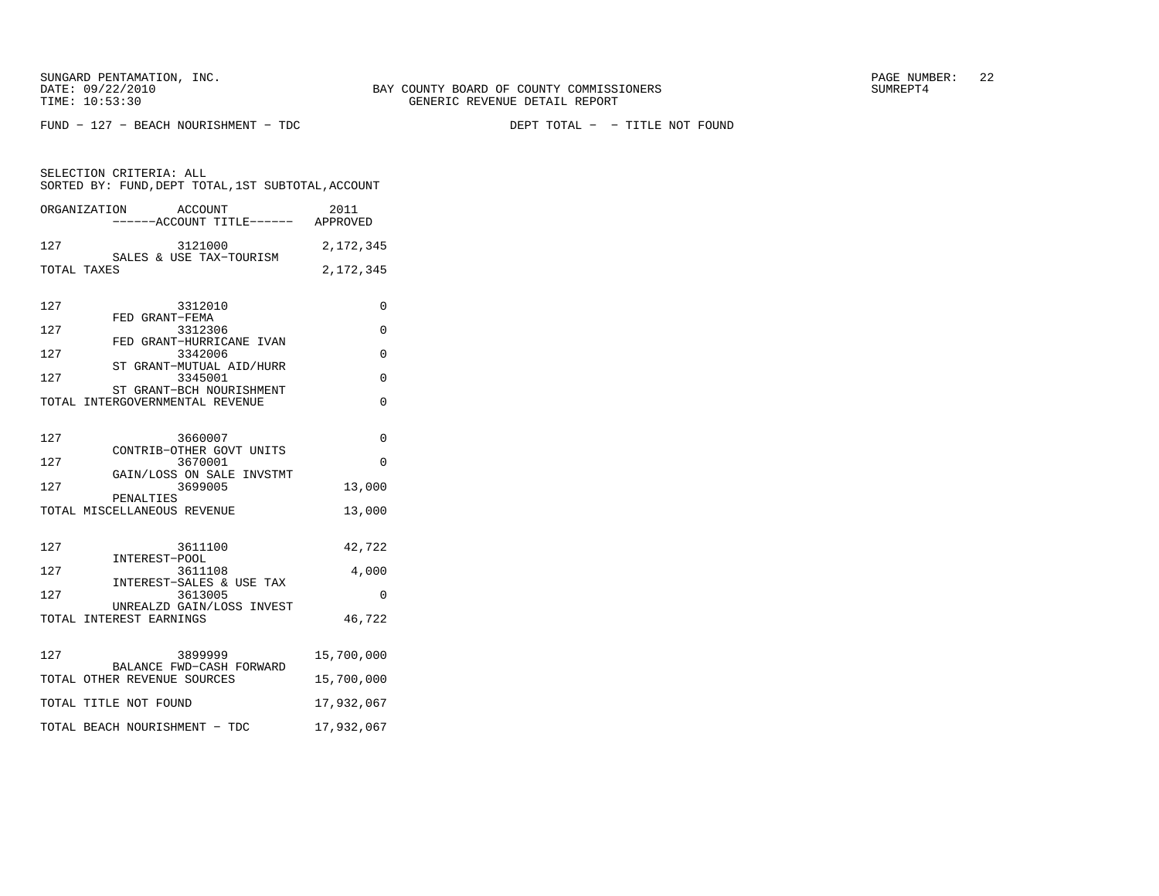SELECTION CRITERIA: ALL

 $FUND - 127 - BERACH NOURISHMENT - TDC$ 

DEPT TOTAL - - TITLE NOT FOUND

| ORGANIZATION | ACCOUNT<br>------ACCOUNT TITLE------ | 2011<br>APPROVED |
|--------------|--------------------------------------|------------------|
| 127          | 3121000<br>SALES & USE TAX-TOURISM   | 2, 172, 345      |
| TOTAL TAXES  |                                      | 2, 172, 345      |
| 127          | 3312010                              |                  |
| 127          | GRANT-FEMA<br>FED.<br>3312306        |                  |

SORTED BY: FUND, DEPT TOTAL, 1ST SUBTOTAL, ACCOUNT

|     | .                               |  |
|-----|---------------------------------|--|
|     | FED GRANT-HURRICANE IVAN        |  |
| 127 | 3342006                         |  |
|     | ST GRANT-MUTUAL AID/HURR        |  |
| 127 | 3345001                         |  |
|     | ST GRANT-BCH NOURISHMENT        |  |
|     | TOTAL INTERGOVERNMENTAL REVENUE |  |
|     |                                 |  |

| 127 | 3660007                                              | $\Omega$   |
|-----|------------------------------------------------------|------------|
| 127 | CONTRIB-OTHER GOVT UNITS<br>3670001                  | $\Omega$   |
| 127 | GAIN/LOSS ON SALE INVSTMT<br>3699005<br>PENALTIES    | 13,000     |
|     | TOTAL MISCELLANEOUS REVENUE                          | 13,000     |
| 127 | 3611100                                              | 42,722     |
| 127 | INTEREST-POOL<br>3611108<br>INTEREST-SALES & USE TAX | 4,000      |
| 127 | 3613005                                              | $\Omega$   |
|     | UNREALZD GAIN/LOSS INVEST<br>TOTAL INTEREST EARNINGS | 46,722     |
| 127 | 3899999<br>BALANCE FWD-CASH FORWARD                  | 15,700,000 |
|     | TOTAL OTHER REVENUE SOURCES                          | 15,700,000 |
|     | TOTAL TITLE NOT FOUND                                | 17,932,067 |
|     | TOTAL BEACH NOURISHMENT - TDC                        | 17,932,067 |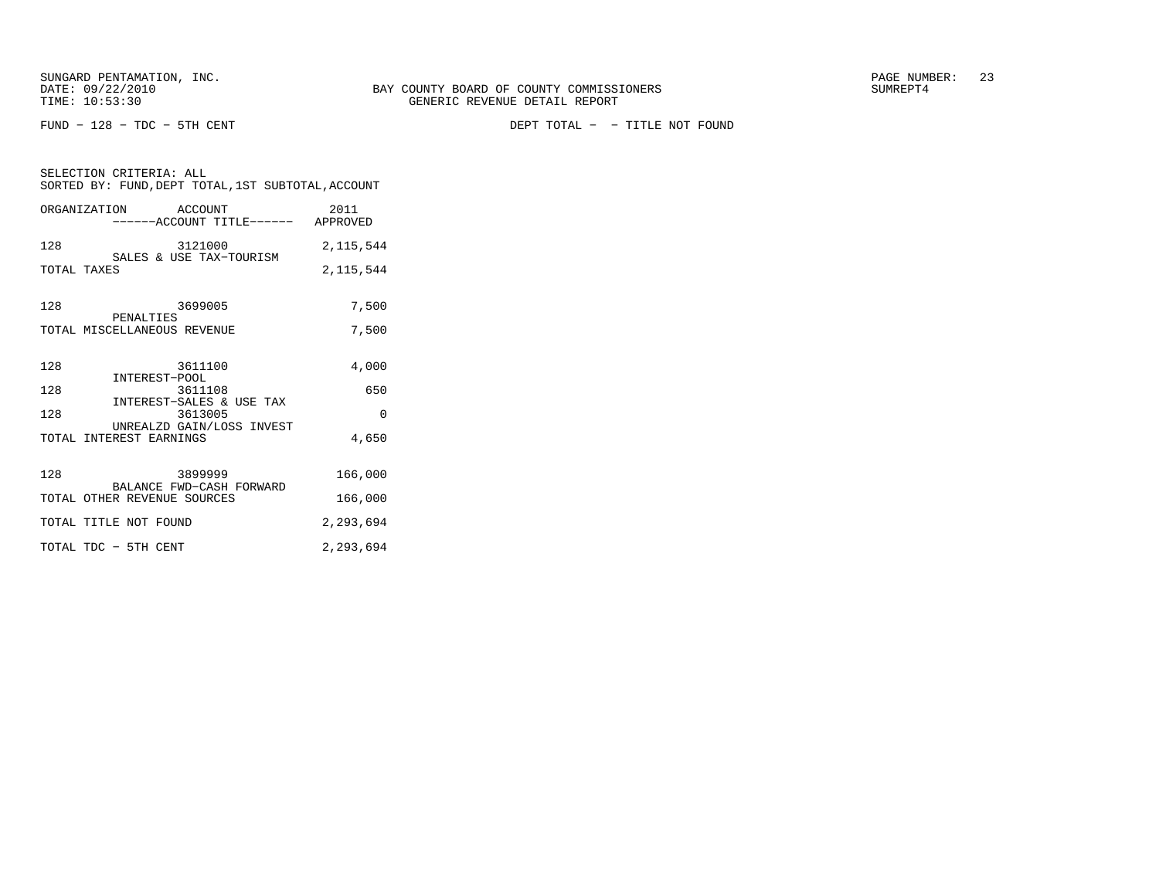FUND − 128 − TDC − 5TH CENT DEPT TOTAL − − TITLE NOT FOUND

| SELECTION CRITERIA: ALL<br>SORTED BY: FUND, DEPT TOTAL, 1ST SUBTOTAL, ACCOUNT |             |  |  |  |
|-------------------------------------------------------------------------------|-------------|--|--|--|
| ORGANIZATION ACCOUNT                                                          | 2011        |  |  |  |
| 3121000<br>SALES & USE TAX-TOURISM<br>128                                     | 2, 115, 544 |  |  |  |
| TOTAL TAXES                                                                   | 2, 115, 544 |  |  |  |
| 3699005<br>128<br>PENALTIES                                                   | 7,500       |  |  |  |
| TOTAL MISCELLANEOUS REVENUE                                                   | 7,500       |  |  |  |
| 3611100<br>128<br>INTEREST-POOL                                               | 4,000       |  |  |  |
| 128<br>3611108<br>INTEREST-SALES & USE TAX                                    | 650         |  |  |  |
| 128<br>3613005                                                                | $\Omega$    |  |  |  |
| UNREALZD GAIN/LOSS INVEST<br>TOTAL INTEREST EARNINGS                          | 4,650       |  |  |  |
| 128<br>3899999<br>BALANCE FWD-CASH FORWARD                                    | 166,000     |  |  |  |
| TOTAL OTHER REVENUE SOURCES                                                   | 166,000     |  |  |  |
| TOTAL TITLE NOT FOUND                                                         | 2,293,694   |  |  |  |
| TOTAL TDC - 5TH CENT                                                          | 2,293,694   |  |  |  |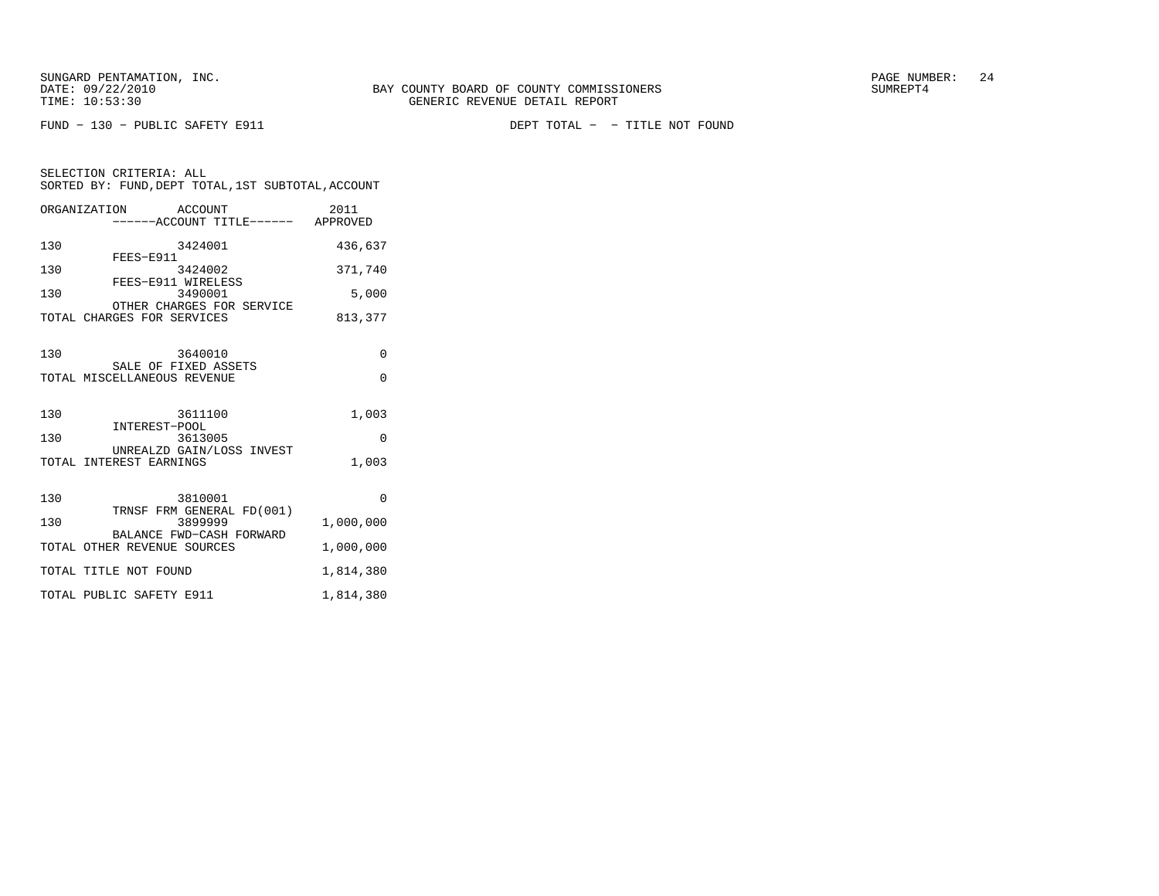FUND − 130 − PUBLIC SAFETY E911 DEPT TOTAL − − TITLE NOT FOUND

| SELECTION CRITERIA: ALL                              |                  |
|------------------------------------------------------|------------------|
| SORTED BY: FUND. DEPT TOTAL. 1ST SUBTOTAL. ACCOUNT   |                  |
| ORGANIZATION<br>ACCOUNT<br>------ACCOUNT TITLE------ | 2011<br>APPROVED |

| 130        | 3424001                                                                                                    | 436,637                            |
|------------|------------------------------------------------------------------------------------------------------------|------------------------------------|
| 130        | FEES-E911<br>3424002                                                                                       | 371,740                            |
| 130        | FEES-E911 WIRELESS<br>3490001                                                                              | 5,000                              |
|            | OTHER CHARGES FOR SERVICE<br>TOTAL CHARGES FOR SERVICES                                                    | 813,377                            |
| 130        | 3640010<br>SALE OF FIXED ASSETS<br>TOTAL MISCELLANEOUS REVENUE                                             | $\Omega$<br>$\Omega$               |
| 130<br>130 | 3611100<br>INTEREST-POOL<br>3613005<br>UNREALZD GAIN/LOSS INVEST<br>TOTAL INTEREST EARNINGS                | 1,003<br>$\Omega$<br>1,003         |
| 130<br>130 | 3810001<br>TRNSF FRM GENERAL FD(001)<br>3899999<br>BALANCE FWD-CASH FORWARD<br>TOTAL OTHER REVENUE SOURCES | $\Omega$<br>1,000,000<br>1,000,000 |
|            | TOTAL TITLE NOT FOUND                                                                                      | 1,814,380                          |
|            | TOTAL PUBLIC SAFETY E911                                                                                   | 1,814,380                          |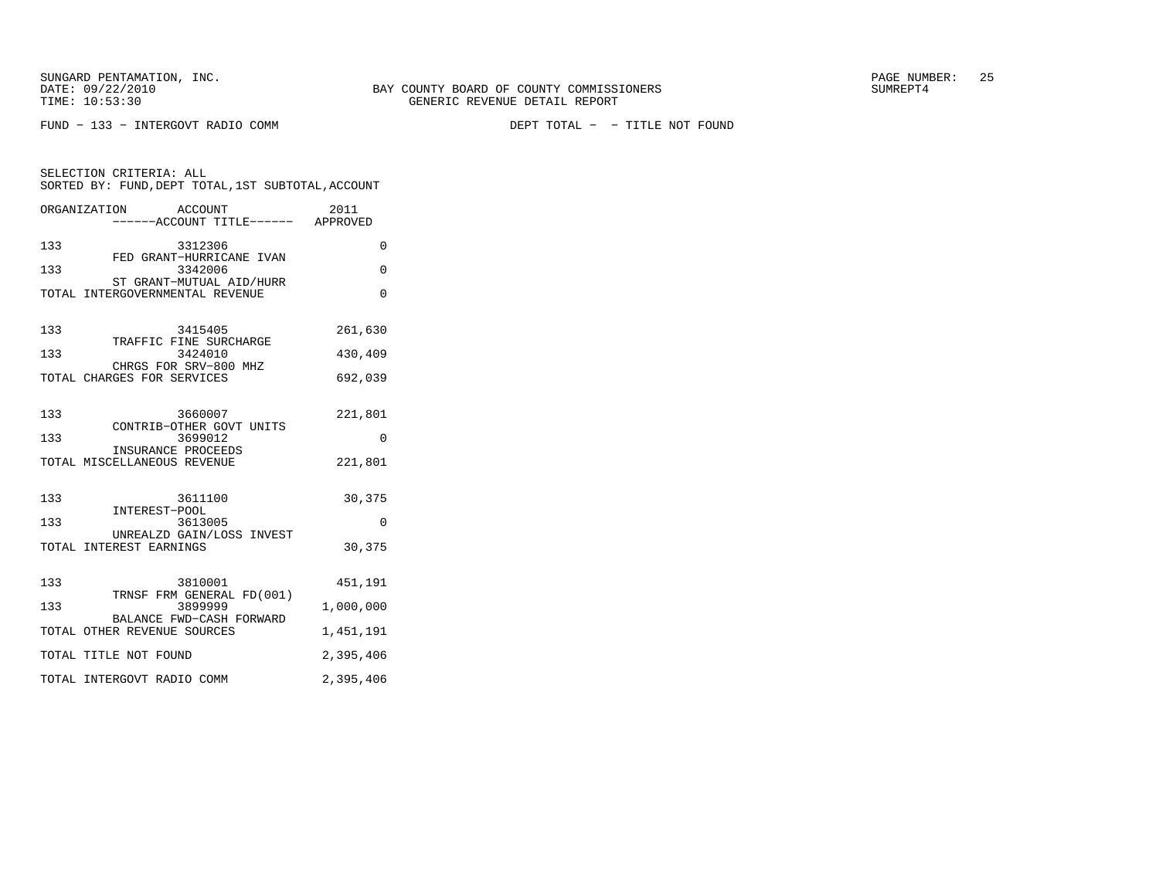$FUND - 133 - INTERGOVT$  RADIO COMM

DEPT TOTAL - - TITLE NOT FOUND

| SELECTION CRITERIA: ALL<br>SORTED BY: FUND, DEPT TOTAL, 1ST SUBTOTAL, ACCOUNT |                                                              |           |  |  |
|-------------------------------------------------------------------------------|--------------------------------------------------------------|-----------|--|--|
|                                                                               | ORGANIZATION<br>ACCOUNT<br>-----ACCOUNT TITLE------ APPROVED | 2011      |  |  |
| 133                                                                           | 3312306<br>FED GRANT-HURRICANE IVAN                          | 0         |  |  |
| 133                                                                           | 3342006<br>ST GRANT-MUTUAL AID/HURR                          | 0         |  |  |
|                                                                               | TOTAL INTERGOVERNMENTAL REVENUE                              | $\Omega$  |  |  |
| 133                                                                           | 3415405<br>TRAFFIC FINE SURCHARGE                            | 261,630   |  |  |
| 133                                                                           | 3424010<br>CHRGS FOR SRV-800 MHZ                             | 430,409   |  |  |
|                                                                               | TOTAL CHARGES FOR SERVICES                                   | 692,039   |  |  |
| 133                                                                           | 3660007<br>CONTRIB-OTHER GOVT UNITS                          | 221,801   |  |  |
| 133                                                                           | 3699012<br>INSURANCE PROCEEDS                                | 0         |  |  |
|                                                                               | TOTAL MISCELLANEOUS REVENUE                                  | 221,801   |  |  |
| 133                                                                           | 3611100<br>INTEREST-POOL                                     | 30,375    |  |  |
| 133                                                                           | 3613005<br>UNREALZD GAIN/LOSS INVEST                         | $\Omega$  |  |  |
|                                                                               | TOTAL INTEREST EARNINGS                                      | 30,375    |  |  |
| 133                                                                           | 3810001<br>TRNSF FRM GENERAL FD(001)                         | 451,191   |  |  |
| 133                                                                           | 3899999<br>BALANCE FWD-CASH FORWARD                          | 1,000,000 |  |  |
|                                                                               | TOTAL OTHER REVENUE SOURCES                                  | 1,451,191 |  |  |
|                                                                               | TOTAL TITLE NOT FOUND                                        | 2,395,406 |  |  |
|                                                                               | TOTAL INTERGOVT RADIO COMM                                   | 2,395,406 |  |  |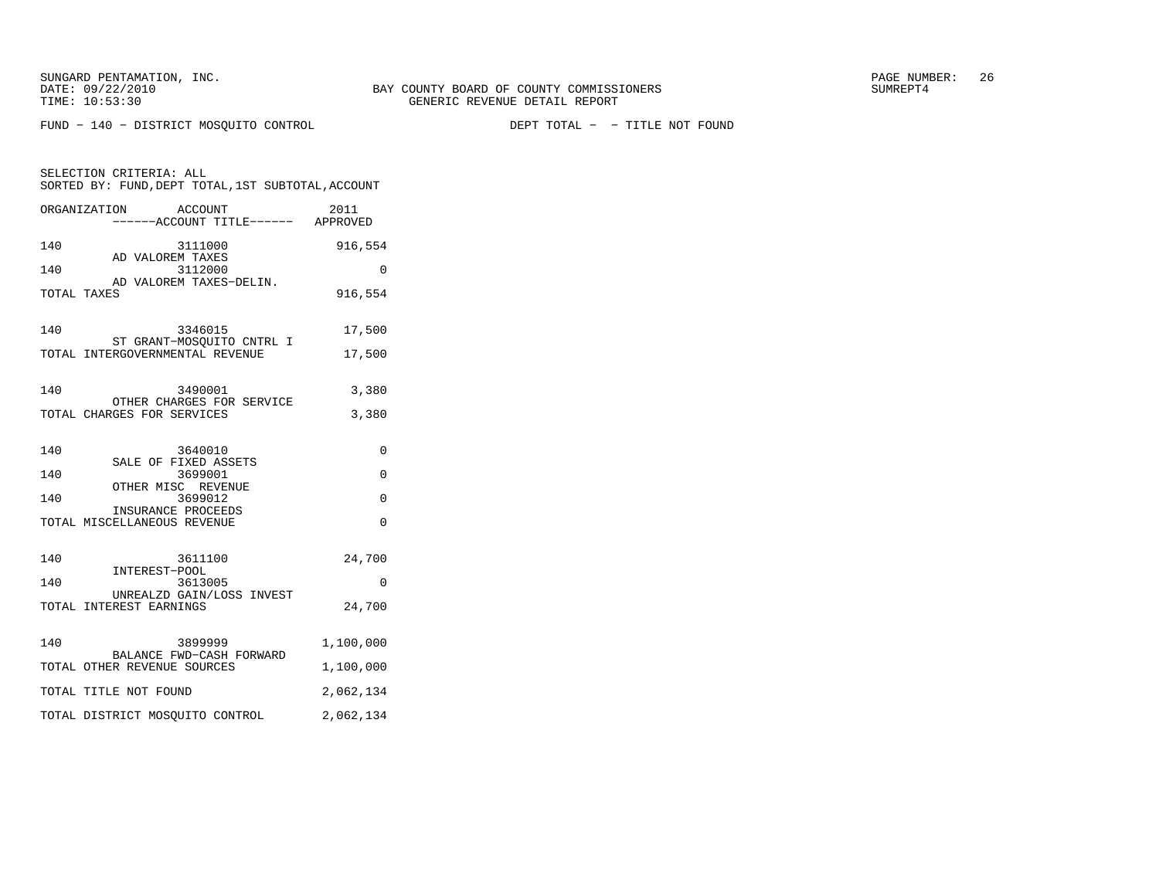SELECTION CRITERIA: ALL

FUND − 140 − DISTRICT MOSQUITO CONTROL DEPT TOTAL − − TITLE NOT FOUND

SORTED BY: FUND, DEPT TOTAL, 1ST SUBTOTAL, ACCOUNT

|             | ORGANIZATION ACCOUNT<br>------ACCOUNT TITLE------ APPROVED              | 2011             |
|-------------|-------------------------------------------------------------------------|------------------|
| 140         | 3111000                                                                 | 916,554          |
| 140         | AD VALOREM TAXES<br>3112000                                             | $\Omega$         |
| TOTAL TAXES | AD VALOREM TAXES-DELIN.                                                 | 916,554          |
| 140         | 3346015<br>ST GRANT-MOSOUITO CNTRL I<br>TOTAL INTERGOVERNMENTAL REVENUE | 17,500<br>17,500 |
| 140         | 3490001<br>OTHER CHARGES FOR SERVICE<br>TOTAL CHARGES FOR SERVICES      | 3,380<br>3,380   |
| 140<br>140  | 3640010<br>SALE OF FIXED ASSETS<br>3699001                              | $\Omega$<br>0    |
| 140         | OTHER MISC REVENUE<br>3699012                                           | $\Omega$         |
|             | INSURANCE PROCEEDS<br>TOTAL MISCELLANEOUS REVENUE                       | $\Omega$         |
| 140         | 3611100<br>INTEREST-POOL                                                | 24,700           |
| 140         | 3613005<br>UNREALZD GAIN/LOSS INVEST                                    | $\Omega$         |
|             | TOTAL INTEREST EARNINGS                                                 | 24,700           |

| 140 | 3899999<br>BALANCE FWD-CASH FORWARD | 1,100,000 |
|-----|-------------------------------------|-----------|
|     | TOTAL OTHER REVENUE SOURCES         | 1,100,000 |
|     | TOTAL TITLE NOT FOUND               | 2,062,134 |
|     | TOTAL DISTRICT MOSOUITO CONTROL     | 2,062,134 |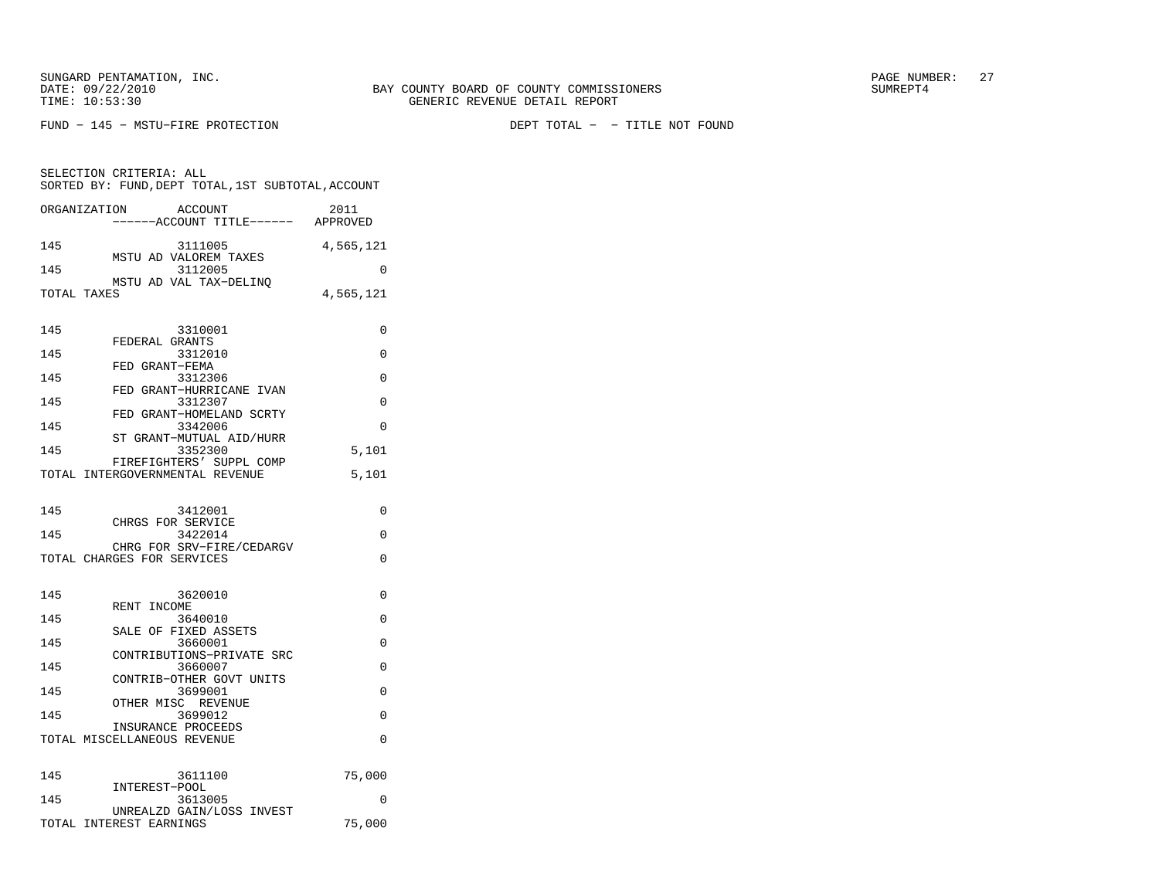SELECTION CRITERIA: ALL

 $FUND - 145 - MSTU - FIRE \ PROTECTION$ 

SORTED BY: FUND, DEPT TOTAL, 1ST SUBTOTAL, ACCOUNT ORGANIZATION ACCOUNT 2011−−−−−−ACCOUNT TITLE−−−−−− APPROVED

DEPT TOTAL - - TITLE NOT FOUND

| 145         | 3111005                                                     | 4,565,121 |
|-------------|-------------------------------------------------------------|-----------|
| 145         | MSTU AD VALOREM TAXES<br>3112005                            | $\Omega$  |
|             | MSTU AD VAL TAX-DELINO                                      |           |
| TOTAL TAXES |                                                             | 4,565,121 |
| 145         | 3310001                                                     | 0         |
| 145         | FEDERAL GRANTS<br>3312010                                   | 0         |
| 145         | FED GRANT-FEMA<br>3312306                                   | 0         |
| 145         | FED GRANT-HURRICANE IVAN<br>3312307                         | 0         |
| 145         | FED GRANT-HOMELAND SCRTY<br>3342006                         | $\Omega$  |
| 145         | ST GRANT-MUTUAL AID/HURR<br>3352300                         | 5,101     |
|             | FIREFIGHTERS' SUPPL COMP<br>TOTAL INTERGOVERNMENTAL REVENUE | 5,101     |
|             |                                                             |           |
| 145         | 3412001<br>CHRGS FOR SERVICE                                | 0         |
| 145         | 3422014                                                     | 0         |
|             | CHRG FOR SRV-FIRE/CEDARGV<br>TOTAL CHARGES FOR SERVICES     | 0         |
| 145         | 3620010                                                     | 0         |
| 145         | RENT INCOME<br>3640010                                      | 0         |
| 145         | SALE OF FIXED ASSETS<br>3660001                             | 0         |
| 145         | CONTRIBUTIONS-PRIVATE SRC<br>3660007                        | 0         |
|             | CONTRIB-OTHER GOVT UNITS                                    |           |
| 145         | 3699001<br>OTHER MISC REVENUE                               | 0         |
| 145         | 3699012<br>INSURANCE PROCEEDS                               | 0         |
|             | TOTAL MISCELLANEOUS REVENUE                                 | 0         |
|             | 3611100                                                     | 75,000    |
|             |                                                             |           |
| 145<br>145  | INTEREST-POOL<br>3613005<br>UNREALZD GAIN/LOSS INVEST       | O         |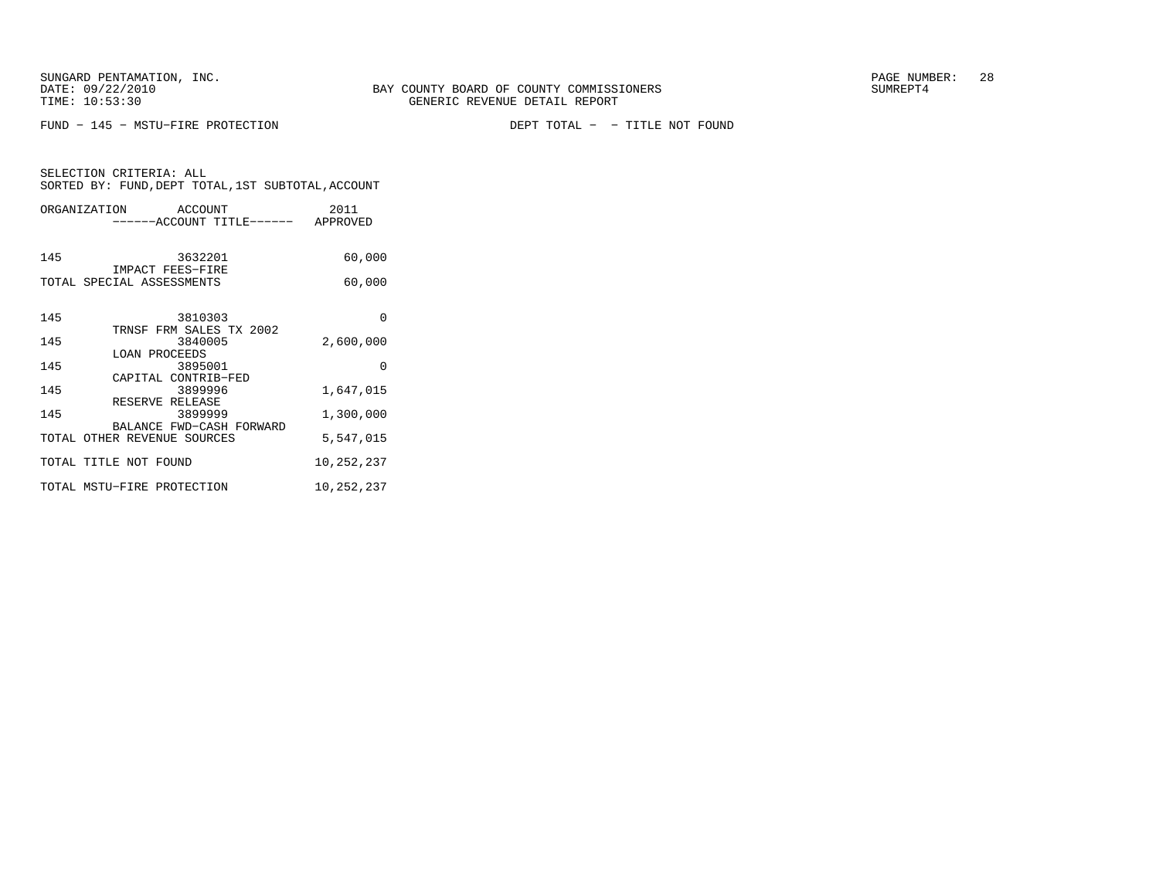$FUND - 145 - MSTU-FIRE \ PROTECTION$ 

DEPT TOTAL - - TITLE NOT FOUND

| SELECTION CRITERIA: ALL |                                                    |
|-------------------------|----------------------------------------------------|
|                         | SORTED BY: FUND, DEPT TOTAL, 1ST SUBTOTAL, ACCOUNT |

| ORGANIZATION ACCOUNT        | ------ACCOUNT TITLE------ APPROVED  | 2011       |
|-----------------------------|-------------------------------------|------------|
| 145                         | 3632201<br>IMPACT FEES-FIRE         | 60,000     |
| TOTAL SPECIAL ASSESSMENTS   |                                     | 60,000     |
| 145                         | 3810303<br>TRNSF FRM SALES TX 2002  | $\Omega$   |
| 145                         | 3840005                             | 2,600,000  |
| LOAN PROCEEDS<br>145        | 3895001<br>CAPITAL CONTRIB-FED      | $\Omega$   |
| 145<br>RESERVE RELEASE      | 3899996                             | 1,647,015  |
| 145                         | 3899999<br>BALANCE FWD-CASH FORWARD | 1,300,000  |
| TOTAL OTHER REVENUE SOURCES |                                     | 5,547,015  |
| TOTAL TITLE NOT FOUND       |                                     | 10,252,237 |
| TOTAL MSTU-FIRE PROTECTION  |                                     | 10,252,237 |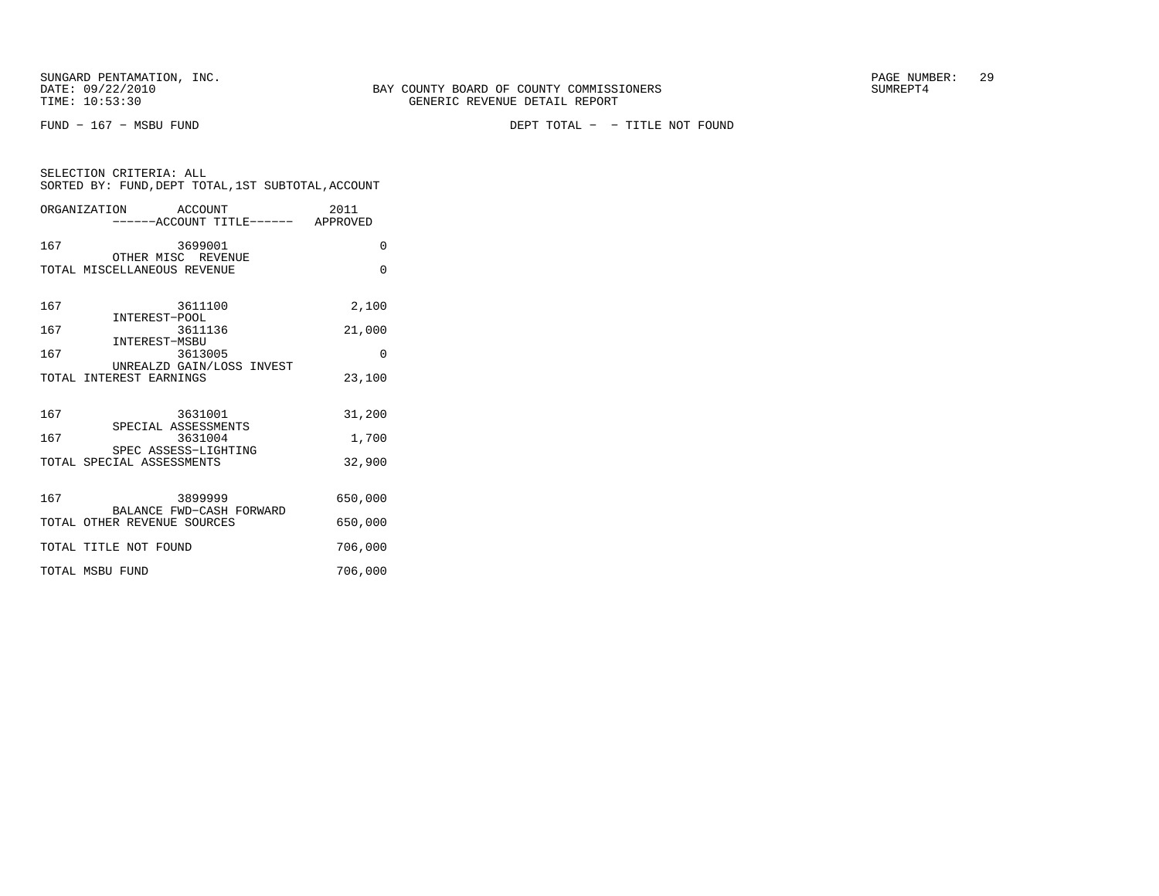SELECTION CRITERIA: ALL

| SORTED BY: FUND, DEPT TOTAL, 1ST SUBTOTAL, ACCOUNT           |          |
|--------------------------------------------------------------|----------|
| ORGANIZATION ACCOUNT<br>-------ACCOUNT TITLE------- APPROVED | 2011     |
| 167<br>3699001<br>OTHER MISC REVENUE                         | $\Omega$ |
| TOTAL MISCELLANEOUS REVENUE                                  | $\Omega$ |
| 167<br>3611100<br>INTEREST-POOL                              | 2,100    |
| 167<br>3611136<br>INTEREST-MSBU                              | 21,000   |
| 167<br>3613005                                               | $\Omega$ |
| UNREALZD GAIN/LOSS INVEST<br>TOTAL INTEREST EARNINGS         | 23,100   |
| 167<br>3631001                                               | 31,200   |
| SPECIAL ASSESSMENTS<br>167<br>3631004                        | 1,700    |
| SPEC ASSESS-LIGHTING<br>TOTAL SPECIAL ASSESSMENTS            | 32,900   |
| 167<br>3899999<br>BALANCE FWD-CASH FORWARD                   | 650,000  |
| TOTAL OTHER REVENUE SOURCES                                  | 650,000  |
| TOTAL TITLE NOT FOUND                                        | 706,000  |
| TOTAL MSBU FUND                                              | 706,000  |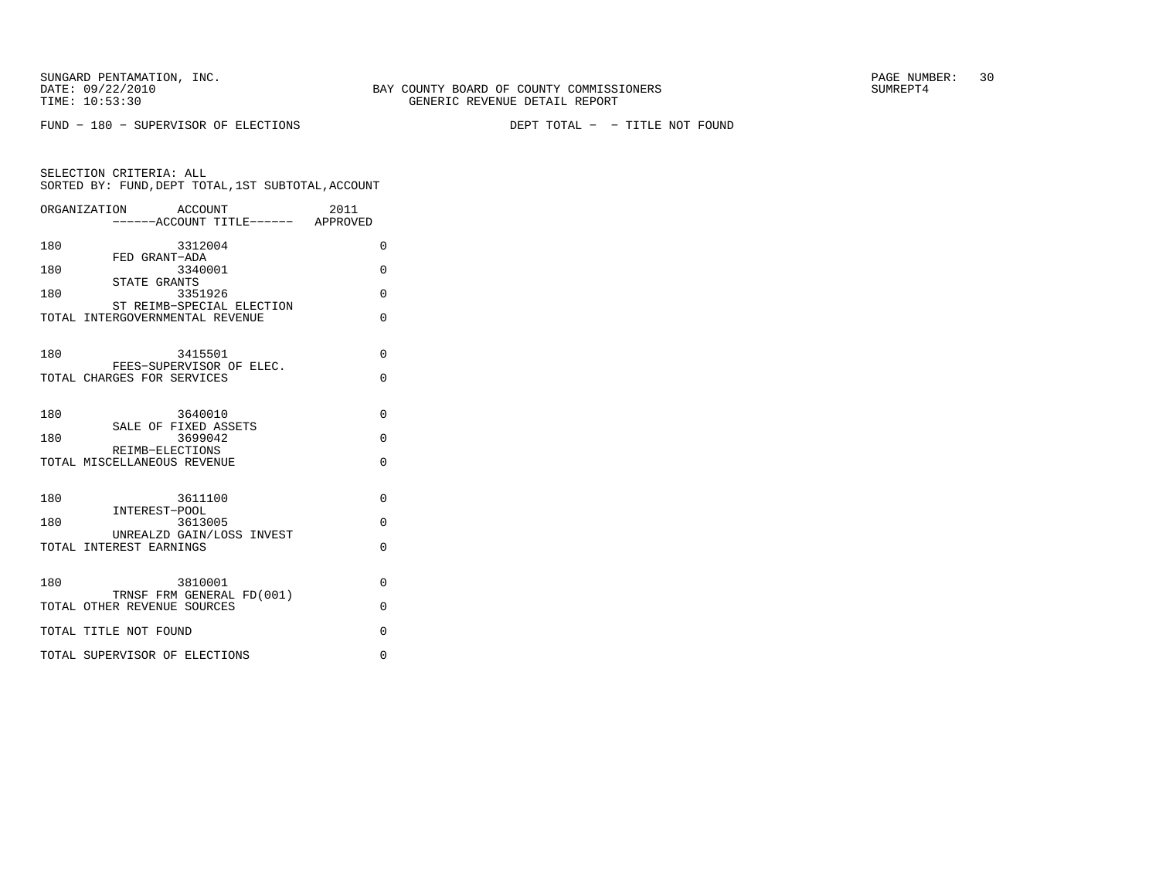$FUND - 180 - SUBERVISOR OF ELECTIONS$ 

DEPT TOTAL - - TITLE NOT FOUND

|     | ORGANIZATION<br>ACCOUNT                                      | 2011     |
|-----|--------------------------------------------------------------|----------|
|     | ------ACCOUNT TITLE------ APPROVED                           |          |
| 180 | 3312004<br>FED GRANT-ADA                                     | 0        |
| 180 | 3340001<br>STATE GRANTS                                      | $\Omega$ |
| 180 | 3351926                                                      | $\Omega$ |
|     | ST REIMB-SPECIAL ELECTION<br>TOTAL INTERGOVERNMENTAL REVENUE | $\Omega$ |
| 180 | 3415501                                                      | $\Omega$ |
|     | FEES-SUPERVISOR OF ELEC.<br>TOTAL CHARGES FOR SERVICES       | 0        |
| 180 | 3640010<br>SALE OF FIXED ASSETS                              | $\Omega$ |
| 180 | 3699042                                                      | $\Omega$ |
|     | REIMB-ELECTIONS<br>TOTAL MISCELLANEOUS REVENUE               | $\Omega$ |
| 180 | 3611100<br>INTEREST-POOL                                     | $\Omega$ |
| 180 | 3613005<br>UNREALZD GAIN/LOSS INVEST                         | $\Omega$ |
|     | TOTAL INTEREST EARNINGS                                      | $\Omega$ |
| 180 | 3810001<br>TRNSF FRM GENERAL FD(001)                         | $\Omega$ |
|     | TOTAL OTHER REVENUE SOURCES                                  | $\Omega$ |
|     | TOTAL TITLE NOT FOUND                                        | $\Omega$ |
|     | TOTAL SUPERVISOR OF ELECTIONS                                | 0        |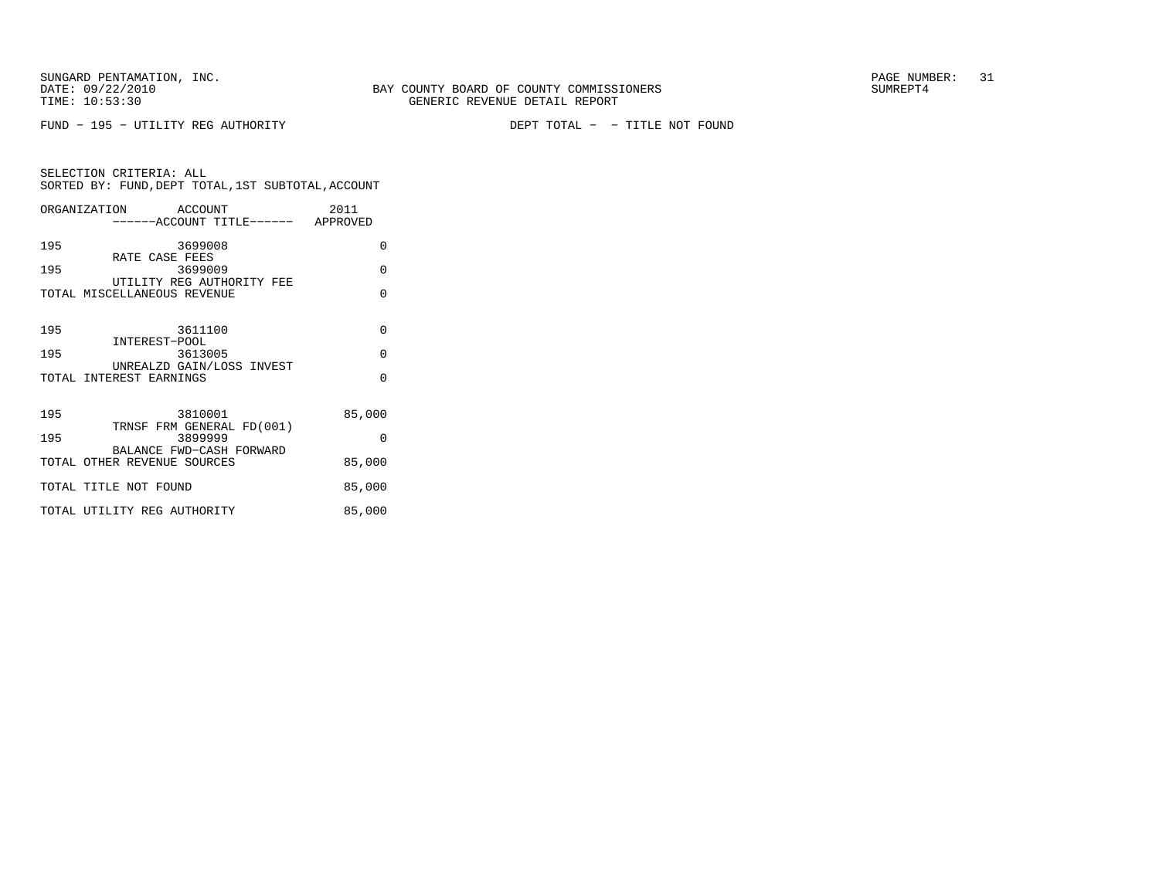FUND - 195 - UTILITY REG AUTHORITY

DEPT TOTAL - - TITLE NOT FOUND

|     | ORGANIZATION ACCOUNT<br>------ACCOUNT TITLE------ APPROVED | 2011     |
|-----|------------------------------------------------------------|----------|
| 195 | 3699008                                                    | 0        |
| 195 | RATE CASE FEES<br>3699009                                  | $\Omega$ |
|     | UTILITY REG AUTHORITY FEE<br>TOTAL MISCELLANEOUS REVENUE   | $\Omega$ |
| 195 | 3611100                                                    | $\Omega$ |
| 195 | INTEREST-POOL<br>3613005                                   | $\Omega$ |
|     | UNREALZD GAIN/LOSS INVEST<br>TOTAL INTEREST EARNINGS       | $\Omega$ |
| 195 | 3810001<br>TRNSF FRM GENERAL FD(001)                       | 85,000   |
| 195 | 3899999<br>BALANCE FWD-CASH FORWARD                        | $\Omega$ |
|     | TOTAL OTHER REVENUE SOURCES                                | 85,000   |
|     | TOTAL TITLE NOT FOUND                                      | 85,000   |
|     | TOTAL UTILITY REG AUTHORITY                                | 85,000   |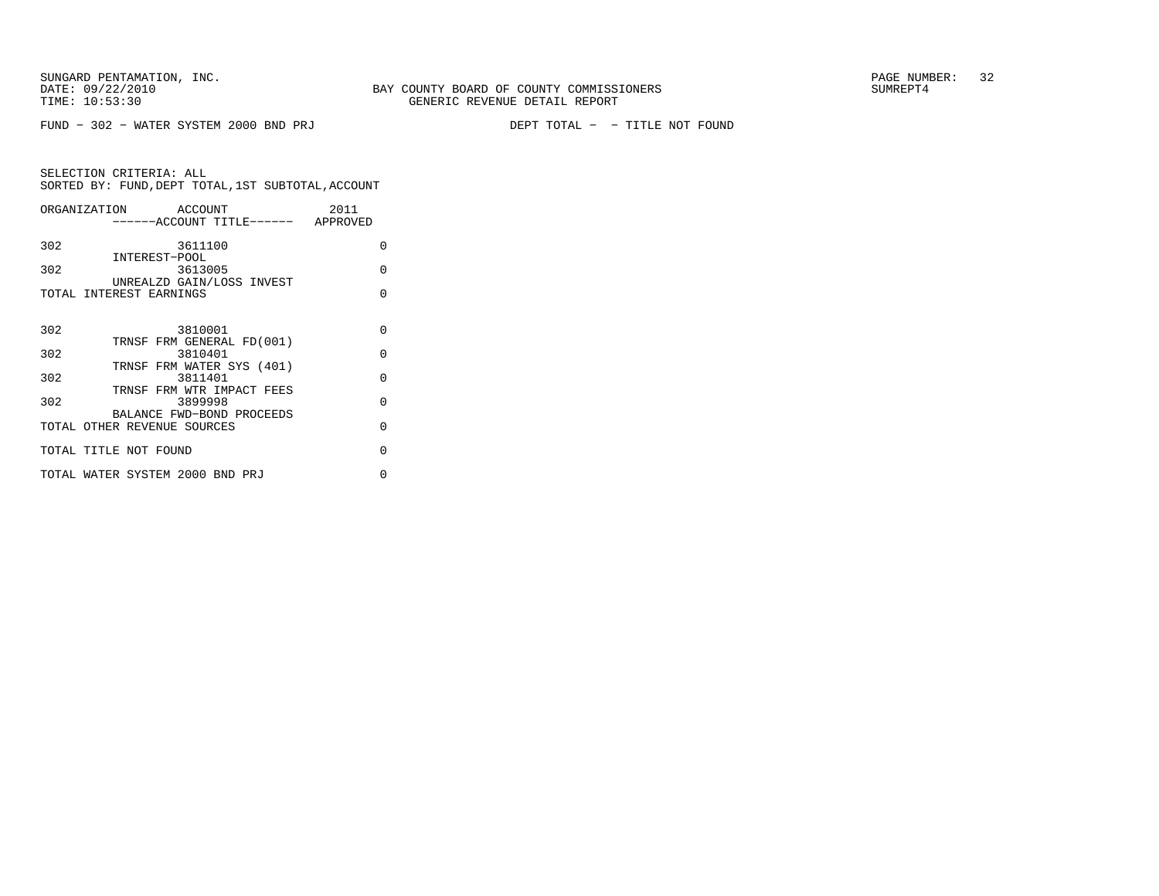DEPT TOTAL - - TITLE NOT FOUND

| ORGANIZATION ACCOUNT        |                                      | 2011     |
|-----------------------------|--------------------------------------|----------|
|                             | ------ACCOUNT TITLE------ APPROVED   |          |
| 302                         | 3611100                              | O        |
| 302                         | INTEREST-POOL<br>3613005             | O        |
|                             | UNREALZD GAIN/LOSS INVEST            |          |
| TOTAL INTEREST EARNINGS     |                                      | O        |
|                             |                                      |          |
| 302                         | 3810001<br>TRNSF FRM GENERAL FD(001) | $\Omega$ |
| 302                         | 3810401                              | $\Omega$ |
| 302                         | TRNSF FRM WATER SYS (401)<br>3811401 | $\Omega$ |
|                             | TRNSF FRM WTR IMPACT FEES            |          |
| 302                         | 3899998                              | O        |
| TOTAL OTHER REVENUE SOURCES | BALANCE FWD-BOND PROCEEDS            | O        |
| TOTAL TITLE NOT FOUND       |                                      | O        |
|                             |                                      |          |
|                             | TOTAL WATER SYSTEM 2000 BND PRJ      | U        |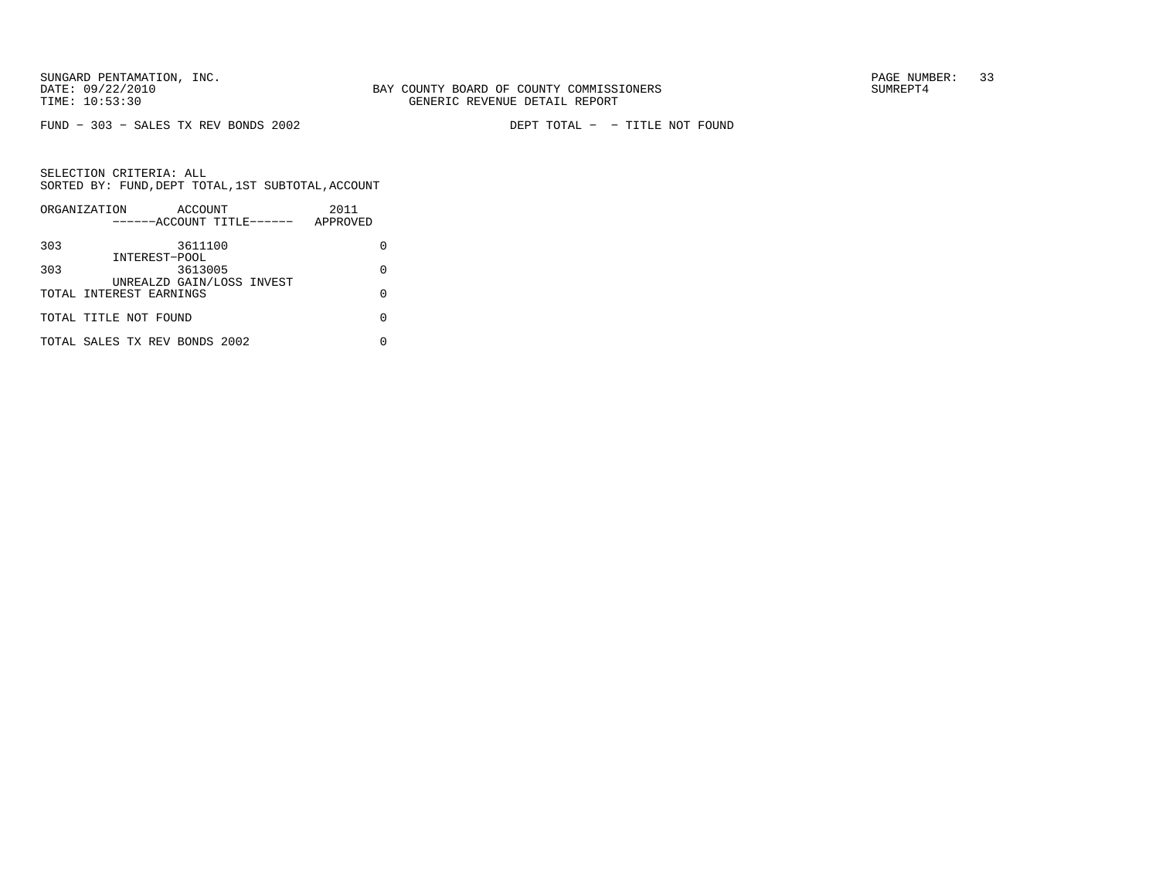$FUND - 303 - SALES TX REV BONDS 2002$ 

DEPT TOTAL - - TITLE NOT FOUND

|     | ORGANIZATION<br>ACCOUNT       | 2011     |
|-----|-------------------------------|----------|
|     | ------ACCOUNT TITLE------     | APPROVED |
|     |                               |          |
| 303 | 3611100                       |          |
|     | INTEREST-POOL                 |          |
| 303 | 3613005                       | O        |
|     | UNREALZD GAIN/LOSS INVEST     |          |
|     | TOTAL INTEREST EARNINGS       | U        |
|     |                               |          |
|     | TOTAL TITLE NOT FOUND         |          |
|     |                               |          |
|     | TOTAL SALES TX REV BONDS 2002 |          |
|     |                               |          |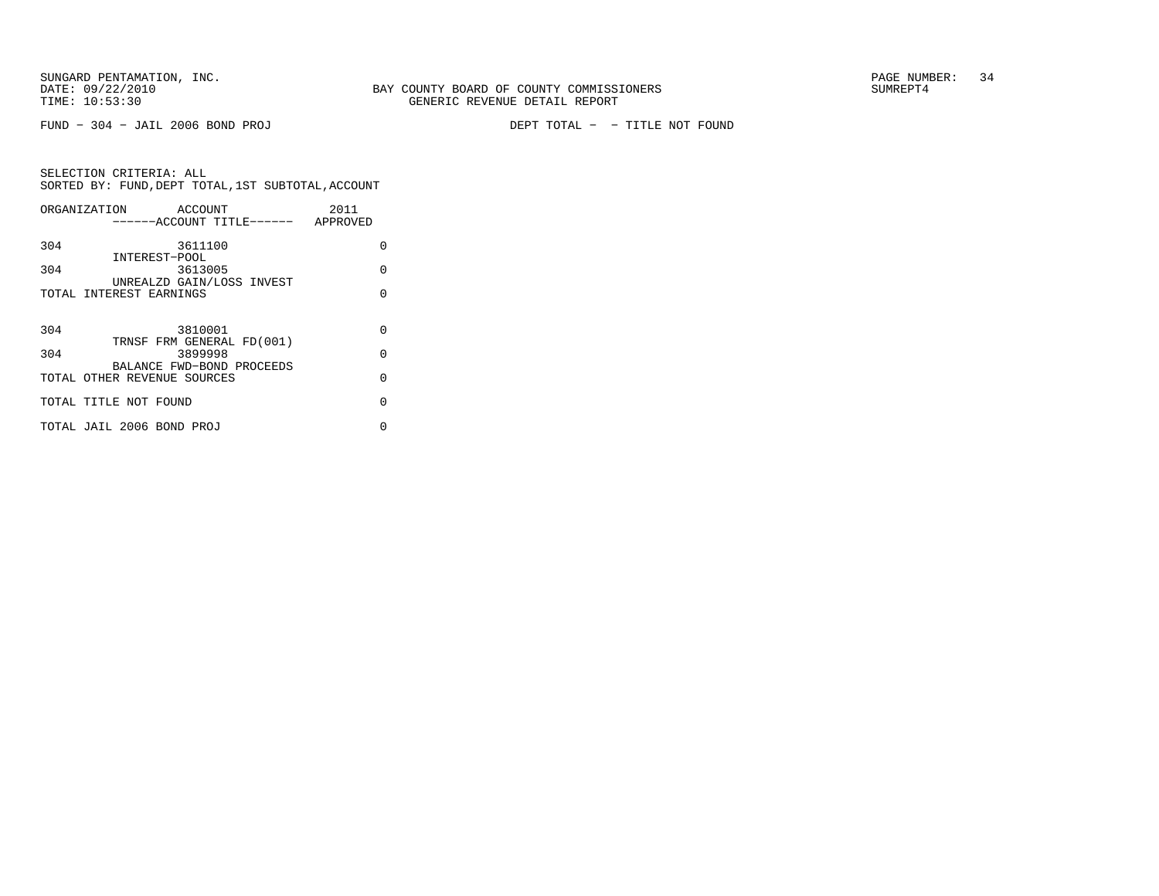$FUND - 304 - JAIL 2006 BOND PROJ$ 

DEPT TOTAL - - TITLE NOT FOUND

|     | ORGANIZATION ACCOUNT        |         |                           | 2011                               |          |
|-----|-----------------------------|---------|---------------------------|------------------------------------|----------|
|     |                             |         |                           | ------ACCOUNT TITLE------ APPROVED |          |
| 304 |                             | 3611100 |                           |                                    | U        |
|     | INTEREST-POOL               |         |                           |                                    |          |
| 304 |                             | 3613005 |                           |                                    | O        |
|     |                             |         | UNREALZD GAIN/LOSS INVEST |                                    |          |
|     | TOTAL INTEREST EARNINGS     |         |                           |                                    | U        |
|     |                             |         |                           |                                    |          |
|     |                             |         |                           |                                    | $\Omega$ |
| 304 |                             | 3810001 | TRNSF FRM GENERAL FD(001) |                                    |          |
| 304 |                             | 3899998 |                           |                                    | $\Omega$ |
|     |                             |         | BALANCE FWD-BOND PROCEEDS |                                    |          |
|     | TOTAL OTHER REVENUE SOURCES |         |                           |                                    | O        |
|     |                             |         |                           |                                    |          |
|     | TOTAL TITLE NOT FOUND       |         |                           |                                    | O        |
|     |                             |         |                           |                                    |          |
|     | TOTAL JAIL 2006 BOND PROJ   |         |                           |                                    | 0        |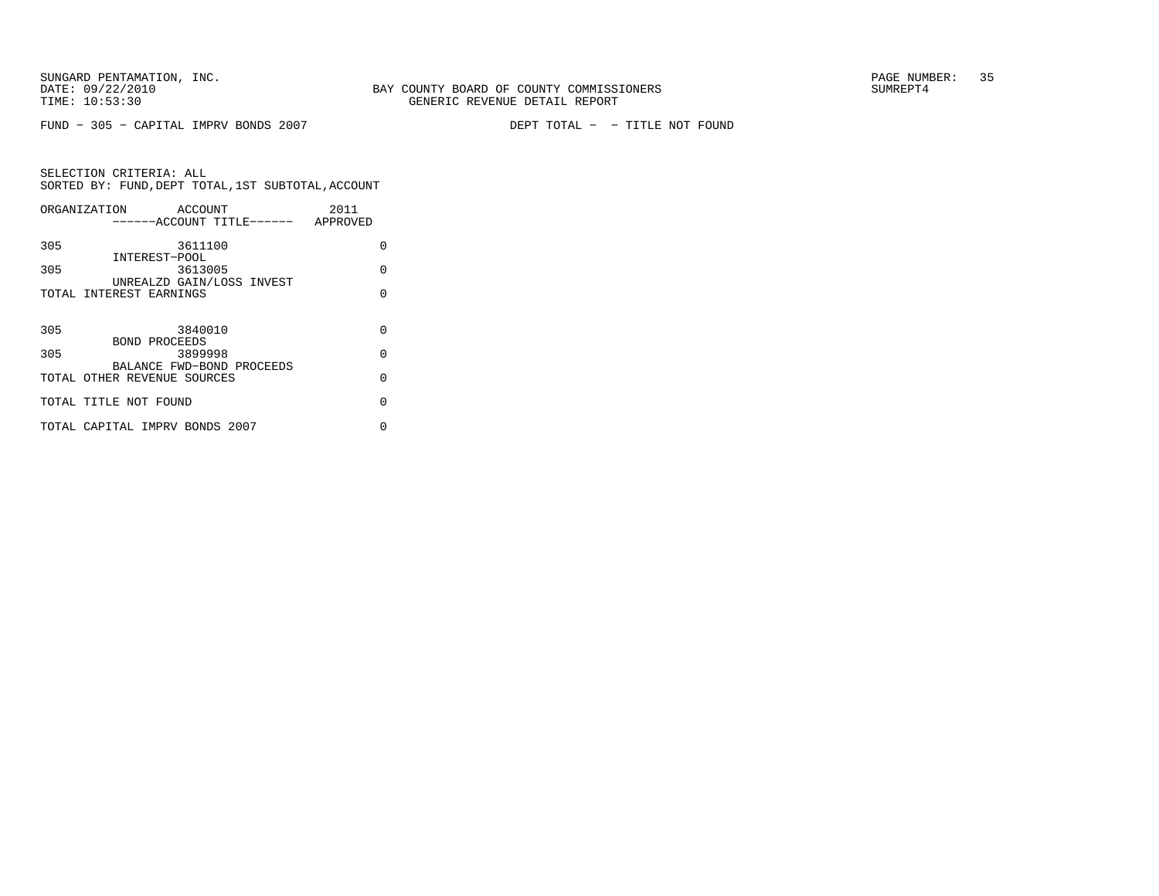$FUND - 305 - CAPITAL IMPV BONDS 2007$ 

DEPT TOTAL - - TITLE NOT FOUND

|     | ORGANIZATION<br>ACCOUNT            | 2011     |
|-----|------------------------------------|----------|
|     | ------ACCOUNT TITLE------ APPROVED |          |
| 305 | 3611100                            | 0        |
|     | INTEREST-POOL                      |          |
| 305 | 3613005                            | O        |
|     | UNREALZD GAIN/LOSS INVEST          |          |
|     | TOTAL INTEREST EARNINGS            | U        |
|     |                                    |          |
| 305 | 3840010                            | O        |
|     | BOND PROCEEDS                      |          |
| 305 | 3899998                            | $\Omega$ |
|     | BALANCE FWD-BOND PROCEEDS          |          |
|     | TOTAL OTHER REVENUE SOURCES        | $\Omega$ |
|     |                                    |          |
|     | TOTAL TITLE NOT FOUND              | $\Omega$ |
|     |                                    |          |
|     | TOTAL CAPITAL IMPRV BONDS 2007     | U        |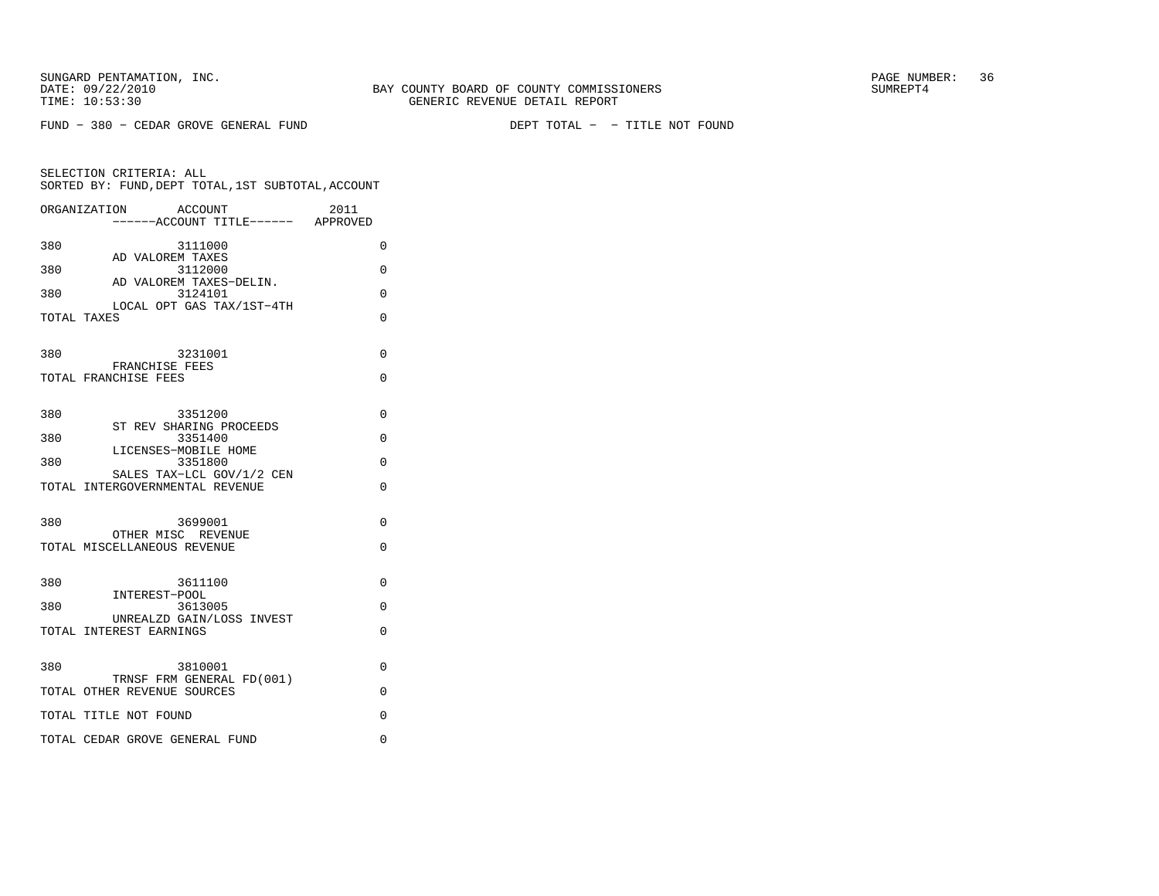DEPT TOTAL - - TITLE NOT FOUND

|             | ORGANIZATION<br>ACCOUNT<br>------ACCOUNT TITLE------ APPROVED   | 2011     |
|-------------|-----------------------------------------------------------------|----------|
| 380         | 3111000                                                         | $\Omega$ |
| 380         | AD VALOREM TAXES<br>3112000                                     | $\Omega$ |
| 380         | AD VALOREM TAXES-DELIN.<br>3124101<br>LOCAL OPT GAS TAX/1ST-4TH | 0        |
| TOTAL TAXES |                                                                 | 0        |
| 380         | 3231001                                                         | 0        |
|             | FRANCHISE FEES<br>TOTAL FRANCHISE FEES                          | 0        |
|             |                                                                 |          |
| 380         | 3351200<br>ST REV SHARING PROCEEDS                              | $\Omega$ |
| 380         | 3351400<br>LICENSES-MOBILE HOME                                 | 0        |
| 380         | 3351800<br>SALES TAX-LCL GOV/1/2 CEN                            | $\Omega$ |
|             | TOTAL INTERGOVERNMENTAL REVENUE                                 | 0        |
| 380         | 3699001                                                         | $\Omega$ |
|             | OTHER MISC REVENUE<br>TOTAL MISCELLANEOUS REVENUE               | $\Omega$ |
|             |                                                                 |          |
| 380         | 3611100<br>INTEREST-POOL                                        | $\Omega$ |
| 380         | 3613005<br>UNREALZD GAIN/LOSS INVEST                            | 0        |
|             | TOTAL INTEREST EARNINGS                                         | 0        |
| 380         | 3810001                                                         | $\Omega$ |
|             | TRNSF FRM GENERAL FD(001)<br>TOTAL OTHER REVENUE SOURCES        | $\Omega$ |
|             | TOTAL TITLE NOT FOUND                                           | 0        |
|             | TOTAL CEDAR GROVE GENERAL FUND                                  | 0        |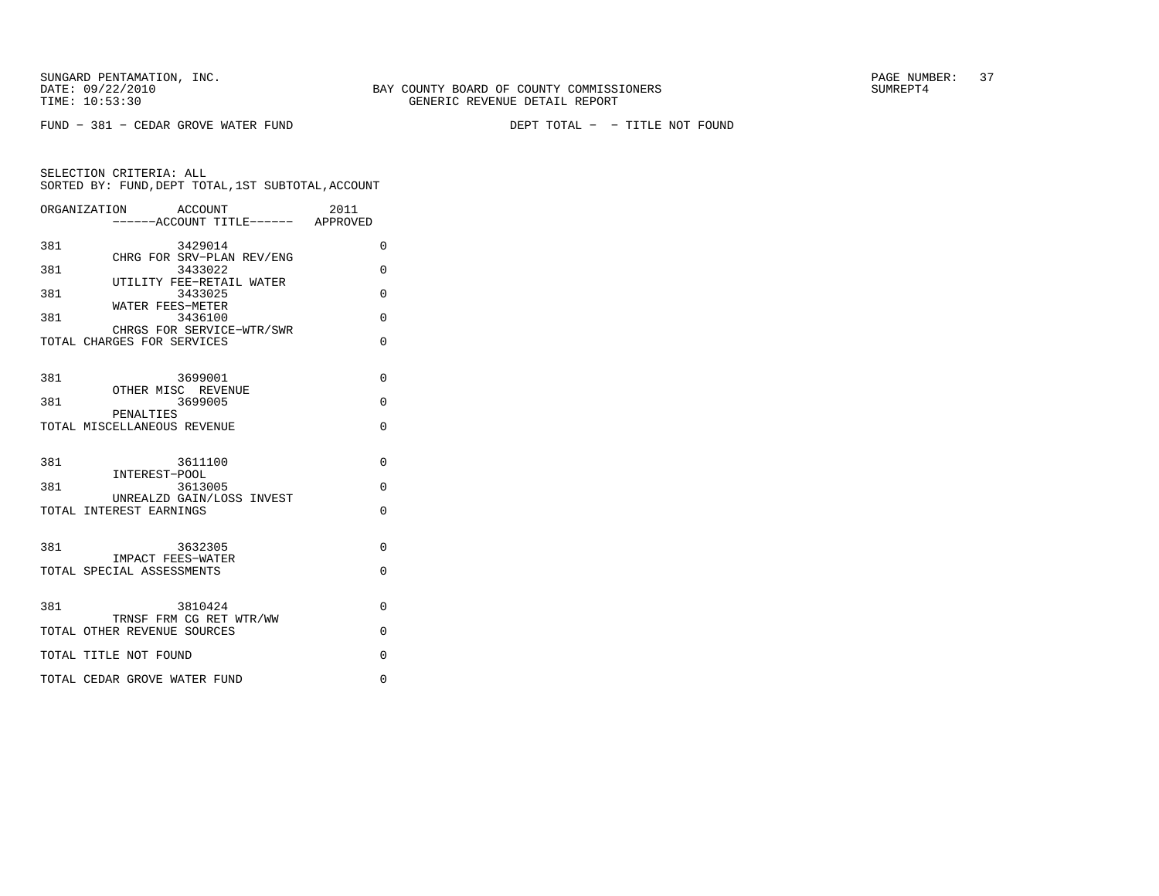$FUND - 381 - CEDAR GROVE WATER FUND$ 

DEPT TOTAL - - TITLE NOT FOUND

| ORGANIZATION                                   | 2011<br>ACCOUNT<br>-----ACCOUNT TITLE------ APPROVED |          |
|------------------------------------------------|------------------------------------------------------|----------|
| 381                                            | 3429014                                              | 0        |
| 381                                            | CHRG FOR SRV-PLAN REV/ENG<br>3433022                 | $\Omega$ |
| 381                                            | UTILITY FEE-RETAIL WATER<br>3433025                  | 0        |
| WATER FEES-METER<br>381                        | 3436100                                              | $\Omega$ |
| TOTAL CHARGES FOR SERVICES                     | CHRGS FOR SERVICE-WTR/SWR                            | $\Omega$ |
| 381<br>OTHER MISC REVENUE                      | 3699001                                              | $\Omega$ |
| 381<br>PENALTIES                               | 3699005                                              | $\Omega$ |
| TOTAL MISCELLANEOUS REVENUE                    |                                                      | 0        |
| 381<br>INTEREST-POOL                           | 3611100                                              | 0        |
| 381                                            | 3613005<br>UNREALZD GAIN/LOSS INVEST                 | $\Omega$ |
| TOTAL INTEREST EARNINGS                        |                                                      | $\Omega$ |
| 381                                            | 3632305                                              | $\Omega$ |
| IMPACT FEES-WATER<br>TOTAL SPECIAL ASSESSMENTS |                                                      | $\Omega$ |
| 381                                            | 3810424                                              | $\Omega$ |
| TOTAL OTHER REVENUE SOURCES                    | TRNSF FRM CG RET WTR/WW                              | 0        |
| TOTAL TITLE NOT FOUND                          |                                                      | 0        |
| TOTAL CEDAR GROVE WATER FUND                   |                                                      | $\Omega$ |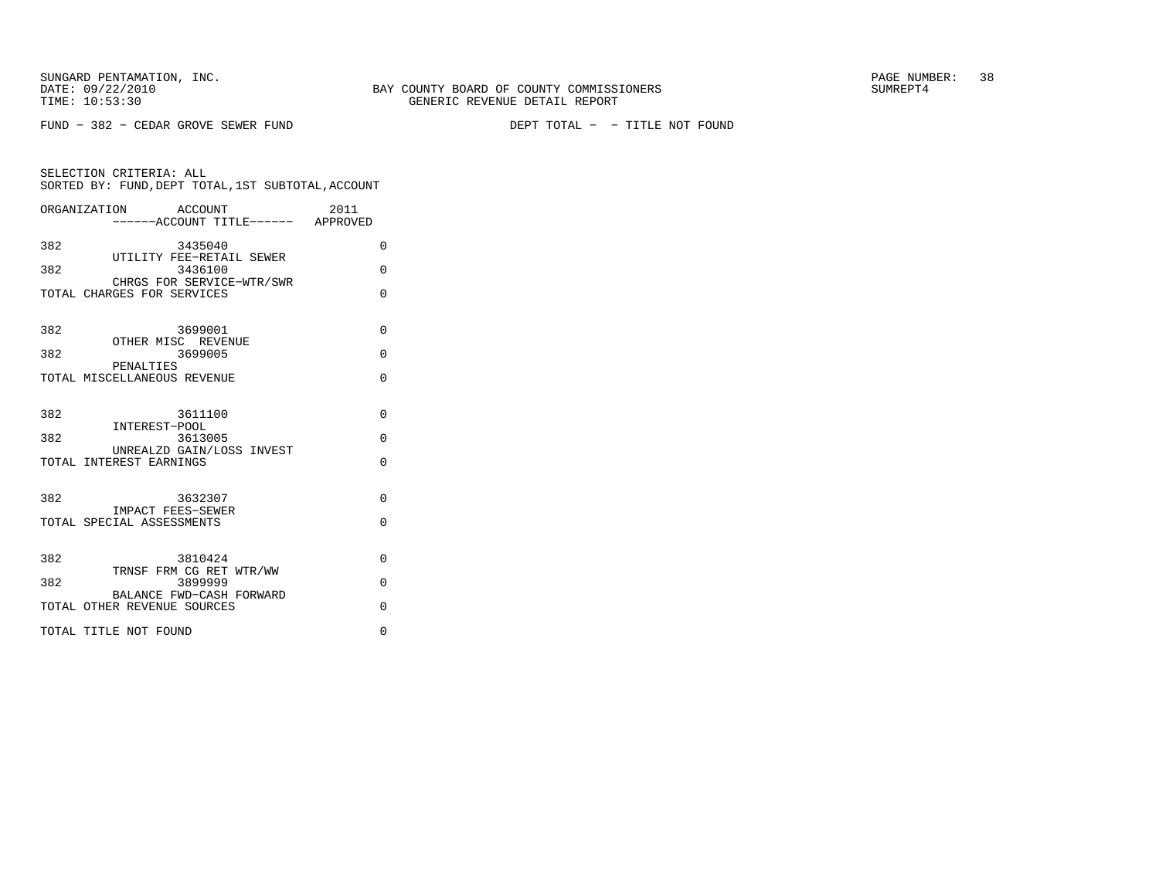SELECTION CRITERIA: ALL

 $FUND - 382 - CEDAR GROVE SEWER FUND$ 

DEPT TOTAL - - TITLE NOT FOUND

| SORTED BY: FUND, DEPT TOTAL, 1ST SUBTOTAL, ACCOUNT      |                  |
|---------------------------------------------------------|------------------|
| ORGANIZATION<br>ACCOUNT<br>------ACCOUNT TITLE------    | 2011<br>APPROVED |
| 382<br>3435040                                          |                  |
| UTILITY FEE-RETAIL SEWER<br>382<br>3436100              |                  |
| CHRGS FOR SERVICE-WTR/SWR<br>TOTAL CHARGES FOR SERVICES |                  |
|                                                         |                  |

| 382<br>3699001                                          | $\Omega$ |
|---------------------------------------------------------|----------|
| OTHER MISC REVENUE<br>382<br>3699005<br>PENALTIES       | $\Omega$ |
| TOTAL MISCELLANEOUS REVENUE                             | O        |
| 382<br>3611100<br>INTEREST-POOL                         | $\Omega$ |
| 382<br>3613005                                          | $\Omega$ |
| UNREALZD GAIN/LOSS INVEST<br>TOTAL INTEREST EARNINGS    | $\Omega$ |
| 382<br>3632307<br>IMPACT FEES-SEWER                     | $\Omega$ |
| TOTAL SPECIAL ASSESSMENTS                               | $\Omega$ |
|                                                         |          |
| 382<br>3810424                                          | $\Omega$ |
| TRNSF FRM CG RET WTR/WW<br>382<br>3899999               | $\Omega$ |
| BALANCE FWD-CASH FORWARD<br>TOTAL OTHER REVENUE SOURCES | $\Omega$ |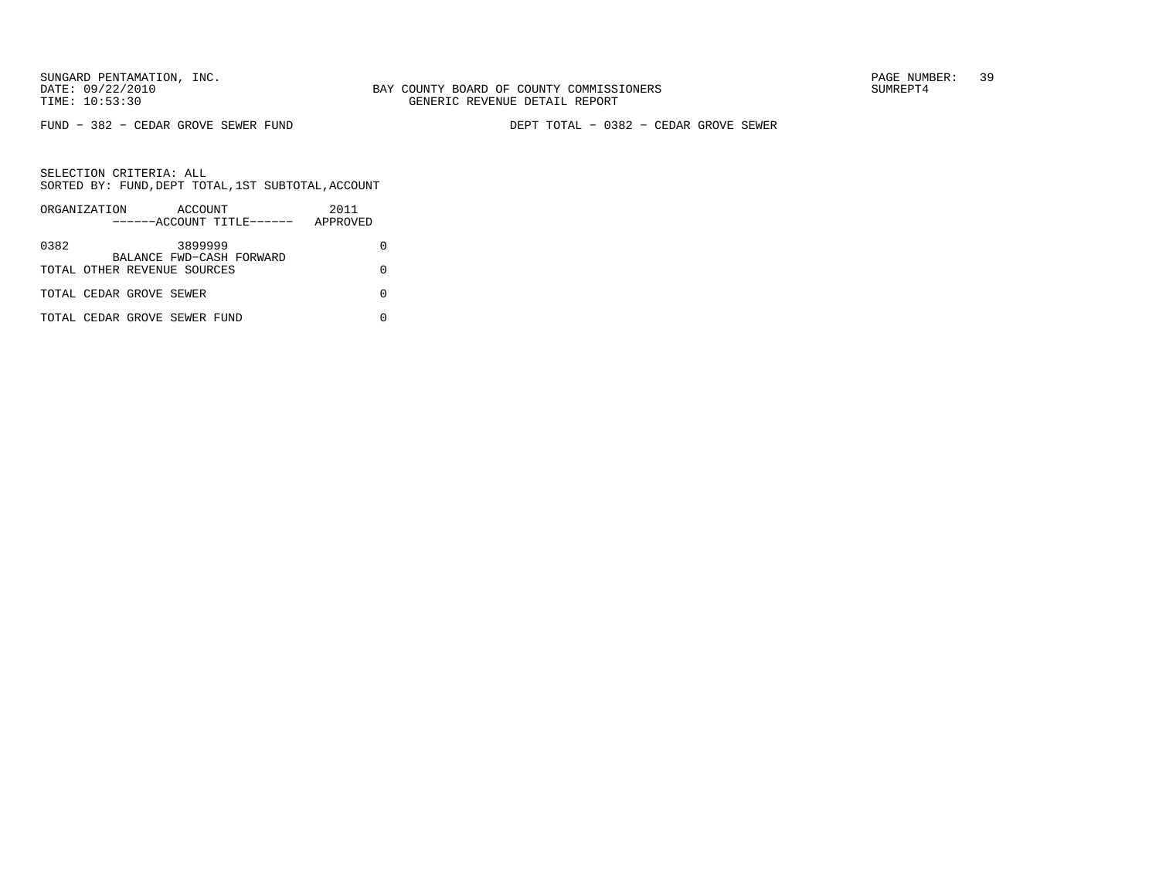FUND − 382 − CEDAR GROVE SEWER FUND DEPT TOTAL − 0382 − CEDAR GROVE SEWER

|      | ORGANIZATION |                              | ACCOUNT |                           | 2011     |  |
|------|--------------|------------------------------|---------|---------------------------|----------|--|
|      |              |                              |         | ------ACCOUNT TITLE------ | APPROVED |  |
| 0382 |              |                              | 3899999 | BALANCE FWD-CASH FORWARD  |          |  |
|      |              | TOTAL OTHER REVENUE SOURCES  |         |                           |          |  |
|      |              | TOTAL CEDAR GROVE SEWER      |         |                           |          |  |
|      |              | TOTAL CEDAR GROVE SEWER FUND |         |                           |          |  |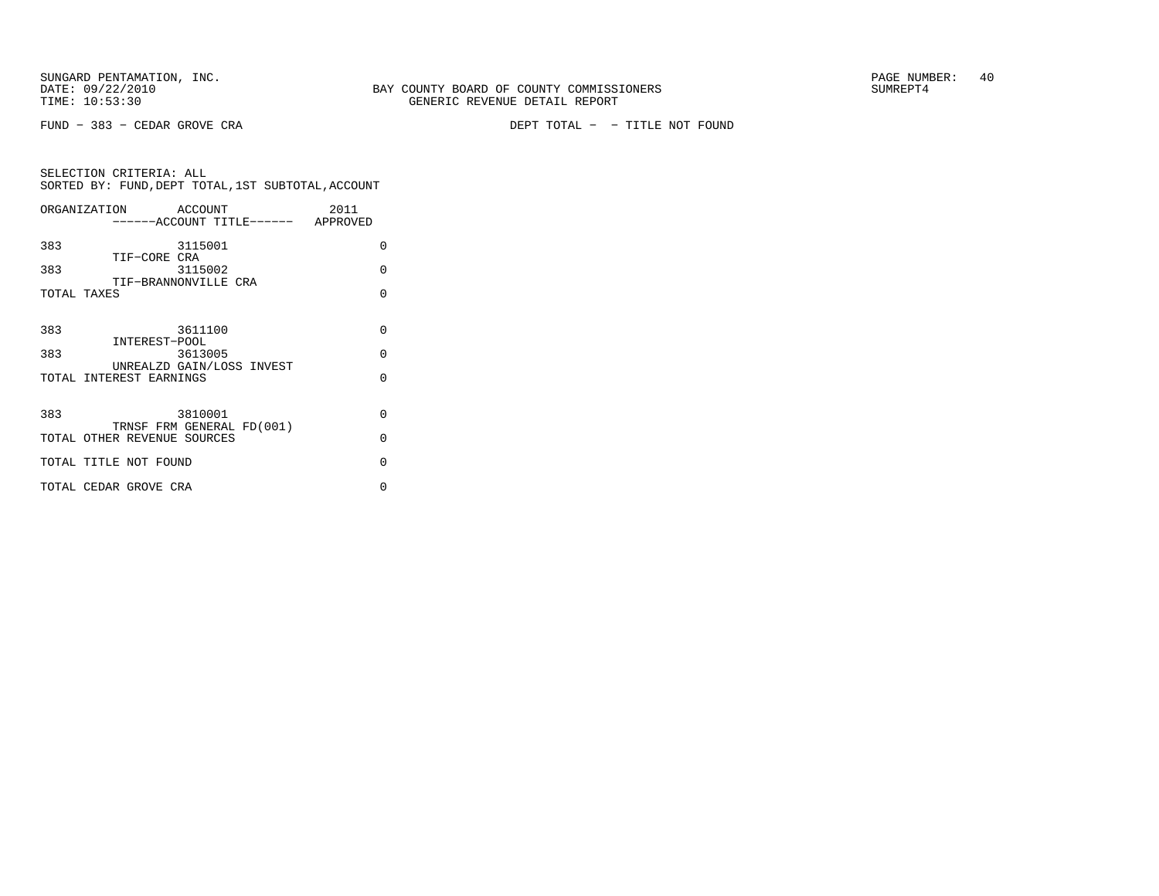FUND − 383 − CEDAR GROVE CRA DEPT TOTAL − − TITLE NOT FOUND

| ORGANIZATION                        | ACCOUNT |                                    | 2011 |          |
|-------------------------------------|---------|------------------------------------|------|----------|
|                                     |         | ------ACCOUNT TITLE------ APPROVED |      |          |
| 383                                 | 3115001 |                                    |      | $\Omega$ |
| TIF-CORE CRA<br>383                 | 3115002 |                                    |      | $\Omega$ |
| TIF-BRANNONVILLE CRA<br>TOTAL TAXES |         |                                    |      | $\Omega$ |
|                                     |         |                                    |      |          |
| 383                                 | 3611100 |                                    |      | $\Omega$ |
| INTEREST-POOL<br>383                | 3613005 |                                    |      | $\Omega$ |
| TOTAL INTEREST EARNINGS             |         | UNREALZD GAIN/LOSS INVEST          |      | $\Omega$ |
|                                     |         |                                    |      |          |
| 383                                 | 3810001 | TRNSF FRM GENERAL FD(001)          |      | $\Omega$ |
| TOTAL OTHER REVENUE SOURCES         |         |                                    |      | $\Omega$ |
| TOTAL TITLE NOT FOUND               |         |                                    |      | $\Omega$ |
| TOTAL CEDAR GROVE CRA               |         |                                    |      | U        |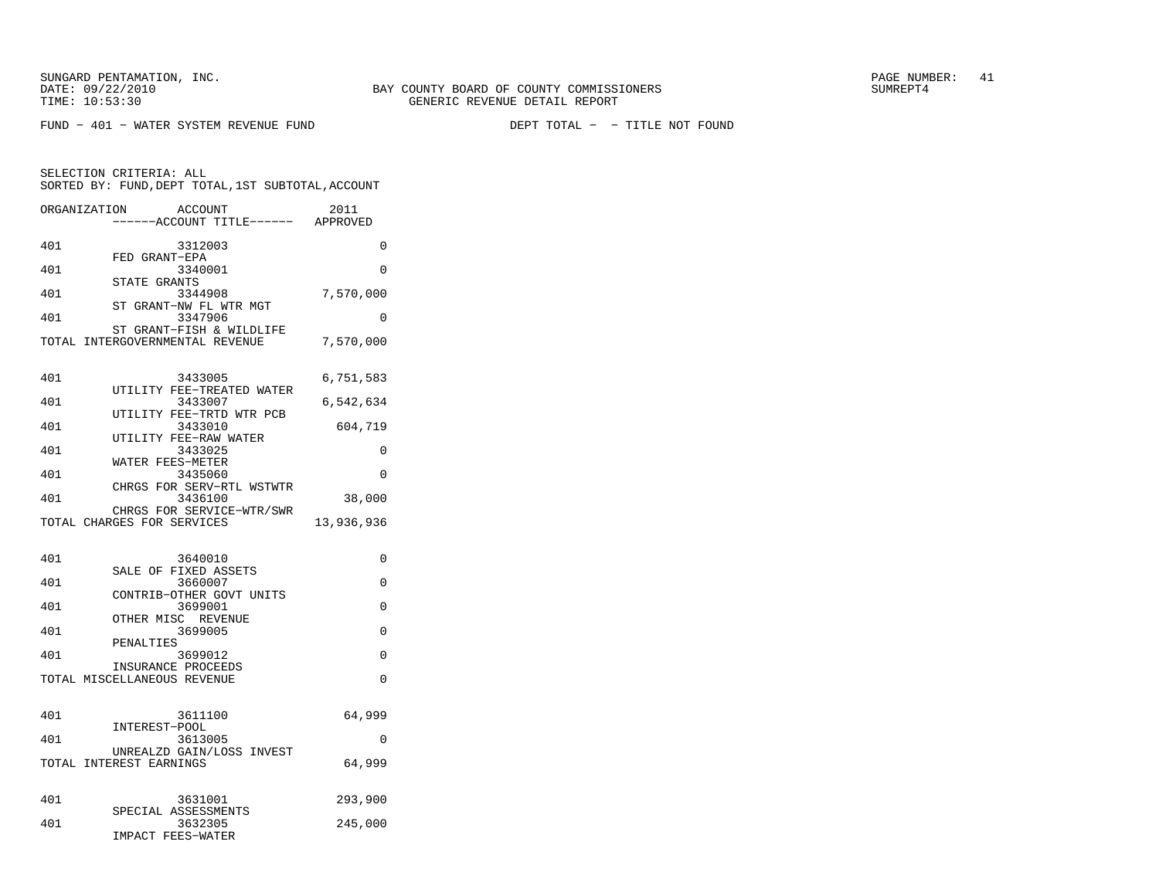FUND - 401 - WATER SYSTEM REVENUE FUND

| ORGANIZATION | <b>ACCOUNT</b><br>----ACCOUNT TITLE------ APPROVED          | 2011       |
|--------------|-------------------------------------------------------------|------------|
| 401          | 3312003                                                     | 0          |
| 401          | FED GRANT-EPA<br>3340001                                    | 0          |
| 401          | STATE GRANTS<br>3344908                                     | 7,570,000  |
| 401          | ST GRANT-NW FL WTR MGT<br>3347906                           | 0          |
|              | ST GRANT-FISH & WILDLIFE<br>TOTAL INTERGOVERNMENTAL REVENUE | 7,570,000  |
| 401          | 3433005                                                     | 6,751,583  |
| 401          | UTILITY FEE-TREATED WATER<br>3433007                        | 6,542,634  |
| 401          | UTILITY FEE-TRTD WTR PCB<br>3433010                         | 604,719    |
| 401          | UTILITY FEE-RAW WATER<br>3433025                            | 0          |
| 401          | WATER FEES-METER<br>3435060                                 | 0          |
| 401          | CHRGS FOR SERV-RTL WSTWTR<br>3436100                        | 38,000     |
|              | CHRGS FOR SERVICE-WTR/SWR<br>TOTAL CHARGES FOR SERVICES     | 13,936,936 |
| 401          | 3640010                                                     | 0          |
| 401          | SALE OF FIXED ASSETS<br>3660007                             | 0          |
| 401          | CONTRIB-OTHER GOVT UNITS<br>3699001                         | 0          |
| 401          | OTHER MISC REVENUE<br>3699005                               | 0          |
| 401          | PENALTIES<br>3699012                                        | 0          |
|              | INSURANCE PROCEEDS<br>TOTAL MISCELLANEOUS REVENUE           | 0          |
|              |                                                             |            |
| 401          | 3611100                                                     | 64,999     |
| 401          | INTEREST-POOL<br>3613005                                    | 0          |
|              | UNREALZD GAIN/LOSS<br>INVEST<br>TOTAL INTEREST EARNINGS     | 64,999     |
| 401          | 3631001                                                     | 293,900    |
| 401          | SPECIAL ASSESSMENTS<br>3632305<br>IMPACT FEES-WATER         | 245,000    |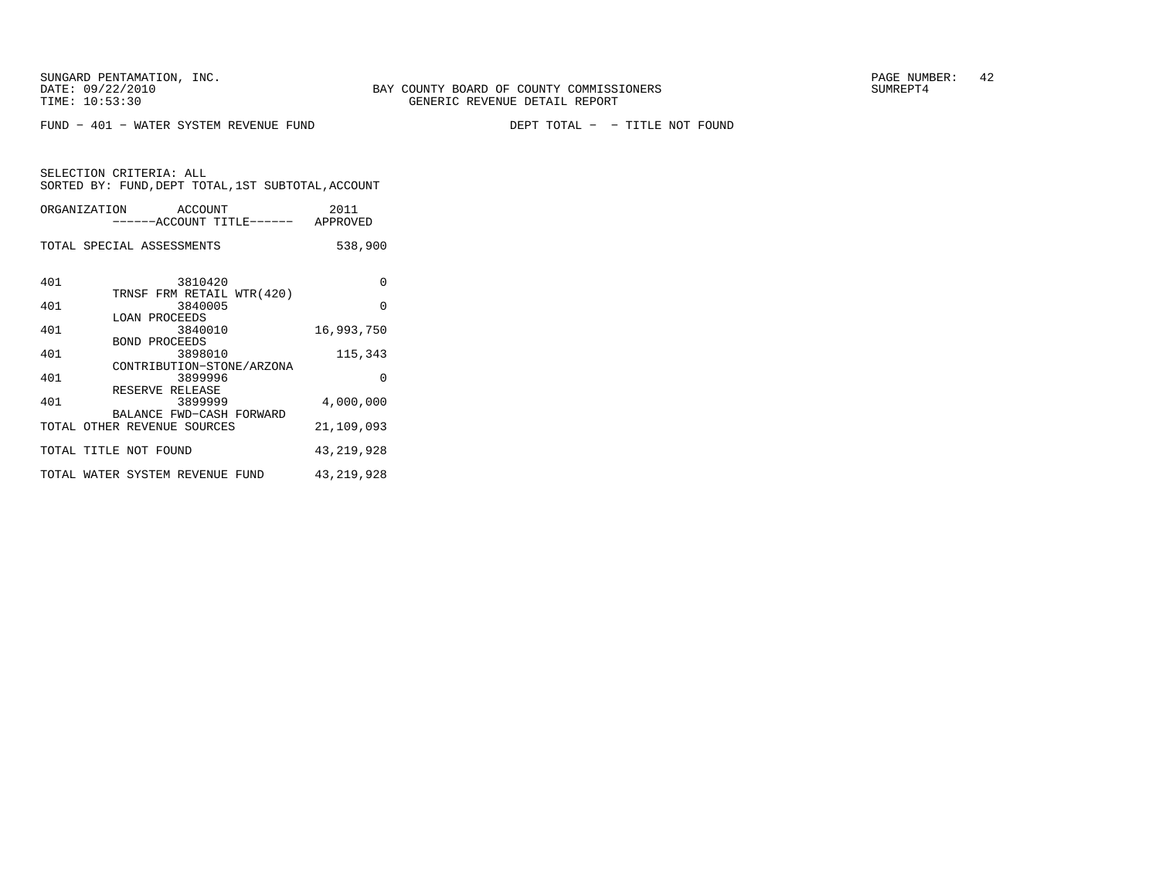FUND - 401 - WATER SYSTEM REVENUE FUND

DEPT TOTAL - - TITLE NOT FOUND

| ORGANIZATION ACCOUNT            | ------ACCOUNT TITLE------ APPROVED                      | 2011         |
|---------------------------------|---------------------------------------------------------|--------------|
| TOTAL SPECIAL ASSESSMENTS       |                                                         | 538,900      |
| 401                             | 3810420<br>TRNSF FRM RETAIL WTR(420)                    | $\Omega$     |
| 401                             | 3840005                                                 | $\Omega$     |
| LOAN PROCEEDS<br>401            | 3840010                                                 | 16,993,750   |
| <b>BOND PROCEEDS</b><br>401     | 3898010                                                 | 115,343      |
| 401                             | CONTRIBUTION-STONE/ARZONA<br>3899996<br>RESERVE RELEASE | $\Omega$     |
| 401                             | 3899999                                                 | 4,000,000    |
| TOTAL OTHER REVENUE SOURCES     | BALANCE FWD-CASH FORWARD                                | 21,109,093   |
| TOTAL TITLE NOT FOUND           |                                                         | 43, 219, 928 |
| TOTAL WATER SYSTEM REVENUE FUND |                                                         | 43, 219, 928 |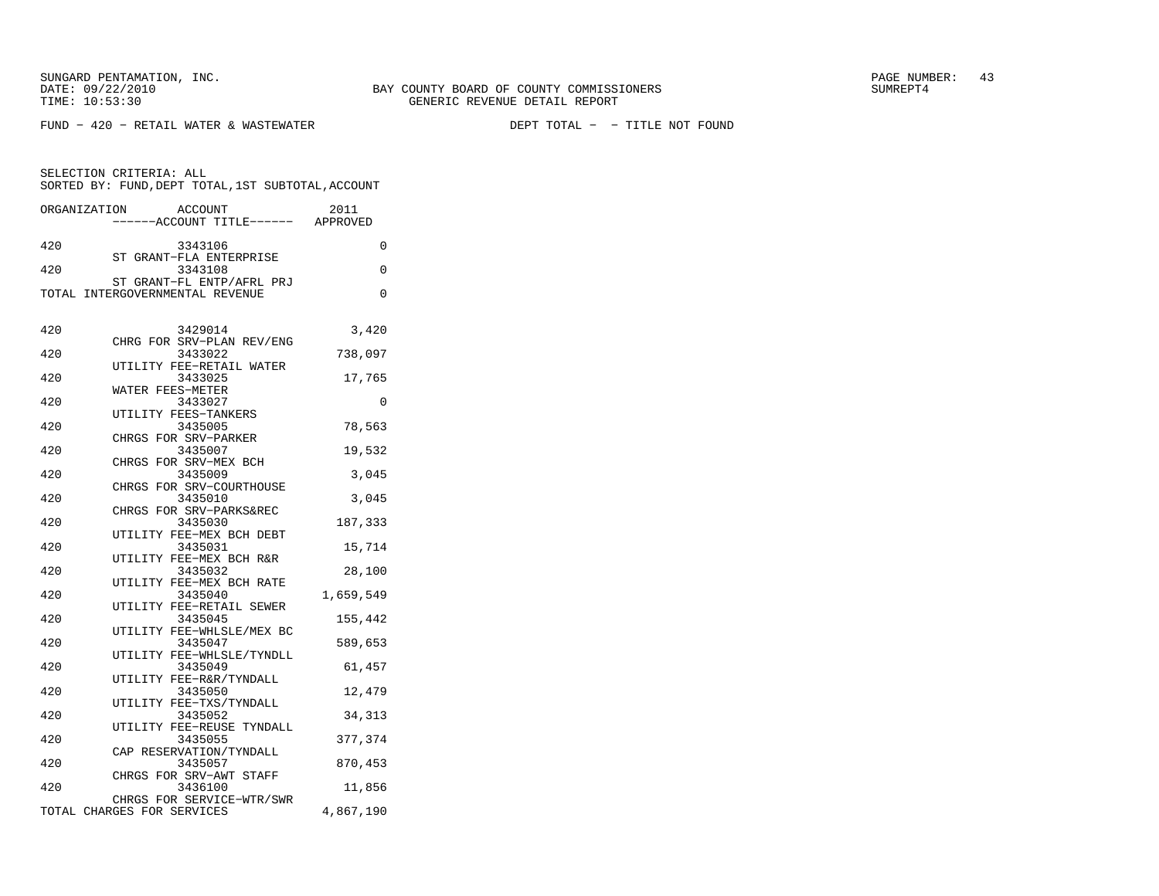SUNGARD PENTAMATION, INC.  $\begin{array}{ccc} 43 \end{array}$ 

SELECTION CRITERIA: ALL

FUND − 420 − RETAIL WATER & WASTEWATER DEPT TOTAL − − TITLE NOT FOUND

SORTED BY: FUND,DEPT TOTAL,1ST SUBTOTAL,ACCOUNT

ORGANIZATION ACCOUNT 2011 −−−−−−ACCOUNT TITLE−−−−−− APPROVED 420 3343106 0 ST GRANT−FLA ENTERPRISE 420 3343108 0 ST GRANT−FL ENTP/AFRL PRJ TOTAL INTERGOVERNMENTAL REVENUE 0 420 3429014 3,420 CHRG FOR SRV−PLAN REV/ENG 420 3433022 738,097 UTILITY FEE−RETAIL WATER420 3433025 17,765 WATER FEES−METER420 3433027 0 UTILITY FEES−TANKERS420 3435005 78,563 CHRGS FOR SRV−PARKER420 3435007 19,532 CHRGS FOR SRV−MEX BCH420 3435009 3,045 CHRGS FOR SRV−COURTHOUSE420 3435010 3,045 CHRGS FOR SRV−PARKS&REC420 3435030 187,333 UTILITY FEE−MEX BCH DEBT420 3435031 15,714 UTILITY FEE−MEX BCH R&R 420 3435032 28,100 UTILITY FEE−MEX BCH RATE420 3435040 1,659,549 UTILITY FEE−RETAIL SEWER 420 3435045 155,442 UTILITY FEE−WHLSLE/MEX BC 420 3435047 589,653 UTILITY FEE−WHLSLE/TYNDLL 420 3435049 61,457 UTILITY FEE−R&R/TYNDALL 420 3435050 12,479 UTILITY FEE−TXS/TYNDALL 420 3435052 34,313 UTILITY FEE−REUSE TYNDALL420 3435055 377,374 CAP RESERVATION/TYNDALL 420 3435057 870,453 CHRGS FOR SRV−AWT STAFF420 3436100 11,856 CHRGS FOR SERVICE−WTR/SWR TOTAL CHARGES FOR SERVICES 4,867,190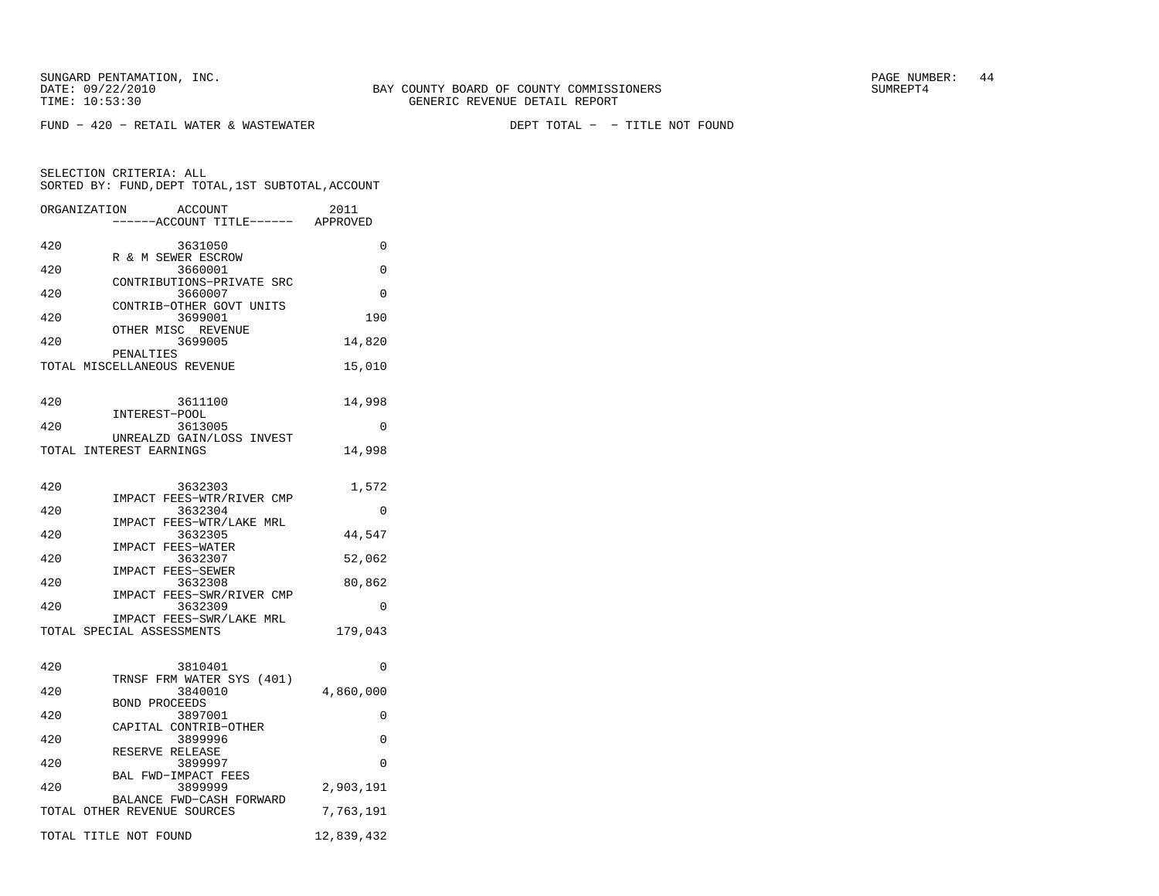SUNGARD PENTAMATION, INC.<br>
BAY COUNTY BOARD OF COUNTY COMMISSIONERS AND SUNREPT4 SUMREPT4

DEPT TOTAL - - TITLE NOT FOUND

| ORGANIZATION | <b>ACCOUNT</b><br>---ACCOUNT TITLE------ APPROVED | 2011       |
|--------------|---------------------------------------------------|------------|
| 420          | 3631050<br>R & M SEWER ESCROW                     | 0          |
| 420          | 3660001                                           | 0          |
| 420          | CONTRIBUTIONS-PRIVATE SRC<br>3660007              | $\Omega$   |
| 420          | CONTRIB-OTHER GOVT UNITS<br>3699001               | 190        |
| 420          | OTHER MISC REVENUE<br>3699005                     | 14,820     |
|              | PENALTIES<br>TOTAL MISCELLANEOUS REVENUE          | 15,010     |
|              |                                                   |            |
| 420          | 3611100<br>INTEREST-POOL                          | 14,998     |
| 420          | 3613005<br>UNREALZD GAIN/LOSS INVEST              | 0          |
|              | TOTAL INTEREST EARNINGS                           | 14,998     |
| 420          | 3632303                                           | 1,572      |
| 420          | IMPACT FEES-WTR/RIVER CMP<br>3632304              | 0          |
| 420          | IMPACT FEES-WTR/LAKE MRL<br>3632305               | 44,547     |
|              | IMPACT FEES-WATER                                 |            |
| 420          | 3632307<br>IMPACT FEES-SEWER                      | 52,062     |
| 420          | 3632308<br>FEES-SWR/RIVER CMP<br>IMPACT           | 80,862     |
| 420          | 3632309<br>IMPACT FEES-SWR/LAKE MRL               | 0          |
|              | TOTAL SPECIAL ASSESSMENTS                         | 179,043    |
| 420          | 3810401                                           | 0          |
| 420          | TRNSF FRM WATER SYS (401)<br>3840010              | 4,860,000  |
| 420          | <b>BOND PROCEEDS</b><br>3897001                   | 0          |
| 420          | CAPITAL CONTRIB-OTHER<br>3899996                  | 0          |
|              | RESERVE RELEASE                                   |            |
| 420          | 3899997<br>BAL FWD-IMPACT FEES                    | $\Omega$   |
| 420          | 3899999<br>BALANCE FWD-CASH FORWARD               | 2,903,191  |
|              | TOTAL OTHER REVENUE SOURCES                       | 7,763,191  |
|              | TOTAL TITLE NOT FOUND                             | 12,839,432 |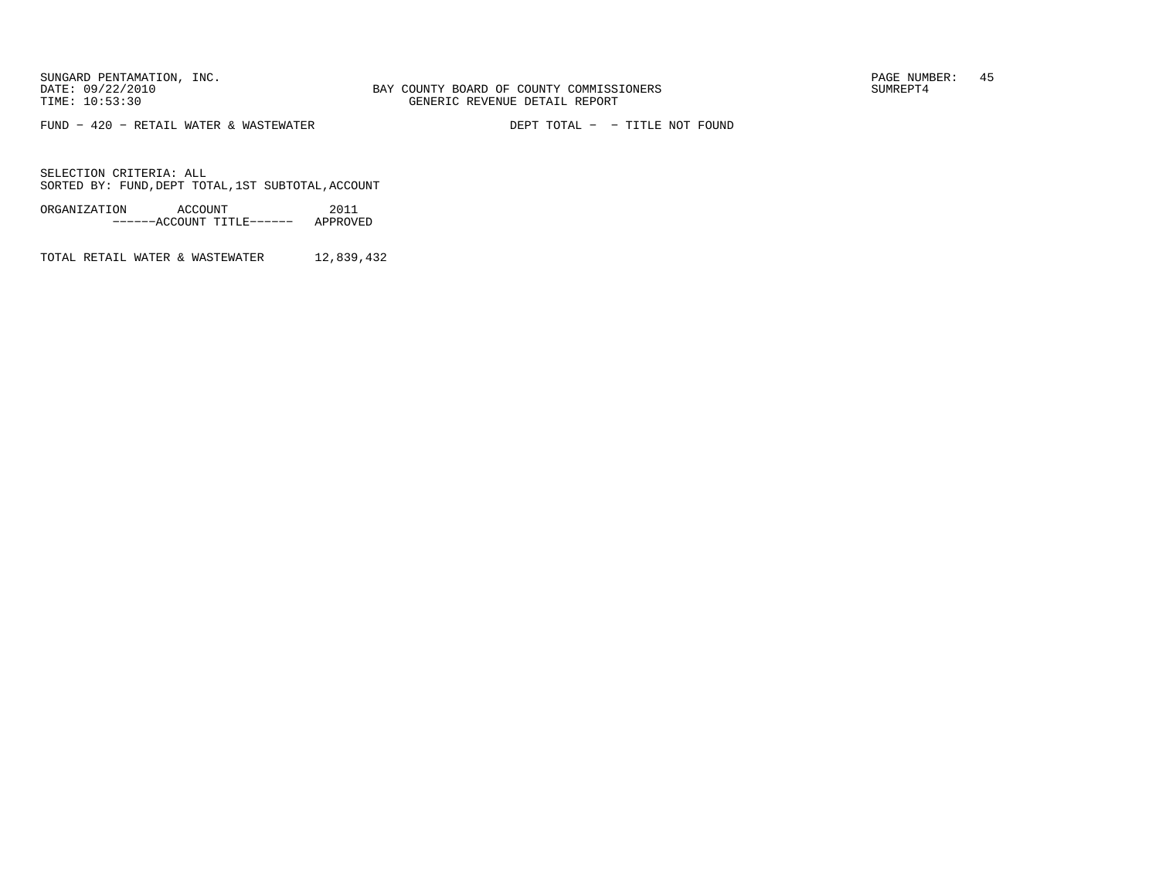$FUND - 420 - RETAIL WATER & WASTEWATER$ 

DEPT TOTAL - - TITLE NOT FOUND

SELECTION CRITERIA: ALLSORTED BY: FUND, DEPT TOTAL, 1ST SUBTOTAL, ACCOUNT

ORGANIZATION ACCOUNT 2011−−−−−−ACCOUNT TITLE−−−−−− APPROVED

TOTAL RETAIL WATER & WASTEWATER 12,839,432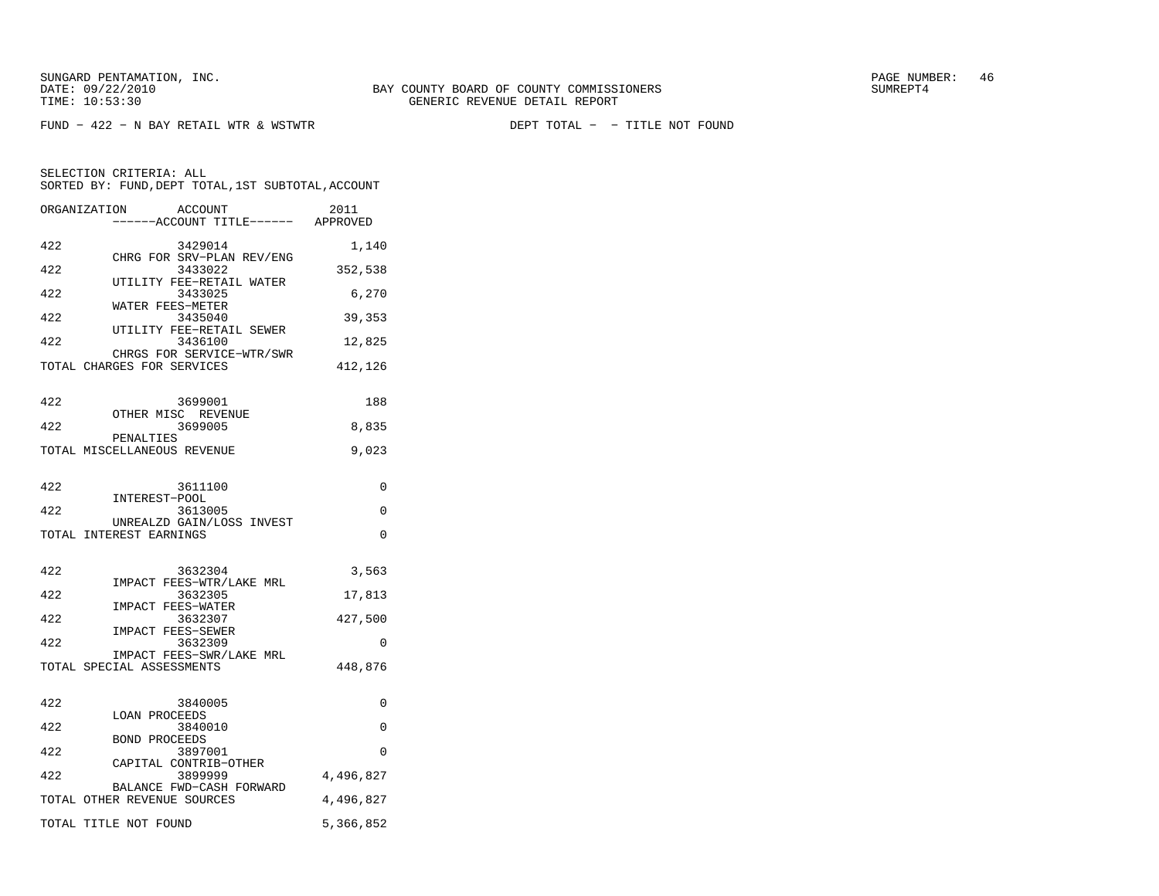DEPT TOTAL - - TITLE NOT FOUND

|     | ORGANIZATION<br><b>ACCOUNT</b><br>---ACCOUNT TITLE------ APPROVED | 2011      |
|-----|-------------------------------------------------------------------|-----------|
| 422 | 3429014                                                           | 1,140     |
| 422 | CHRG FOR SRV-PLAN REV/ENG<br>3433022                              | 352,538   |
| 422 | UTILITY FEE-RETAIL WATER<br>3433025                               | 6,270     |
| 422 | WATER FEES-METER<br>3435040                                       | 39,353    |
| 422 | UTILITY FEE-RETAIL SEWER<br>3436100                               | 12,825    |
|     | CHRGS FOR SERVICE-WTR/SWR<br>TOTAL CHARGES FOR SERVICES           | 412,126   |
| 422 | 3699001                                                           | 188       |
| 422 | OTHER MISC REVENUE<br>3699005                                     | 8,835     |
|     | PENALTIES<br>TOTAL MISCELLANEOUS REVENUE                          | 9,023     |
| 422 | 3611100                                                           | 0         |
| 422 | INTEREST-POOL<br>3613005                                          | 0         |
|     | UNREALZD GAIN/LOSS INVEST<br>TOTAL INTEREST EARNINGS              | 0         |
| 422 | 3632304                                                           | 3,563     |
| 422 | IMPACT FEES-WTR/LAKE MRL<br>3632305                               | 17,813    |
| 422 | IMPACT FEES-WATER<br>3632307                                      | 427,500   |
| 422 | IMPACT FEES-SEWER<br>3632309                                      | 0         |
|     | IMPACT FEES-SWR/LAKE MRL<br>TOTAL SPECIAL ASSESSMENTS             | 448,876   |
| 422 | 3840005                                                           | 0         |
| 422 | <b>LOAN PROCEEDS</b><br>3840010                                   | $\Omega$  |
| 422 | <b>BOND PROCEEDS</b><br>3897001                                   | 0         |
| 422 | CAPITAL CONTRIB-OTHER<br>3899999                                  | 4,496,827 |
|     | BALANCE FWD-CASH FORWARD<br>TOTAL OTHER REVENUE SOURCES           | 4,496,827 |
|     | TOTAL TITLE NOT FOUND                                             | 5,366,852 |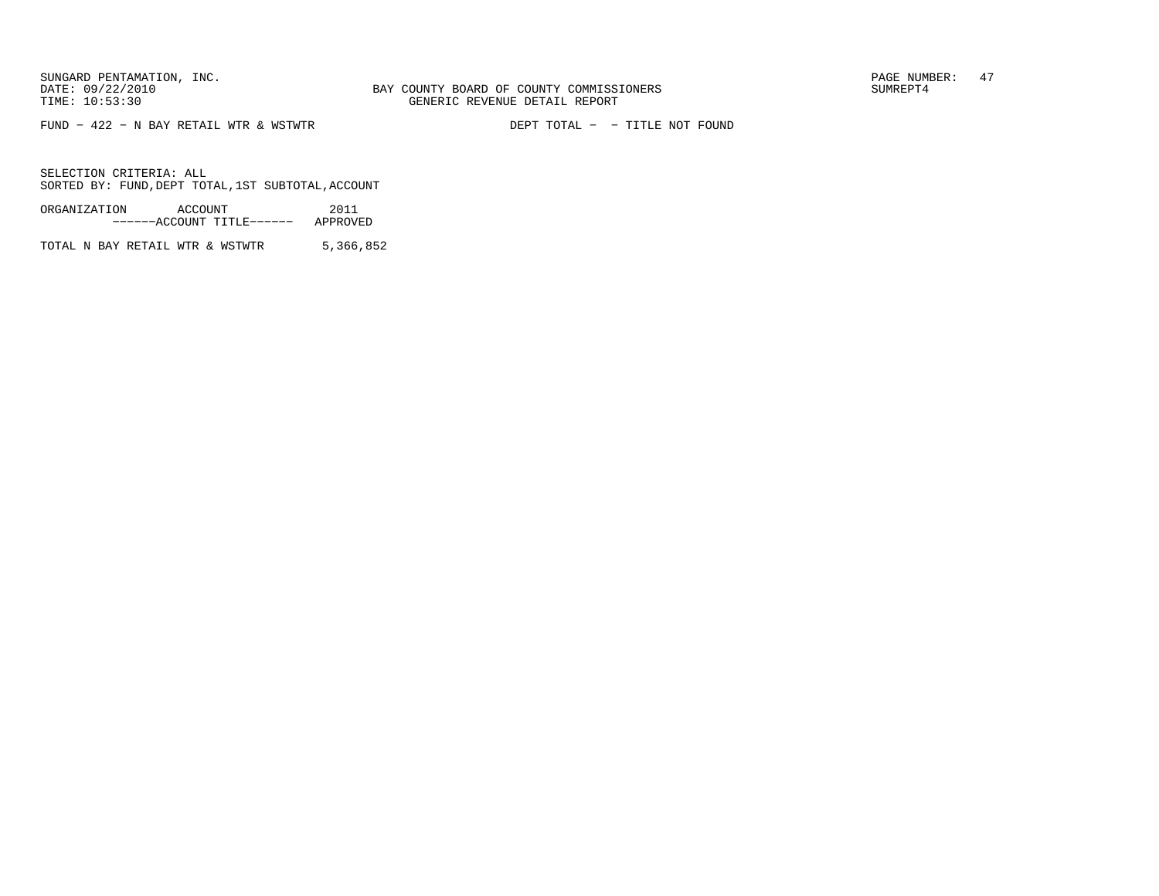FUND  $-$  422  $-$  N BAY RETAIL WTR & WSTWTR

DEPT TOTAL - - TITLE NOT FOUND

SELECTION CRITERIA: ALLSORTED BY: FUND, DEPT TOTAL, 1ST SUBTOTAL, ACCOUNT

ORGANIZATION ACCOUNT 2011−−−−−−ACCOUNT TITLE−−−−−− APPROVED

TOTAL N BAY RETAIL WTR & WSTWTR 5,366,852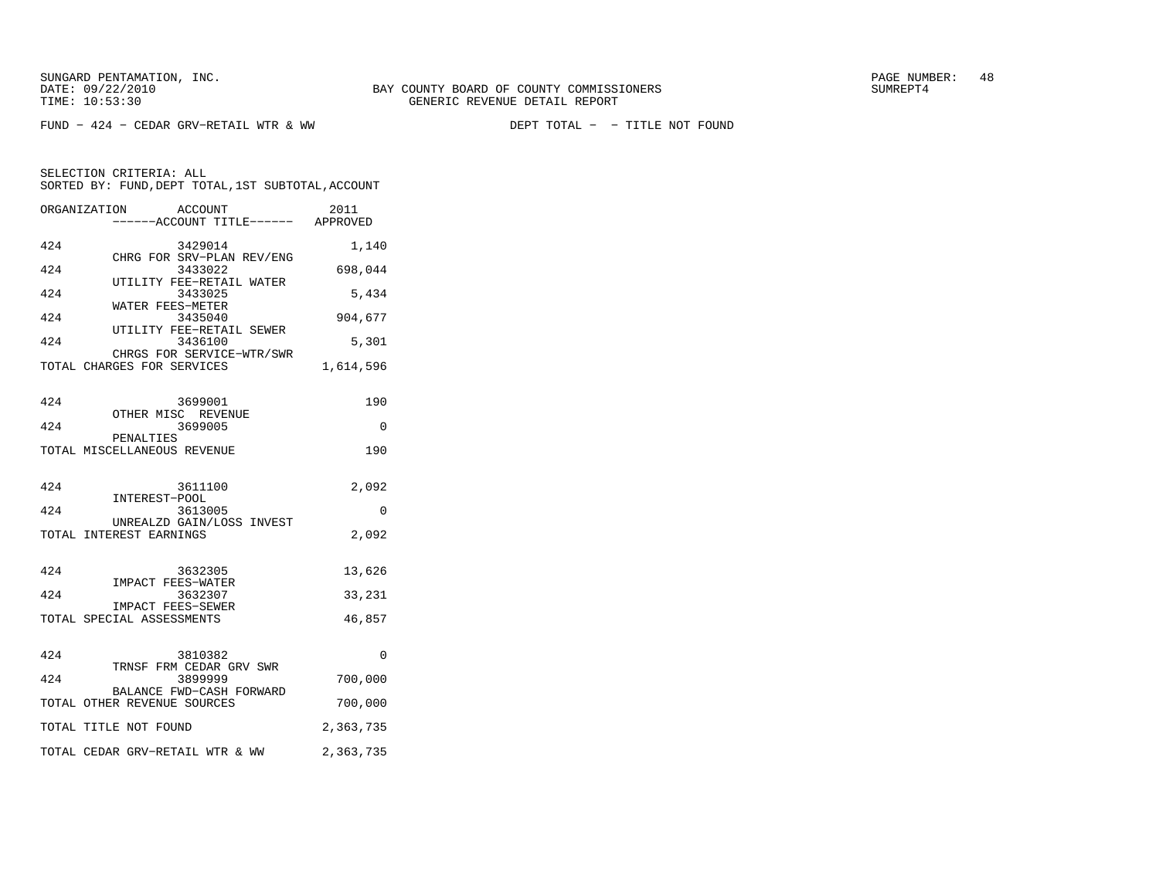$FUND - 424 - CEDAR GRV-RETAIL WTR & WW$ 

DEPT TOTAL - - TITLE NOT FOUND

| ORGANIZATION | ACCOUNT<br>------ACCOUNT TITLE------ APPROVED           | 2011      |
|--------------|---------------------------------------------------------|-----------|
| 424          | 3429014                                                 | 1,140     |
| 424          | CHRG FOR SRV-PLAN REV/ENG<br>3433022                    | 698,044   |
| 424          | UTILITY FEE-RETAIL WATER<br>3433025                     | 5,434     |
| 424          | WATER FEES-METER<br>3435040                             | 904,677   |
| 424          | UTILITY FEE-RETAIL SEWER<br>3436100                     | 5,301     |
|              | CHRGS FOR SERVICE-WTR/SWR<br>TOTAL CHARGES FOR SERVICES | 1,614,596 |
|              |                                                         |           |
| 424          | 3699001<br>OTHER MISC REVENUE                           | 190       |
| 424          | 3699005                                                 | $\Omega$  |
|              | PENALTIES<br>TOTAL MISCELLANEOUS REVENUE                | 190       |
|              |                                                         |           |
| 424          | 3611100<br>INTEREST-POOL                                | 2,092     |
| 424          | 3613005                                                 | 0         |
|              | UNREALZD GAIN/LOSS INVEST<br>TOTAL INTEREST EARNINGS    | 2,092     |
|              |                                                         |           |
| 424          | 3632305<br>IMPACT FEES-WATER                            | 13,626    |
| 424          | 3632307<br>IMPACT FEES-SEWER                            | 33,231    |
|              | TOTAL SPECIAL ASSESSMENTS                               | 46,857    |
| 424          | 3810382                                                 | 0         |
| 424          | TRNSF FRM CEDAR GRV SWR<br>3899999                      |           |
|              | BALANCE FWD-CASH FORWARD                                | 700,000   |
|              | TOTAL OTHER REVENUE SOURCES                             | 700,000   |
|              | TOTAL TITLE NOT FOUND                                   | 2,363,735 |
|              | TOTAL CEDAR GRV-RETAIL WTR & WW                         | 2,363,735 |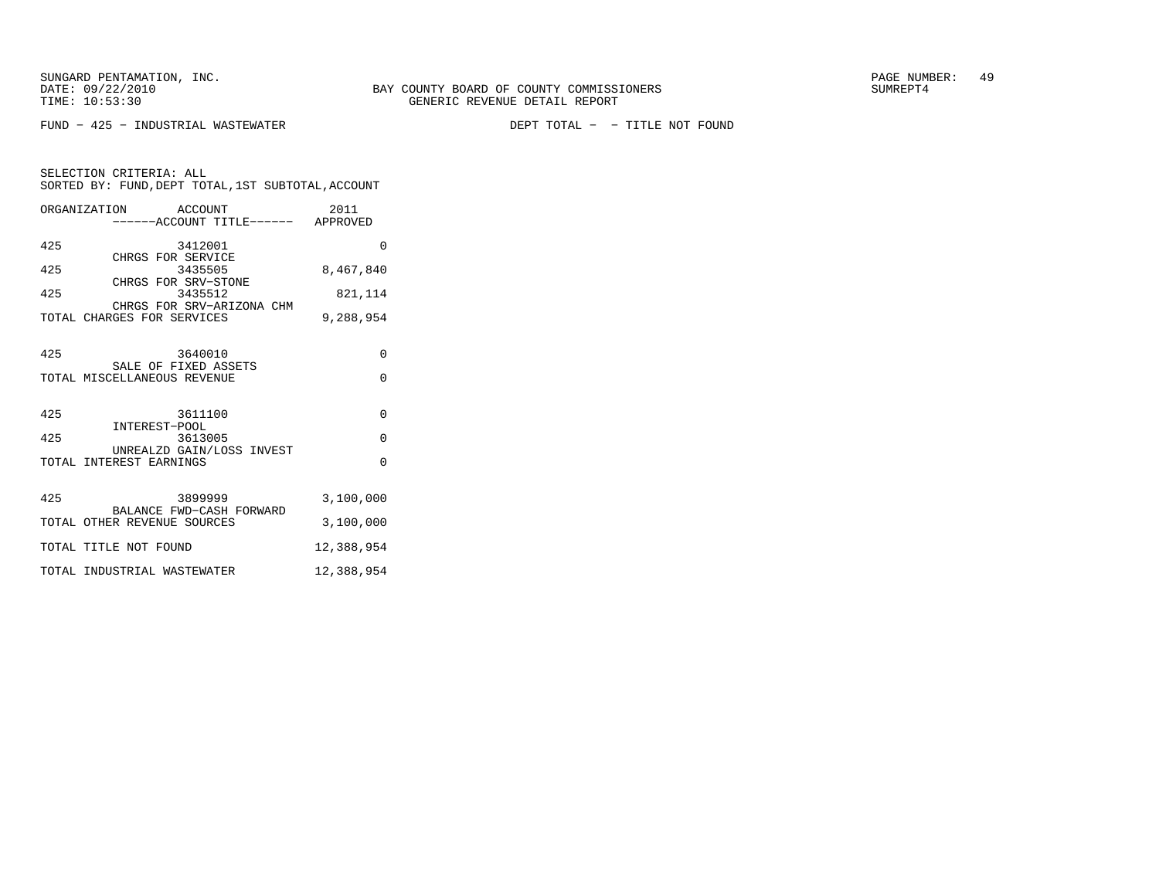SELECTION CRITERIA: ALL

 $FUND - 425 - INDUSTRIAL WASTEWATER$ 

DEPT TOTAL - - TITLE NOT FOUND

SORTED BY: FUND, DEPT TOTAL, 1ST SUBTOTAL, ACCOUNT ORGANIZATION ACCOUNT 2011−−−−−−ACCOUNT TITLE−−−−−− APPROVED

| 425 | 3412001                                                 | 0          |
|-----|---------------------------------------------------------|------------|
| 425 | CHRGS FOR SERVICE<br>3435505                            | 8,467,840  |
|     | CHRGS FOR SRV-STONE                                     |            |
| 425 | 3435512                                                 | 821,114    |
|     | CHRGS FOR SRV-ARIZONA CHM<br>TOTAL CHARGES FOR SERVICES | 9,288,954  |
| 425 | 3640010                                                 | 0          |
|     | SALE OF FIXED ASSETS                                    |            |
|     | TOTAL MISCELLANEOUS REVENUE                             | $\Omega$   |
|     |                                                         |            |
| 425 | 3611100                                                 | 0          |
| 425 | INTEREST-POOL<br>3613005                                | $\Omega$   |
|     | UNREALZD GAIN/LOSS INVEST                               |            |
|     | TOTAL INTEREST EARNINGS                                 | $\Omega$   |
|     |                                                         |            |
| 425 | 3899999                                                 | 3,100,000  |
|     | BALANCE FWD-CASH FORWARD<br>TOTAL OTHER REVENUE SOURCES | 3,100,000  |
|     |                                                         |            |
|     | TOTAL TITLE NOT FOUND                                   | 12,388,954 |

TOTAL INDUSTRIAL WASTEWATER 12,388,954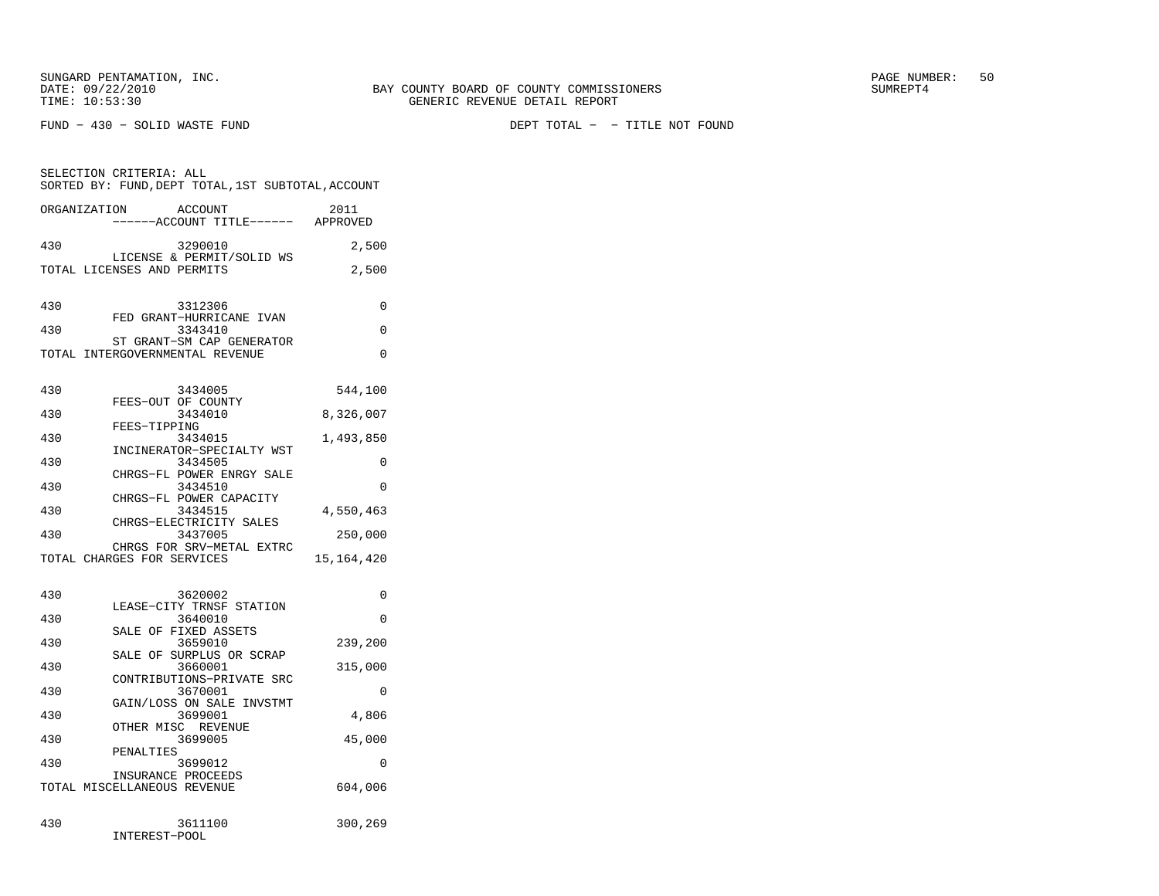FUND − 430 − SOLID WASTE FUND DEPT TOTAL − − TITLE NOT FOUND

| SELECTION CRITERIA: ALL     |              | SORTED BY: FUND, DEPT TOTAL, 1ST SUBTOTAL, ACCOUNT           |              |
|-----------------------------|--------------|--------------------------------------------------------------|--------------|
| ORGANIZATION                |              | ACCOUNT<br>-----ACCOUNT TITLE------ APPROVED                 | 2011         |
| 430                         |              | 3290010                                                      | 2,500        |
| TOTAL LICENSES AND PERMITS  |              | LICENSE & PERMIT/SOLID WS                                    | 2,500        |
| 430                         |              | 3312306                                                      | 0            |
| 430                         |              | FED GRANT-HURRICANE IVAN<br>3343410                          | $\Omega$     |
|                             |              | ST GRANT-SM CAP GENERATOR<br>TOTAL INTERGOVERNMENTAL REVENUE | $\Omega$     |
| 430                         |              | 3434005                                                      | 544,100      |
| 430                         |              | FEES-OUT OF COUNTY<br>3434010                                | 8,326,007    |
| 430                         | FEES-TIPPING | 3434015                                                      | 1,493,850    |
| 430                         |              | INCINERATOR-SPECIALTY WST<br>3434505                         | 0            |
| 430                         |              | CHRGS-FL POWER ENRGY SALE<br>3434510                         | 0            |
| 430                         |              | CHRGS-FL POWER CAPACITY<br>3434515                           | 4,550,463    |
| 430                         |              | CHRGS-ELECTRICITY SALES<br>3437005                           | 250,000      |
| TOTAL CHARGES FOR SERVICES  |              | CHRGS FOR SRV-METAL EXTRC                                    | 15, 164, 420 |
| 430                         |              | 3620002                                                      | $\Omega$     |
| 430                         |              | LEASE-CITY TRNSF STATION<br>3640010                          | 0            |
| 430                         |              | SALE OF FIXED ASSETS                                         |              |
|                             |              | 3659010<br>SALE OF SURPLUS OR SCRAP                          | 239,200      |
| 430                         |              | 3660001<br>CONTRIBUTIONS-PRIVATE SRC                         | 315,000      |
| 430                         |              | 3670001<br>GAIN/LOSS ON SALE INVSTMT                         | 0            |
| 430                         |              | 3699001                                                      | 4,806        |
| 430                         |              | OTHER MISC REVENUE<br>3699005                                | 45,000       |
| 430                         | PENALTIES    | 3699012                                                      | 0            |
| TOTAL MISCELLANEOUS REVENUE |              | INSURANCE PROCEEDS                                           | 604,006      |
| 430                         |              | 3611100                                                      | 300,269      |

INTEREST−POOL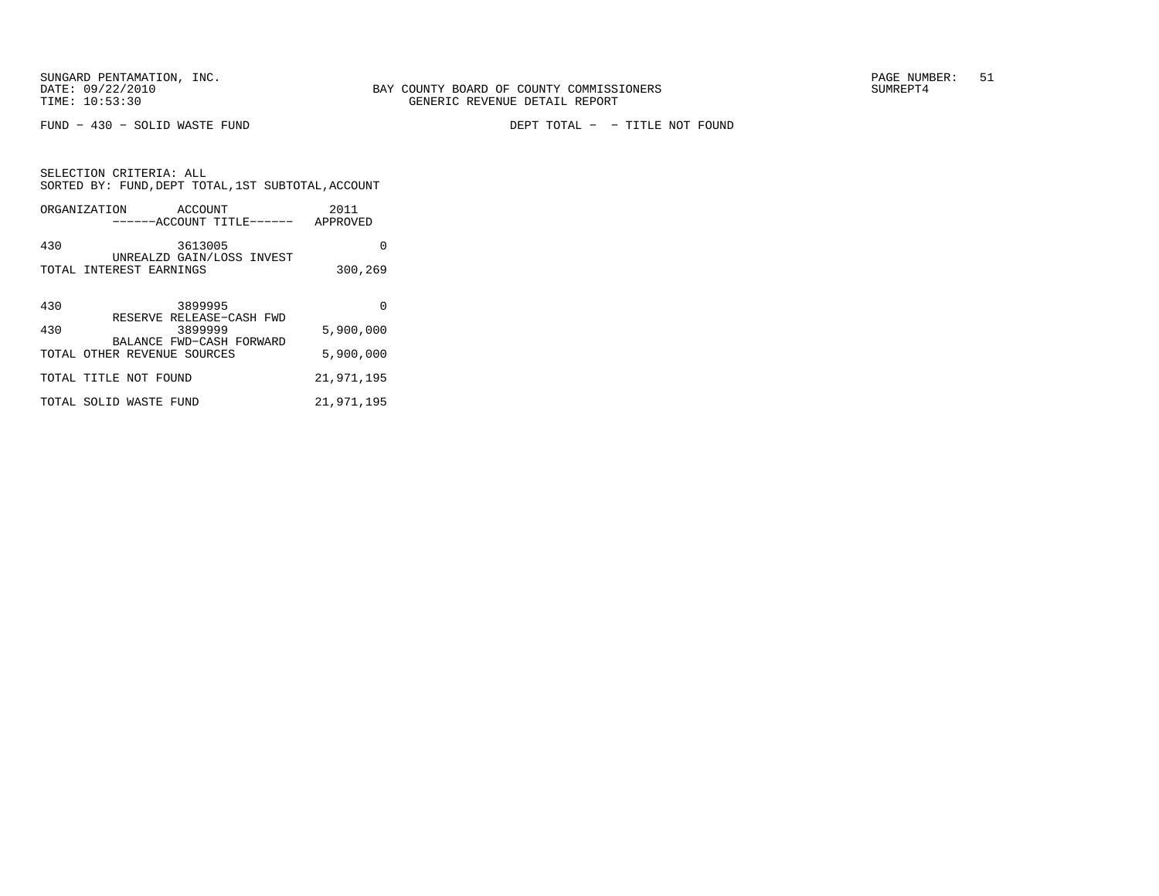FUND − 430 − SOLID WASTE FUND DEPT TOTAL − − TITLE NOT FOUND

| SELECTION CRITERIA: ALL<br>SORTED BY: FUND, DEPT TOTAL, 1ST SUBTOTAL, ACCOUNT |            |  |  |
|-------------------------------------------------------------------------------|------------|--|--|
| ORGANIZATION ACCOUNT<br>------ACCOUNT TITLE------ APPROVED                    | 2011       |  |  |
| 430<br>3613005                                                                | 0          |  |  |
| UNREALZD GAIN/LOSS INVEST<br>TOTAL INTEREST EARNINGS                          | 300,269    |  |  |
| 430<br>3899995                                                                | 0          |  |  |
| RESERVE RELEASE-CASH FWD<br>430<br>3899999                                    | 5,900,000  |  |  |
| BALANCE FWD-CASH FORWARD<br>TOTAL OTHER REVENUE SOURCES                       | 5,900,000  |  |  |
| TOTAL TITLE NOT FOUND                                                         | 21,971,195 |  |  |
| TOTAL SOLID WASTE FUND                                                        | 21,971,195 |  |  |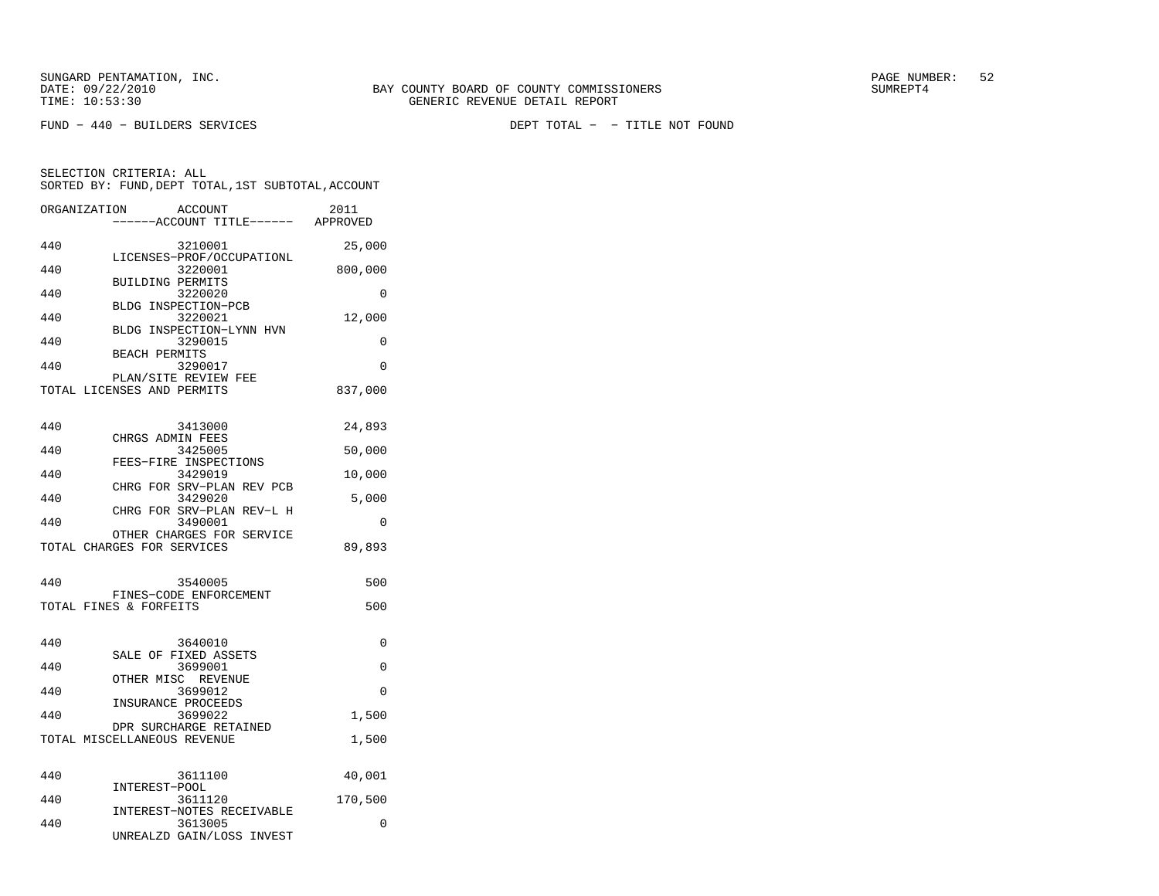SELECTION CRITERIA: ALL

FUND − 440 − BUILDERS SERVICES DEPT TOTAL − − TITLE NOT FOUND

 −−−−−−ACCOUNT TITLE−−−−−− APPROVED 440 3210001 25,000 LICENSES−PROF/OCCUPATIONL 440 3220001 800,000 BUILDING PERMITS 440 3220020 0 BLDG INSPECTION−PCB440 3220021 12,000 BLDG INSPECTION−LYNN HVN440 3290015 0 BEACH PERMITS 440 3290017 0 PLAN/SITE REVIEW FEE TOTAL LICENSES AND PERMITS 837,000

SORTED BY: FUND, DEPT TOTAL, 1ST SUBTOTAL, ACCOUNT ORGANIZATION ACCOUNT 2011

| 440 | 3413000                              | 24,893   |
|-----|--------------------------------------|----------|
| 440 | CHRGS ADMIN FEES<br>3425005          |          |
|     | FEES-FIRE INSPECTIONS                | 50,000   |
| 440 | 3429019                              | 10,000   |
|     | CHRG FOR SRV-PLAN REV PCB            |          |
| 440 | 3429020                              | 5,000    |
|     | CHRG FOR SRV-PLAN REV-L H            |          |
| 440 | 3490001                              | $\Omega$ |
|     | OTHER CHARGES FOR SERVICE            |          |
|     | TOTAL CHARGES FOR SERVICES           | 89,893   |
|     |                                      |          |
| 440 | 3540005                              | 500      |
|     | FINES-CODE ENFORCEMENT               |          |
|     | TOTAL FINES & FORFEITS               | 500      |
|     |                                      |          |
|     |                                      |          |
| 440 | 3640010                              | $\Omega$ |
|     | SALE OF FIXED ASSETS                 |          |
| 440 | 3699001                              | $\Omega$ |
| 440 | OTHER MISC REVENUE<br>3699012        | $\Omega$ |
|     | INSURANCE PROCEEDS                   |          |
|     |                                      |          |
| 440 | 3699022                              |          |
|     | DPR SURCHARGE RETAINED               | 1,500    |
|     | TOTAL MISCELLANEOUS REVENUE          | 1,500    |
|     |                                      |          |
|     |                                      |          |
| 440 | 3611100                              | 40,001   |
|     | INTEREST-POOL                        |          |
| 440 | 3611120                              | 170,500  |
| 440 | INTEREST-NOTES RECEIVABLE<br>3613005 | $\Omega$ |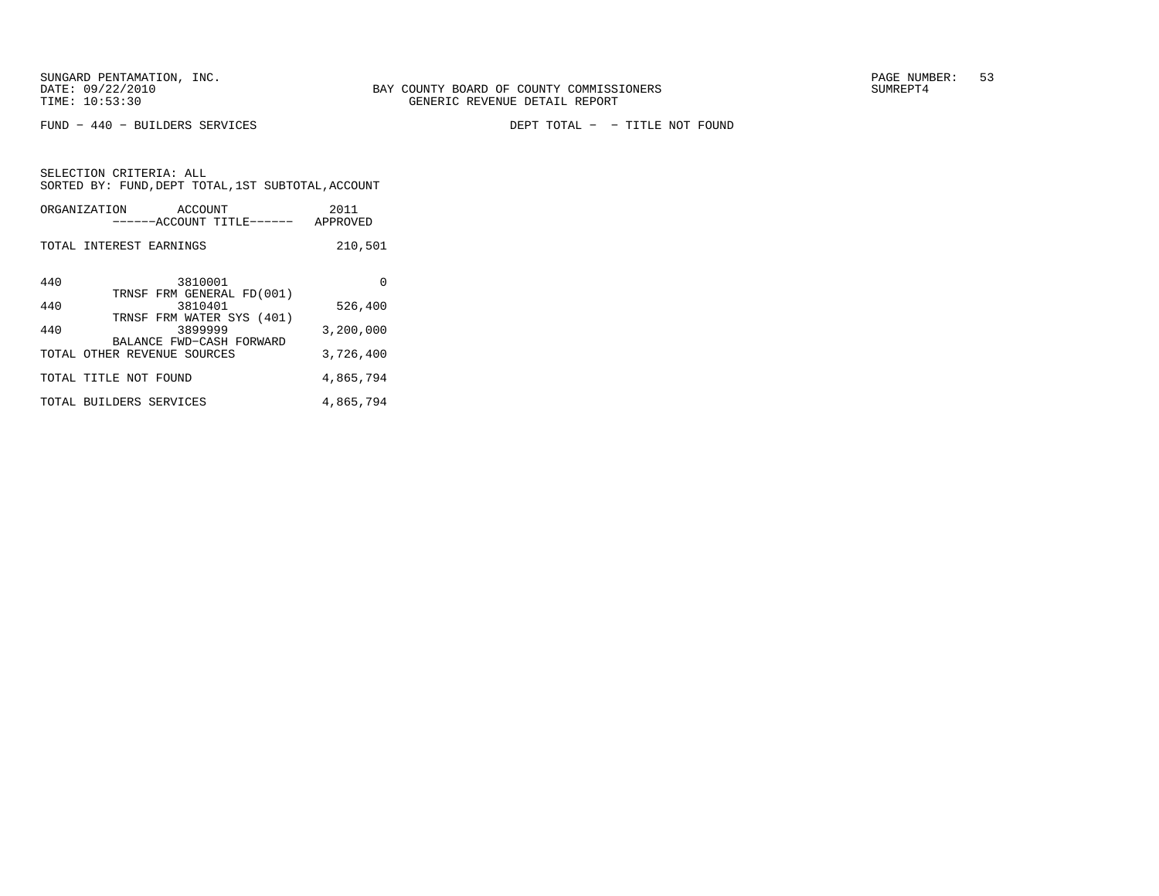FUND − 440 − BUILDERS SERVICES DEPT TOTAL − − TITLE NOT FOUND

SELECTION CRITERIA: ALLSORTED BY: FUND, DEPT TOTAL, 1ST SUBTOTAL, ACCOUNT ORGANIZATION ACCOUNT 2011

|     | ------ACCOUNT TITLE------                                        | APPROVED  |
|-----|------------------------------------------------------------------|-----------|
|     | TOTAL INTEREST EARNINGS                                          | 210,501   |
| 440 | 3810001<br>TRNSF FRM GENERAL FD(001)                             | 0         |
| 440 | 3810401                                                          | 526,400   |
| 440 | TRNSF FRM WATER SYS (401)<br>3899999<br>BALANCE FWD-CASH FORWARD | 3,200,000 |
|     | TOTAL OTHER REVENUE SOURCES                                      | 3,726,400 |
|     | TOTAL TITLE NOT FOUND                                            | 4,865,794 |
|     | TOTAL BUILDERS SERVICES                                          | 4,865,794 |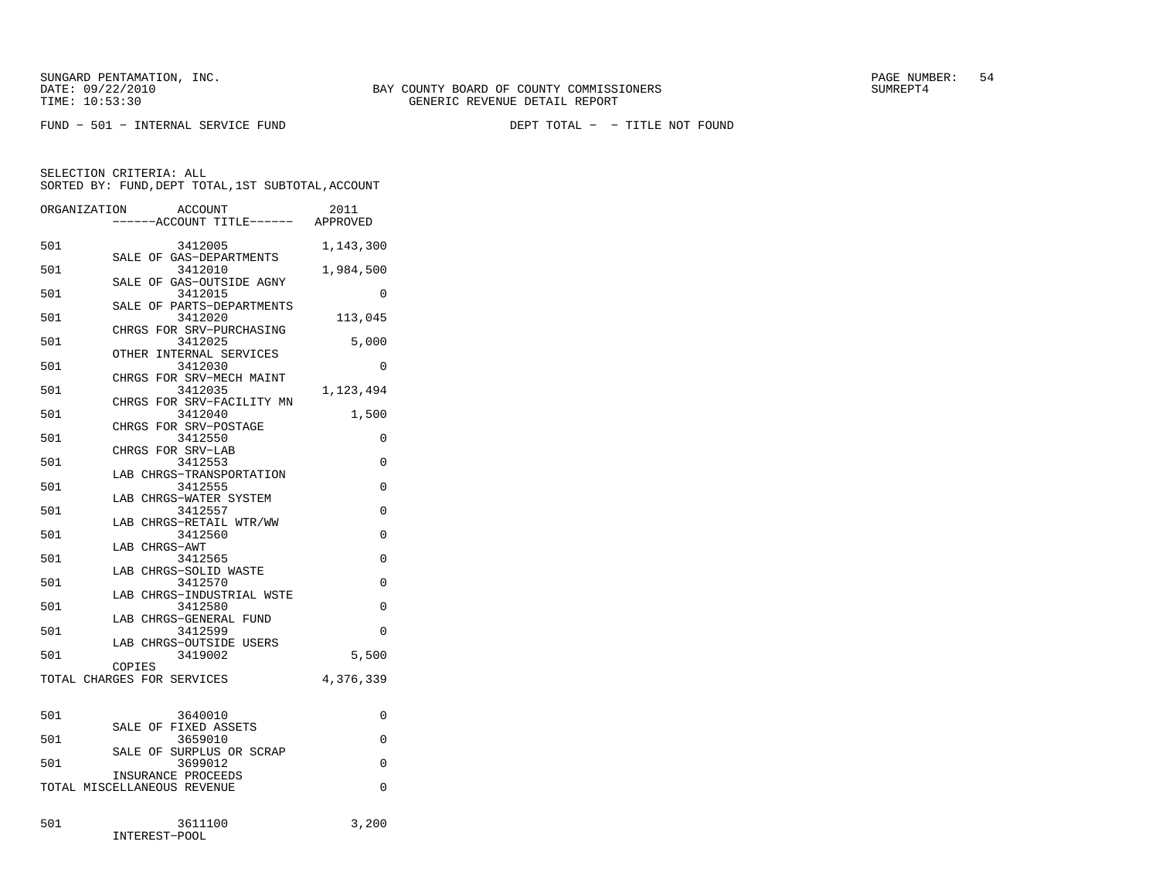FUND − 501 − INTERNAL SERVICE FUND DEPT TOTAL − − TITLE NOT FOUND

| ORGANIZATION | ACCOUNT                                           | 2011      |
|--------------|---------------------------------------------------|-----------|
|              | --ACCOUNT TITLE------                             | APPROVED  |
| 501          | 3412005<br>SALE OF GAS-DEPARTMENTS                | 1,143,300 |
| 501          | 3412010<br>SALE OF GAS-OUTSIDE AGNY               | 1,984,500 |
| 501          | 3412015<br>SALE OF PARTS-DEPARTMENTS              | 0         |
| 501          | 3412020<br>CHRGS FOR SRV-PURCHASING               | 113,045   |
| 501          | 3412025<br>OTHER<br>INTERNAL SERVICES             | 5,000     |
| 501          | 3412030<br>CHRGS FOR SRV-MECH MAINT               | 0         |
| 501          | 3412035<br>CHRGS FOR SRV-FACILITY MN              | 1,123,494 |
| 501          | 3412040<br>CHRGS FOR SRV-POSTAGE                  | 1,500     |
| 501          | 3412550<br>CHRGS FOR SRV-LAB                      | 0         |
| 501          | 3412553<br>LAB CHRGS-TRANSPORTATION               | $\Omega$  |
| 501          | 3412555<br>LAB CHRGS-WATER SYSTEM                 | 0         |
| 501          | 3412557<br>LAB CHRGS-RETAIL WTR/WW                | 0         |
| 501          | 3412560<br>LAB CHRGS-AWT                          | 0         |
| 501          | 3412565<br>LAB CHRGS-SOLID WASTE                  | $\Omega$  |
| 501          | 3412570<br>LAB CHRGS-INDUSTRIAL WSTE              | 0         |
| 501          | 3412580<br>LAB CHRGS-GENERAL FUND                 | 0         |
| 501          | 3412599<br>LAB CHRGS-OUTSIDE USERS                | 0         |
| 501          | 3419002<br>COPIES                                 | 5,500     |
|              | TOTAL CHARGES FOR SERVICES                        | 4,376,339 |
| 501          | 3640010                                           | 0         |
| 501          | FIXED ASSETS<br>SALE OF<br>3659010                | 0         |
| 501          | SURPLUS OR SCRAP<br>SALE OF<br>3699012            | 0         |
|              | INSURANCE PROCEEDS<br>TOTAL MISCELLANEOUS REVENUE | 0         |
| 501          | 3611100<br>INTEREST-POOL                          | 3,200     |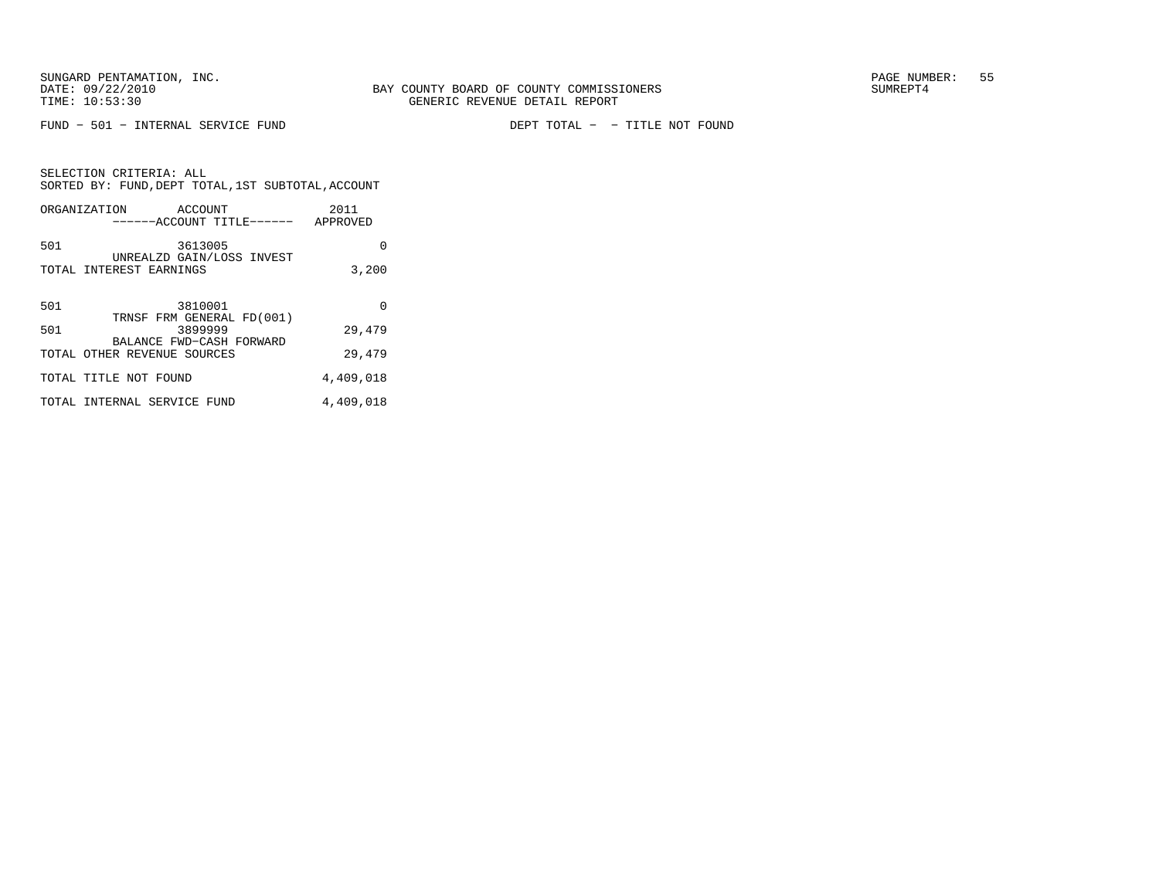SELECTION CRITERIA: ALL

 $FUND - 501 - INTERNAL$  SERVICE  $FUND$ 

DEPT TOTAL - - TITLE NOT FOUND

| SORTED BY: FUND, DEPT TOTAL, 1ST SUBTOTAL, ACCOUNT                      |           |
|-------------------------------------------------------------------------|-----------|
| ORGANIZATION ACCOUNT<br>-----ACCOUNT TITLE------ APPROVED               | 2011      |
| 501<br>3613005<br>UNREALZD GAIN/LOSS INVEST                             | 0         |
| TOTAL INTEREST EARNINGS                                                 | 3,200     |
|                                                                         |           |
| 501<br>3810001                                                          | $\Omega$  |
| TRNSF FRM GENERAL FD(001)<br>501<br>3899999<br>BALANCE FWD-CASH FORWARD | 29,479    |
| TOTAL OTHER REVENUE SOURCES                                             | 29,479    |
| TOTAL TITLE NOT FOUND                                                   | 4,409,018 |
| TOTAL INTERNAL SERVICE FUND                                             | 4,409,018 |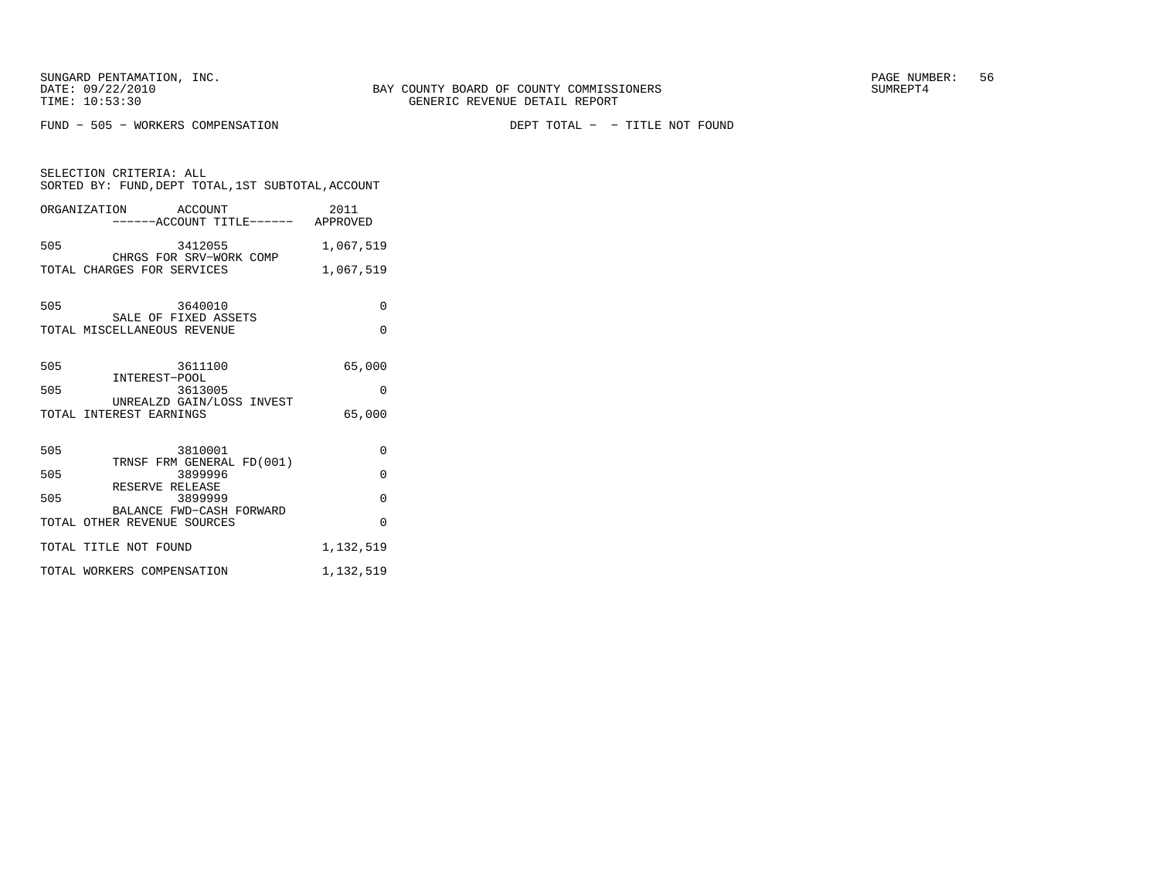FUND - 505 - WORKERS COMPENSATION

DEPT TOTAL - - TITLE NOT FOUND

| SELECTION CRITERIA: ALL<br>SORTED BY: FUND, DEPT TOTAL, 1ST SUBTOTAL, ACCOUNT |           |  |
|-------------------------------------------------------------------------------|-----------|--|
| ORGANIZATION ACCOUNT<br>------ACCOUNT TITLE------ APPROVED                    | 2011      |  |
| 505<br>3412055<br>CHRGS FOR SRV-WORK COMP                                     | 1,067,519 |  |
| TOTAL CHARGES FOR SERVICES                                                    | 1,067,519 |  |
| 505<br>3640010                                                                | 0         |  |
| SALE OF FIXED ASSETS<br>TOTAL MISCELLANEOUS REVENUE                           | $\Omega$  |  |
| 505<br>3611100<br>INTEREST-POOL                                               | 65,000    |  |
| 505<br>3613005<br>UNREALZD GAIN/LOSS INVEST                                   | $\Omega$  |  |
| TOTAL INTEREST EARNINGS                                                       | 65,000    |  |
| 505<br>3810001<br>TRNSF FRM GENERAL FD(001)                                   | $\Omega$  |  |
| 505<br>3899996<br>RESERVE RELEASE                                             | $\Omega$  |  |
| 505<br>3899999<br>BALANCE FWD-CASH FORWARD                                    | $\Omega$  |  |
| TOTAL OTHER REVENUE SOURCES                                                   | $\Omega$  |  |
| TOTAL TITLE NOT FOUND                                                         | 1,132,519 |  |
| TOTAL WORKERS COMPENSATION                                                    | 1,132,519 |  |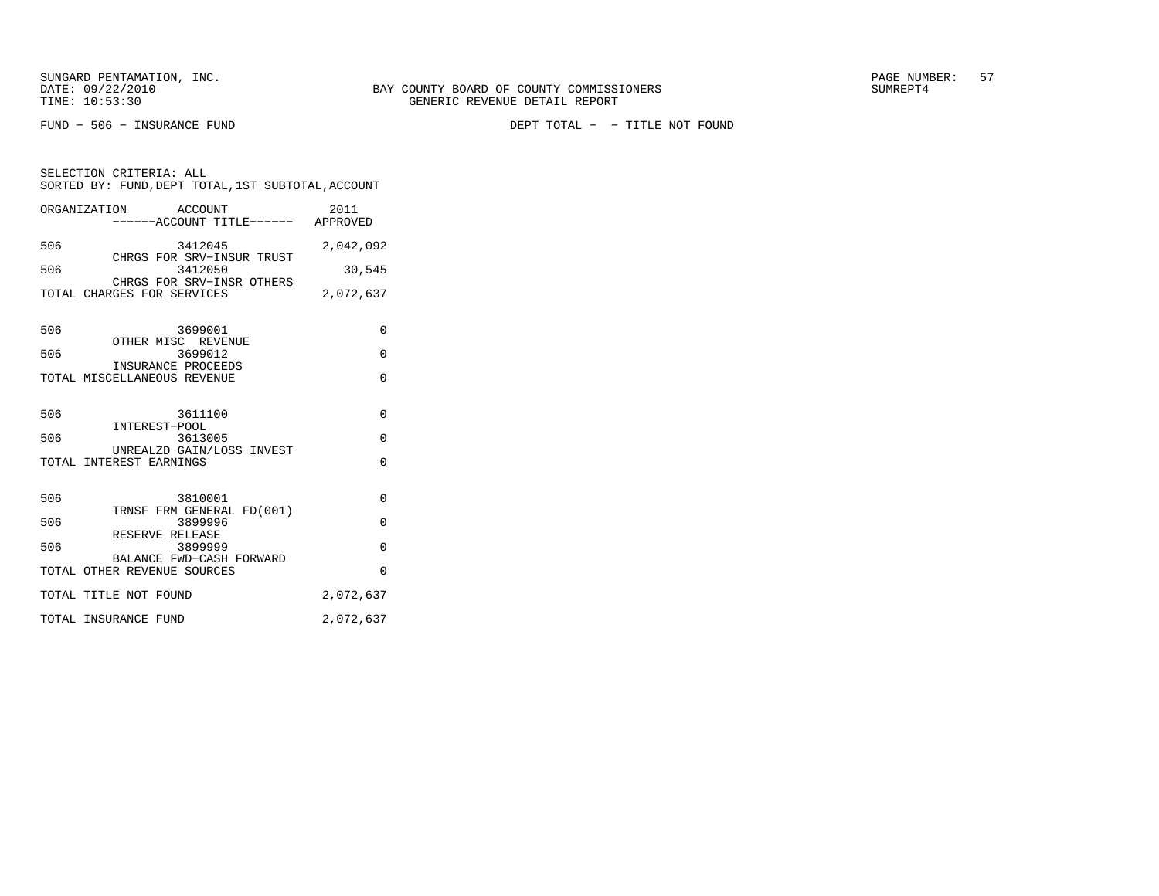SELECTION CRITERIA: ALL

FUND − 506 − INSURANCE FUND DEPT TOTAL − − TITLE NOT FOUND

|     | ORGANIZATION ACCOUNT<br>-----ACCOUNT TITLE------ APPROVED | 2011      |
|-----|-----------------------------------------------------------|-----------|
| 506 | 3412045<br>CHRGS FOR SRV-INSUR TRUST                      | 2,042,092 |
| 506 | 3412050<br>CHRGS FOR SRV-INSR OTHERS                      | 30,545    |
|     | TOTAL CHARGES FOR SERVICES                                | 2,072,637 |
| 506 | 3699001<br>OTHER MISC REVENUE                             | 0         |
| 506 | 3699012                                                   | $\Omega$  |
|     | INSURANCE PROCEEDS<br>TOTAL MISCELLANEOUS REVENUE         | $\Omega$  |
| 506 | 3611100                                                   | 0         |
| 506 | INTEREST-POOL<br>3613005                                  | $\Omega$  |
|     | UNREALZD GAIN/LOSS INVEST<br>TOTAL INTEREST EARNINGS      | 0         |
| 506 | 3810001                                                   | 0         |
| 506 | TRNSF FRM GENERAL FD(001)<br>3899996                      | O         |
| 506 | RESERVE RELEASE<br>3899999                                | $\Omega$  |
|     | BALANCE FWD-CASH FORWARD<br>TOTAL OTHER REVENUE SOURCES   | $\Omega$  |
|     | TOTAL TITLE NOT FOUND                                     | 2,072,637 |
|     | TOTAL INSURANCE FUND                                      | 2,072,637 |

SORTED BY: FUND, DEPT TOTAL, 1ST SUBTOTAL, ACCOUNT